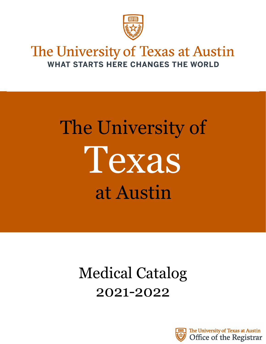

# The University of Texas at Austin WHAT STARTS HERE CHANGES THE WORLD

# The University of at Austin Texas

# Medical Catalog 2021-2022



The University of Texas at Austin Office of the Registrar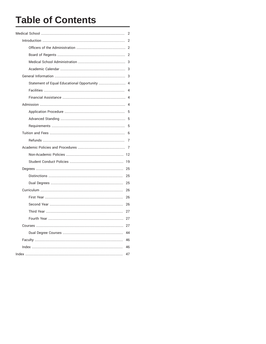# **Table of Contents**

|                                               | $\overline{2}$ |
|-----------------------------------------------|----------------|
|                                               | 2              |
|                                               |                |
|                                               |                |
|                                               |                |
|                                               | 3              |
|                                               | 3              |
| Statement of Equal Educational Opportunity  4 |                |
|                                               |                |
|                                               |                |
|                                               | $\overline{4}$ |
|                                               | 5              |
|                                               | 5              |
|                                               | 5              |
|                                               | 6              |
|                                               | $\overline{7}$ |
|                                               |                |
|                                               |                |
|                                               | 19             |
|                                               | 25             |
|                                               | 25             |
|                                               | 25             |
|                                               | 26             |
|                                               | 26             |
|                                               | 26             |
|                                               | 27             |
|                                               | 27             |
|                                               | 27             |
|                                               | 44             |
|                                               | 46             |
|                                               | 46             |
|                                               | 47             |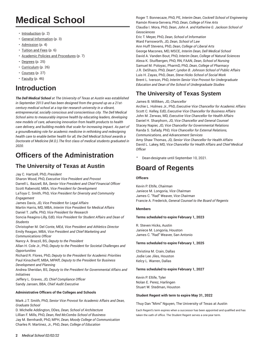# **Medical School**

- <span id="page-2-0"></span>• [Introduction](#page-2-1) ([p. 2\)](#page-2-1)
- [General Information \(p. 3](#page-3-2))
- [Admission](#page-4-3) ([p. 4\)](#page-4-3)
- [Tuition](#page-6-0) and Fees [\(p. 6](#page-6-0))
- Academic Policies and [Procedures](#page-7-1) [\(p. 7](#page-7-1))
- [Degrees](#page-25-0) ([p. 25\)](#page-25-0)
- [Curriculum](#page-26-0) [\(p. 26\)](#page-26-0)
- [Courses](#page-27-2) [\(p. 27\)](#page-27-2)
- [Faculty](#page-46-0) [\(p. 46\)](#page-46-0)

# **Introduction**

<span id="page-2-1"></span>*The Dell Medical School at The University of Texas at Austin was established in September 2013 and has been designed from the ground up as a 21stcentury medical school at a top-tier research university in a vibrant, entrepreneurial, socially conscious and conscientious city. The Dell Medical School aims to measurably improve health by educating leaders, developing new models of care, advancing innovation from health products to health care delivery, and building models that scale for increasing impact. As part of a groundbreaking role for academic medicine in rethinking and redesigning health care to enable better health for all, the Dell Medical School awards a Doctorate of Medicine (M.D.).The first class of medical students graduated in 2020.*

# **Officers of the Administration**

# <span id="page-2-2"></span>**The University of Texas at Austin**

Jay C. Hartzell, PhD, *President*

Sharon Wood, PhD, *Executive Vice President and Provost* Darrell L. Bazzell, BA, *Senior Vice President and Chief Financial Officer* Scott Rabenold, MBA, *Vice President for Development* LaToya C. Smith, PhD, *Vice President for Diversity and Community Engagement*

James Davis, JD, *Vice President for Legal Affairs* Martin Harris, MD, MBA, *Interim Vice President for Medical Affairs* Daniel T. Jaffe, PhD, *Vice President for Research*

Soncia Reagins-Lilly, EdD, *Vice President for Student Affairs and Dean of Students*

Christopher M. Del Conte, MEd, *Vice President and Athletics Director* Emily Reagan, MBA, *Vice President and Chief Marketing and Communications Officer*

Nancy A. Brazzil, BS, *Deputy to the President*

Allan H. Cole Jr., PhD, *Deputy to the President for Societal Challenges and Opportunities*

Richard R. Flores, PhD, *Deputy to the President for Academic Priorities* Paul Kinscherff, MBA, MPAff, *Deputy to the President for Business Development and Planning*

Andrea Sheridan, BS, *Deputy to the President for Governmental Affairs and Initiatives*

Jeffery L. Graves, JD, *Chief Compliance Officer* Sandy Jansen, BBA, *Chief Audit Executive*

# **Administrative Officers of the Colleges and Schools**

Mark J.T. Smith, PhD, *Senior Vice Provost for Academic Affairs and Dean, Graduate School*

D. Michelle Addington, DDes, *Dean, School of Architecture* Lillian F. Mills, PhD, *Dean*, *Red McCombs School of Business* Jay M. Bernhardt, PhD, MPH, *Dean, Moody College of Communication* Charles R. Martinez, Jr., PhD, *Dean*, *College of Education*

Roger T. Bonnecaze, PhD, PE, *Interim Dean*, *Cockrell School of Engineering* Ramón Rivera-Servera, PhD, *Dean*, *College of Fine Arts* Claudia I. Mora, PhD, *Dean*, *John A. and Katherine G. Jackson School of Geosciences* 

Eric T. Meyer, PhD, *Dean*, *School of Information* Ward Farnsworth, JD, *Dean*, *School of Law* Ann Huff Stevens, PhD, *Dean*, *College of Liberal Arts* George Macones, MD, MSCE, *Interim Dean, Dell Medical School* David A. Vanden Bout, PhD, *Interim Dean*, *College of Natural Sciences* Alexa K. Stuifbergen, PhD, RN, FAAN, *Dean*, *School of Nursing* Samuel M. Poloyac, PharmD, PhD, *Dean*, *College of Pharmacy* J.R. DeShazo, PhD, *Dean\*, Lyndon B. Johnson School of Public Affairs* Luis H. Zayas, PhD, *Dean*, *Steve Hicks School of Social Work* Brent L. Iverson, PhD, *Interim Senior Vice Provost for Undergraduate Education and Dean of the School of Undergraduate Studies*

# **The University of Texas System**

James B. Milliken, JD, *Chancellor*

Archie L. Holmes Jr., PhD, *Executive Vice Chancellor for Academic Affairs* Scott C. Kelley, EdD, *Executive Vice Chancellor for Business Affairs* John M. Zerwas, MD, *Executive Vice Chancellor for Health Affairs* Daniel H. Sharphorn, JD, *Vice Chancellor and General Counsel* Stacey Napier, JD, *Vice Chancellor for Governmental Relations* Randa S. Safady, PhD, *Vice Chancellor for External Relations, Communications, and Advancement Services* Amy Shaw Thomas, JD, *Senior Vice Chancellor for Health Affairs* David L. Lakey, MD, *Vice Chancellor for Health Affairs and Chief Medical Officer*

Dean-designate until September 10, 2021.

# **Board of Regents**

# <span id="page-2-3"></span>**Officers**

Kevin P. Eltife, *Chairman* Janiece M. Longoria, *Vice Chairman* James C. "Rad" Weaver, *Vice Chairman* Francie A. Frederick, *General Counsel to the Board of Regents*

# **Members**

# **Terms scheduled to expire February 1, 2023**

R. Steven Hicks, Austin Janiece M. Longoria, Houston James C. "Rad" Weaver, San Antonio

# **Terms scheduled to expire February 1, 2025**

Christina M. Crain, Dallas Jodie Lee Jiles, Houston Kelcy L. Warren, Dallas

# **Terms scheduled to expire February 1, 2027**

Kevin P. Eltife, Tyler Nolan E. Perez, Harlingen Stuart W. Stedman, Houston

# **Student Regent with term to expire May 31, 2022**

Thuy Dan "Mimi" Nguyen, The University of Texas at Austin

Each Regent's term expires when a successor has been appointed and qualified and has taken the oath of office. The Student Regent serves a one-year term.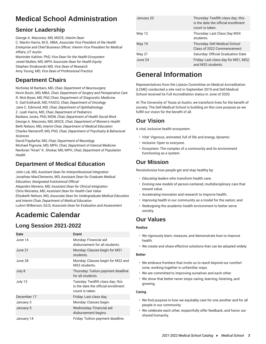# **Medical School Administration**

# <span id="page-3-0"></span>**Senior Leadership**

George A. Macones, MD, MSCE, *Interim Dean* C. Martin Harris, M.D., MBA, *Associate Vice President of the Health Enterprise and Chief Business Officer; Interim Vice President for Medical Affairs, UT Austin*

Maninder Kahlon, PhD, *Vice Dean for the Health Ecosystem* Jewel Mullen, MD, MPH *Associate Dean for Health Equity* Stephen Strakowski MD, *Vice Dean of Research* Amy Young, MD, *Vice Dean of Professional Practice*

# **Department Chairs**

Nicholas M Barbaro, MD, *Chair, Department of Neurosurgery* Kevin Bozic, MD, MBA, *Chair, Department of Surgery and Perioperative Care R. Nick Bryan, MD, PhD,* Chair, Department of Diagnostic Medicine S. Gail Eckhardt, MD, FASCO*, Chair, Department of Oncology* Jane C. Edmond, MD*, Chair, Department of Ophthalmology* Z. Leah Harris, MD*, Chair, Department of Pediatrics* Barbara Jones, PhD, MSW, *Chair, Department of Health Social Work* George A. Macones, MD, MSCE*, Chair, Department of Women's Health* Beth Nelson, MD, *Interim Chair, Department of Medical Education*

Charles Nemeroff, MD, PhD*, Chair, Department of Psychiatry & Behavioral Sciences*

David Paydarfar, MD, *Chair, Department of Neurology* Michael Pignone, MD, MPH, *Chair, Department of Internal Medicine* Navkiran "Kiran" K. Shokar, MD, MPH, *Chair, Department of Population Health*

# **Department of Medical Education**

John Luk, MD, *Assistant Dean for Interprofessional Integration* Jonathan MacClements, MD, *Assistant Dean for Graduate Medical Education; Designated Institutional Official* Alejandro Moreno, MD, *Assistant Dean for Clinical Integration* Chris Moriates, MD, *Assistant Dean for Health Care Value* Elizabeth Nelson, MD, *Associate Dean for Undergraduate Medical Education and Interim Chair, Department of Medical Education*

LuAnn Wilkerson, Ed.D, *Associate Dean for Evaluation and Assessment*

# **Academic Calendar**

# <span id="page-3-1"></span>**Long Session 2021-2022**

| Date        | <b>Event</b>                                                                               |
|-------------|--------------------------------------------------------------------------------------------|
| June 14     | Monday: Financial aid<br>disbursement for all students.                                    |
| June 21     | Monday: Classes begin for MS1<br>students.                                                 |
| June 28     | Monday: Classes begin for MS2 and<br>MS3 students.                                         |
| July 8      | Thursday: Tuition payment deadline<br>for all students.                                    |
| July 13     | Tuesday: Twelfth class day; this<br>is the date the official enrollment<br>count is taken. |
| December 17 | Friday: Last class day.                                                                    |
| January 3   | Monday: Classes begin.                                                                     |
| January 5   | Wednesday: Financial aid<br>disbursement begins.                                           |
| January 14  | Friday: Tuition payment deadline.                                                          |

| January 20 | Thursday: Twelfth class day; this<br>is the date the official enrollment<br>count is taken. |
|------------|---------------------------------------------------------------------------------------------|
| May 12     | Thursday: Last Class Day MS4<br>students.                                                   |
| May 19     | Thursday: Dell Medical School<br>Class of 2022 Commencement                                 |
| May 21     | Saturday: Official Graduation Date                                                          |
| June 24    | Friday: Last class day for MS1, MS2,<br>and MS3 students.                                   |

# **General Information**

<span id="page-3-2"></span>Representatives from the Liaison Committee on Medical Accreditation (LCME) conducted a site visit in September 2019 and Dell Medical School received its Full Accreditation status in June of 2020.

At The University of Texas at Austin, we transform lives for the benefit of society. The Dell Medical School is building on this core purpose as we fulfill our vision for the benefit of all.

# **Our Vision**

A vital, inclusive health ecosystem:

- *Vital:* Vigorous, animated, full of life and energy, dynamic.
- *Inclusive:* Open to everyone.
- *Ecosystem:* The complex of a community and its environment functioning as a system.

# **Our Mission**

Revolutionize how people get and stay healthy by:

- *Educating leaders* who transform health care;
- *Evolving new models* of person-centered, multidisciplinary care that reward value;
- *Accelerating innovation* and research to improve health;
- *Improving health* in our community as a model for the nation; and
- *Redesigning* the academic health environment to better serve society.

# **Our Values**

# **Realize**

- We rigorously learn, measure, and demonstrate how to improve health.
- We create and share effective solutions that can be adopted widely.

# **Better**

- We embrace frontiers that invite us to reach beyond our comfort zone, working together in unfamiliar ways.
- We are committed to improving ourselves and each other.
- We show that better never stops caring, learning, listening, and growing.

# **Caring**

- We find purpose in how we equitably care for one another and for all people in our community.
- We celebrate each other, respectfully offer feedback, and honor our shared humanity.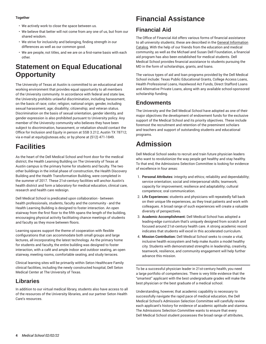# **Together**

- We actively work to close the space between us.
- We believe that better will not come from any one of us, but from our shared wisdom.
- We strive for inclusivity and belonging, finding strength in our differences as well as our common good.
- We are people, not titles, and we are on a first-name basis with each other.

# **Statement on Equal Educational Opportunity**

<span id="page-4-0"></span>The University of Texas at Austin is committed to an educational and working environment that provides equal opportunity to all members of the University community. In accordance with federal and state law, the University prohibits unlawful discrimination, including harassment, on the basis of race; color; religion; national origin; gender, including sexual harassment; age; disability; citizenship; and veteran status. Discrimination on the basis of sexual orientation, gender identity, and gender expression is also prohibited pursuant to University policy. Any member of the University community who believes they have been subject to discrimination, harassment, or retaliation should contact the Office for Inclusion and Equity in person at SSB 3.212, Austin TX 78712; via e-mail at equity@utexas.edu; or by phone at (512) 471-1849.

# **Facilities**

<span id="page-4-1"></span>As the heart of the Dell Medical School and front door for the medical district, the Health Learning Building on The University of Texas at Austin campus is the primary home for students and faculty. The two other buildings in the initial phase of construction, the Health Discovery Building and the Health Transformation Building, were completed in the summer of 2017. These 21st-century facilities will anchor Austin's health district and form a laboratory for medical education, clinical care, research and health care redesign.

Dell Medical School is predicated upon collaboration - between health professionals, students, faculty and the community - and the Health Learning Building is designed to foster interaction. An open stairway from the first floor to the fifth spans the length of the building, encouraging physical activity facilitating chance meetings of students and faculty as they move between floors.

Learning spaces support the theme of cooperation with flexible configurations that can accommodate both small groups and large lectures, all incorporating the latest technology. As the primary home for students and faculty, the entire building was designed to foster interaction, with a café and ample indoor and outdoor seating, an open stairway, meeting rooms, comfortable seating, and study terraces.

Clinical learning sites will be primarily within Seton Healthcare Family clinical facilities, including the newly constructed hospital, Dell Seton Medical Center at The University of Texas.

# **Libraries**

In addition to our virtual medical library, students also have access to all of the resources of the University libraries, and our partner Seton Health Care's resources.

# **Financial Assistance**

# <span id="page-4-2"></span>**Financial Aid**

The Office of Financial Aid offers various forms of financial assistance to all university students; these are described in the [General Information](http://catalog.utexas.edu/general-information/student-services/financial-aid/) [Catalog.](http://catalog.utexas.edu/general-information/student-services/financial-aid/) With the help of our friends from the education and medical community, as well as the Michael and Susan Dell Foundation, a financial aid program has also been established for medical students. Dell Medical School provides financial assistance to students pursuing the MD in the form of scholarships, grants, and loans.

The various types of aid and loan programs provided by the Dell Medical School include: Texas Public Educational Grants, College Access Loans, Health Professional Loans, Hazelwood Act Funds, Direct Stafford Loans and Alternative Private Loans, along with any available school-sponsored scholarship funding.

# **Endowments**

The University and the Dell Medical School have adopted as one of their major objectives the development of endowment funds for the exclusive support of the Medical School and its priority objectives. These include foremost the recruitment and retention of the preeminent scholars and teachers and support of outstanding students and educational programs.

# **Admission**

<span id="page-4-3"></span>Dell Medical School seeks to recruit and train future physician leaders who want to revolutionize the way people get healthy and stay healthy. To that end, the Admissions Selection Committee is looking for evidence of excellence in four areas:

- 1. **Personal Attributes:** integrity and ethics; reliability and dependability; service orientation; social and interpersonal skills; teamwork; capacity for improvement; resilience and adaptability; cultural competence; oral communication.
- 2. **Life Experiences:** students and physicians will repeatedly fall back on their unique life experiences, as they treat patients and work with colleagues. A broad range of such experiences will create a valuable diversity of perspectives.
- 3. **Academic Accomplishment:** Dell Medical School has adopted a leading-edge curriculum that's uniquely designed from scratch and focused around 21st-century health care. A strong academic record indicates that students will excel in this accelerated curriculum.
- 4. **Mission Contribution:** Dell Medical School seeks to create a vital, inclusive health ecosystem and help make Austin a model healthy city. Students with demonstrated strengths in leadership, creativity, teamwork, resilience, and community engagement will help further advance this mission.

To be a successful physician leader in 21st-century health, you need a large portfolio of competencies. There is very little evidence that the "smartest" applicant with the best undergraduate grades will make the best physician or the best graduate of a medical school.

Understanding, however, that academic capability is necessary to successfully navigate the rapid pace of medical education, the Dell Medical School's Admission Selection Committee will carefully review each applicant's history for evidence of academic aptitude and stamina. The Admissions Selection Committee wants to ensure that every Dell Medical School student possesses the broad range of attributes,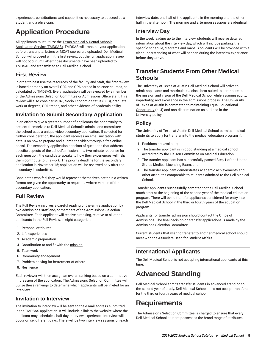experiences, contributions, and capabilities necessary to succeed as a student and a physician.

# **Application Procedure**

<span id="page-5-0"></span>All applicants must utilize the Texas Medical & Dental [Schools](http://tmdsas.com/) [Application](http://tmdsas.com/) Service (TMDSAS). TMDSAS will transmit your application before transcripts, letters or MCAT scores are uploaded. Dell Medical School will proceed with the first review, but the full application review will not occur until after those documents have been uploaded to TMDSAS and transmitted to Dell Medical School.

# **First Review**

In order to best use the resources of the faculty and staff, the first review is based primarily on overall GPA and GPA earned in science courses, as calculated by TMDSAS. Every application will be reviewed by a member of the Admissions Selection Committee or Admissions Office staff. This review will also consider MCAT, Socio-Economic Status (SES), graduate work or degrees, GPA trends, and other evidence of academic ability.

# **Invitation to Submit Secondary Application**

In an effort to give a greater number of applicants the opportunity to present themselves to Dell Medical School's admissions committee, the school uses a unique video secondary application. If selected for further consideration, the applicant receives an email invitation with details on how to prepare and submit the video through a free online portal. The secondary application consists of questions that address specific aspects of the school's mission. In a two-minute response for each question, the candidate speaks to how their experiences will help them contribute to this work. The priority deadline for the secondary application is November 15; application will be reviewed only after the secondary is submitted.

Candidates who feel they would represent themselves better in a written format are given the opportunity to request a written version of the secondary application.

# **Full Review**

The Full Review involves a careful reading of the entire application by two admissions staff and/or members of the Admissions Selection Committee. Each applicant will receive a ranking, relative to all other applicants in the Full Review, in eight categories:

- 1. Personal attributes
- 2. Life experiences
- 3. Academic preparation
- 4. Contribution to and fit with the [mission](http://dellmedschool.utexas.edu/mission-vision/)
- 5. Teamwork
- 6. Community engagement
- 7. Problem-solving for betterment of others
- 8. Resilience

Each reviewer will then assign an overall ranking based on a summative impression of the application. The Admissions Selection Committee will utilize these rankings to determine which applicants will be invited for an interview.

# **Invitation to Interview**

The invitation to interview will be sent to the e-mail address submitted in the TMDSAS application. It will include a link to the website where the applicant may schedule a half day interview experience. Interview will occur on six different days. There will be two interview sessions on each interview date; one half of the applicants in the morning and the other half in the afternoon. The morning and afternoon sessions are identical.

# **Interview Day**

In the week leading up to the interview, students will receive detailed information about the interview day, which will include parking, the specific schedule, diagrams and maps. Applicants will be provided with a clear understanding of what will happen during the interview experience before they arrive.

# **Transfer Students From Other Medical Schools**

The University of Texas at Austin Dell Medical School will strive to admit applicants and matriculate a class best suited to contribute to the mission and vision of the Dell Medical School while assuring equity, impartiality, and excellence in the admissions process. The University of Texas at Austin is committed to maintaining Equal [Educational](#page-4-0) [Opportunity \(p. 4\)](#page-4-0) and non-discrimination as outlined in the University policy.

# **Policy**

The University of Texas at Austin Dell Medical School permits medical students to apply for transfer into the medical education program if:

- 1. Positions are available;
- 2. The transfer applicant is in good standing at a medical school accredited by the Liaison Committee on Medical Education;
- 3. The transfer applicant has successfully passed Step 1 of the United States Medical Licensing Exam; and
- 4. The transfer applicant demonstrates academic achievements and other attributes comparable to students admitted to the Dell Medical School.

Transfer applicants successfully admitted to the Dell Medical School much start at the beginning of the second year of the medical education program. There will be no transfer applicants considered for entry into the Dell Medical School in the third or fourth years of the education program.

Applicants for transfer admission should contact the Office of Admissions. The final decision on transfer applications is made by the Admissions Selection Committee.

Current students that wish to transfer to another medical school should meet with the Associate Dean for Student Affairs.

# **International Applicants**

The Dell Medical School is not accepting international applicants at this time.

# **Advanced Standing**

<span id="page-5-1"></span>Dell Medical School admits transfer students in advanced standing to the second year of study. Dell Medical School does not accept transfers for the third or fourth years of medical school.

# **Requirements**

<span id="page-5-2"></span>The Admissions Selection Committee is charged to ensure that every Dell Medical School student possesses the broad range of attributes,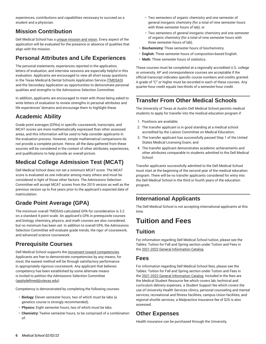experiences, contributions and capabilities necessary to succeed as a student and a physician.

# **Mission Contribution**

Dell Medical School has a [unique mission and vision.](http://dellmedschool.utexas.edu/mission-vision/) Every aspect of the application will be evaluated for the presence or absence of qualities that align with the mission.

# **Personal Attributes and Life Experiences**

The personal statements, experiences reported in the application, letters of evaluation, and interview sessions are especially helpful in this evaluation. Applicants are encouraged to view all short essay questions in the Texas Medical & Dental Schools Application Service ([TMDSAS\)](https://www.tmdsas.com/) and the Secondary Application as opportunities to demonstrate personal qualities and strengths to the Admissions Selection Committee.

In addition, applicants are encouraged to meet with those being asked to write letters of evaluation to review strengths in personal attributes and life experiences' domains and encourage them to highlight these.

# **Academic Ability**

Grade point averages (GPAs) in specific coursework, transcripts, and MCAT scores are more mathematically expressed than other assessed areas, and this information will be used to help consider applicants in the evaluation process. However, simple mathematical comparisons do not provide a complete picture. Hence, all the data gathered from these sources will be considered in the context of other attributes, experiences, and qualifications to help provide an overall picture.

# **Medical College Admission Test (MCAT)**

Dell Medical School does not set a minimum MCAT score. The MCAT score is evaluated as one indicator among many others and must be considered in light of those other factors. The Admissions Selection Committee will accept MCAT scores from the 2015 version as well as the previous version up to five years prior to the applicant's expected date of matriculation.

# **Grade Point Average (GPA)**

The minimum overall TMDSAS-calculated GPA for consideration is 3.2 on a standard 4 point scale. An applicant's GPA in prerequisite courses and biology, chemistry, physics, and math courses are also considered, but no minimum has been set. In addition to overall GPA, the Admissions Selection Committee will evaluate grade trends, the rigor of coursework, and advanced science coursework.

# **Prerequisite Courses**

Dell Medical School supports the movement toward [competencies](https://www.aamc.org/download/271072/data/scientificfoundationsforfuturephysicians.pdf). Applicants are free to demonstrate competencies by any means; for most, the easiest method will be through satisfactory performance in appropriately rigorous coursework. Any applicant that believes competency has been established by some alternate means is invited to petition the Admissions Selection Committee ([applydellmed@utexas.edu](mailto:applydellmed@utexas.edu)).

Competency is demonstrated by completing the following courses:

- **Biology:** Eleven semester hours, two of which must be labs (a genetics course is strongly recommended).
- **Physics:** Eight semester hours, two of which must be labs.
- **Chemistry:** Twelve semester hours, to be comprised of a combination of:
- Two semesters of organic chemistry and one semester of general inorganic chemistry (for a total of nine semester hours with three semester hours of lab); or
- Two semesters of general inorganic chemistry and one semester of organic chemistry (for a total of nine semester hours with three semester hours of lab).
- **Biochemistry:** Three semester hours of biochemistry.
- **English:** Three semester hours of composition-based English.
- **Math:** Three semester hours of statistics.

These courses must be completed at a regionally accredited U.S. college or university. AP and correspondence courses are acceptable if the official transcript indicates specific course numbers and credits granted. A grade of "C" or higher must be recorded in each of these courses. Any quarter-hour credit equals two-thirds of a semester-hour credit.

# **Transfer From Other Medical Schools**

The University of Texas at Austin Dell Medical School permits medical students to apply for transfer into the medical education program if:

- 1. Positions are available;
- 2. The transfer applicant is in good standing at a medical school accredited by the Liaison Committee on Medical Education;
- 3. The transfer applicant has successfully passed Step 1 of the United States Medical Licensing Exam; and
- 4. The transfer applicant demonstrates academic achievements and other attributes comparable to students admitted to the Dell Medical School.

Transfer applicants successfully admitted to the Dell Medical School must start at the beginning of the second year of the medical education program. There will be no transfer applicants considered for entry into the Dell Medical School in the third or fourth years of the education program.

# **International Applicants**

The Dell Medical School is not accepting international applicants at this time.

# **Tuition and Fees**

# <span id="page-6-0"></span>**Tuition**

For information regarding Dell Medical School tuition, please see the Tables: Tuition for Fall and Spring section under Tuition and Fees in the [2021-2022 General Information Catalog](https://registrar.utexas.edu/catalogs/general-information/).

# **Fees**

For information regarding Dell Medical School fees, please see the Tables: Tuition for Fall and Spring section under Tuition and Fees in the [2021-2022 General Information Catalog](https://registrar.utexas.edu/catalogs/general-information/). Included in the fees are the Medical Student Resource fee which covers lab, technical and curriculum delivery expenses; a Student Support fee which covers the use of University Health Services clinics, personal counseling and mental services, recreational and fitness facilities, campus Union facilities, and regional shuttle services; a Malpractice Insurance fee of \$25 is also assessed.

# **Other Expenses**

Health insurance can be purchased through the University.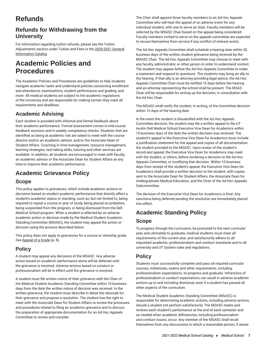# **Refunds**

# <span id="page-7-0"></span>**Refunds for Withdrawing from the University**

For information regarding tuition refunds, please see the Tuition Adjustments section under Tuition and Fees in the [2020-2021 General](https://registrar.utexas.edu/catalogs/general-information/) [Information Catalog.](https://registrar.utexas.edu/catalogs/general-information/)

# **Academic Policies and Procedures**

<span id="page-7-1"></span>The Academic Policies and Procedures are guidelines to help students navigate academic tasks and understand policies concerning enrollment and attendance, examinations, student performance and grading, and more. All medical students are subject to the academic regulations of the University and are responsible for making certain they meet all requirements and deadlines.

# **Academic Advising**

Each student is provided with informal and formal feedback about their academic performance. Formal assessment comes in mid-course feedback sessions and in weekly competency checks. Students that are identified as being at academic risk are asked to meet with the course director and/or an academic advisor, and/or the Associate Dean of Student Affairs. Coaching in time-management, resource management, learning strategies, test-taking skills, tutoring and other services are available. In addition, all students are encouraged to meet with faculty, an academic advisor or the Associate Dean for Student Affairs at any time to improve their academic performance.

# <span id="page-7-2"></span>**Academic Grievance Policy**

# **Scope**

This policy applies to grievances, which include academic actions or decisions based on student academic performance that directly affect a student's academic status or standing, such as, but not limited to, being required to repeat a course or year of study, being placed on probation, being suspended from the program, or being dismissed from the Dell Medical School program. When a student is affected by an adverse academic action or decision made by the Medical Student Academic Standing Committee (MSASC), the student may appeal the action or decision using the process described below.

This policy does not apply to grievances for a course or clerkship grade. See [Appeal of a Grade](#page-8-0) ([p. 8](#page-8-0)).

# **Policy**

A student may appeal any decisions of the MSASC. Any adverse action based on academic performance alone will be deferred until the grievance is resolved. Adverse actions based on conduct or professionalism will be in effect until the grievance is resolved.

A student must file written notice of their grievance with the Chair of the Medical Student Academic Standing Committee within 10 business days from the date the written notice of decision was received. In the written grievance, the student must describe in detail the rationale for their grievance and propose a resolution. The student has the right to meet with the Associate Dean for Student Affairs to review the processes and procedures related to filing an academic grievance and to discuss the preparation of appropriate documentation for an Ad Hoc Appeals Committee to review and consider.

The Chair shall appoint three faculty members to an Ad Hoc Appeals Committee who will hear the appeal of an adverse event for any individual student, with one to serve as chair. Faculty members will be selected by the MSASC Chair based on the appeal being considered. Faculty members invited to serve on the appeals committee are expected to recuse themselves from service if any conflict of interest exists.

The Ad Hoc Appeals Committee shall schedule a hearing date within 30 business days of the written student grievance being received by the MSASC Chair. The Ad Hoc Appeals Committee may choose to meet with any faculty, administrator, or other person in order to understand context. The student may appear before the Ad Hoc Appeals Committee to make a statement and respond to questions. The students may bring an ally to the hearing. If that ally is an attorney providing legal advice, the Ad Hoc Appeals Committee Chair must be notified 10 days before the hearing and an attorney representing the school shall be present. The MSAS Chair will be responsible for writing up the decision, in consultation with the Ad Hoc Chair.

The MSASC shall notify the student, in writing, of the Committee decision within 10 days of the hearing date.

In the event the student is dissatisfied with the Ad Hoc Appeals Committee decision, the student may file a written appeal to the UT Austin Dell Medical School Executive Vice Dean for Academics within 10 business days of the date the written decision was received. The student's appeal to the Executive Vice Dean for Academics must include a justification statement for the appeal and copies of all documentation the student provided to the MSASC. Upon review of the student's record and appeal, the Executive Vice Dean for Academics may meet with the student, or others, before rendering a decision to the Ad Hoc Appeals Committee, or modifying that decision. Within 10 business days from receipt of the student's appeal, the Executive Vice Dean for Academics shall provide a written decision to the student, with copies sent to the Associate Dean for Student Affairs, the Associate Dean for Undergraduate Medical Education, and the Chair of the Ad Hoc Appeals Subcommittee.

The decision of the Executive Vice Dean for Academics is final. Any sanctions being deferred pending the resolution are immediately placed into effect.

# **Academic Standing Policy**

# **Scope**

To progress through the curriculum, be promoted to the next curricular year, and ultimately to graduate, medical students must meet all requirements of the current year, and satisfactorily adhere to all stipulated academic, professionalism and conduct standards and to all university and UT System rules and regulations.

# **Policy**

Students must successfully complete and pass all required curricular courses, milestones, exams and other requirements, including professionalism expectations, to progress and graduate. Infractions of professionalism or conduct expectations can result in adverse academic actions up to and including dismissal, even if a student has passed all other aspects of the curriculum.

The Medical Student Academic Standing Committee (MSASC) is responsible for determining academic actions, including adverse actions, should a student not perform satisfactorily. The MSASC meets and reviews each student's performance at the end of each semester and as needed when academic deficiencies, including professionalism and conduct issues, occur. Any member of the MSASC shall recall themselves from any discussions in which a reasonable person, if aware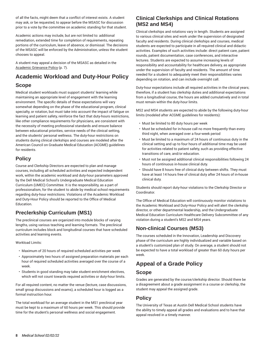of all the facts, might deem that a conflict of interest exists. A student may ask, or be requested, to appear before the MSASC for discussion prior to a vote by the committee on academic standing for that student.

Academic actions may include, but are not limited to: additional remediation, extended time for completion of requirements, repeating portions of the curriculum, leave of absence, or dismissal. The decisions of the MSASC will be enforced by the Administration, unless the student chooses to appeal.

A student may appeal a decision of the MSASC as detailed in the [Academic](#page-7-2) Grievance Policy [\(p. 7](#page-7-2)).

# **Academic Workload and Duty-Hour Policy**

# **Scope**

Medical student workloads must support students' learning while maintaining an appropriate level of engagement with the learning environment. The specific details of these expectations will vary somewhat depending on the phase of the educational program, clinical specialty, or rotation, but must take into account the impact of fatigue on learning and patient safety, reinforce the fact that duty-hours restrictions, like other compliance requirements for physicians, are consistent with the necessity of meeting professional standards and ensure balance between educational priorities, service needs of the clinical setting, and the students' personal wellness. The duty-hour restrictions on students during clinical clerkships and courses are modeled after the American Council on Graduate Medical Education (ACGME) guidelines for residents.

# **Policy**

Course and Clerkship Directors are expected to plan and manage courses, including all scheduled activities and expected independent work, within the academic workload and duty-hour parameters approved by the Dell Medical School's Undergraduate Medical Education Curriculum (UMEC) Committee. It is the responsibility, as a part of professionalism, for the student to abide by medical school requirements regarding duty-hour restrictions. Violations of the Academic Workload and Duty-Hour Policy should be reported to the Office of Medical Education.

# **Preclerkship Curriculum (MS1)**

The preclinical courses are organized into module blocks of varying lengths, using various teaching and learning formats. The preclinical curriculum includes block and longitudinal courses that have scheduled activities and learning events.

# Workload Limits:

- Maximum of 20 hours of required scheduled activities per week
- Approximately two hours of assigned preparation materials per each hour of required scheduled activities averaged over the course of a week.
- Students in good standing may take student enrichment electives, which will not count towards required activities or duty-hour limits.

For all required content, no matter the venue (lecture, case discussions, small group discussions and exams), a scheduled hour is logged as a formal instruction hour.

The total workload for an average student in the MS1 preclinical year must be kept to a maximum of 60 hours per week. This should provide time for the student's personal wellness and social engagement.

# **Clinical Clerkships and Clinical Rotations (MS2 and MS4)**

Clinical clerkships and rotations vary in length. Students are assigned to various clinical sites and work under the supervision of designated faculty and residents. During clinical clerkships and courses, medical students are expected to participate in all required clinical and didactic activities. Examples of such activities include: direct patient care, patient rounds, patient documentation, case conferences, and interactive lectures. Students are expected to assume increasing levels of responsibility and accountability for healthcare delivery, as appropriate under the supervision of faculty and residents. The amount of time needed for a student to adequately meet their responsibilities varies depending on rotation, and can include overnight call.

Duty-hour expectations include all required activities in the clinical years; therefore, if a student has clerkship duties and additional expectations from a longitudinal course, the hours are added cumulatively and in total must remain within the duty-hour limits.

MS2 and MS4 students are expected to abide by the following duty-hour limits (modeled after ACGME guidelines for residents):

- Must be limited to 80 duty hours per week
- Must be scheduled for in-house call no more frequently than every third night, when averaged over a four-week period
- Must be limited to a maximum of 24 hours of continuous duty in the clinical setting and up to four hours of additional time may be used for activities related to patient safety, such as providing effective transitions of care, and/or education.
- Must not be assigned additional clinical responsibilities following 24 hours of continuous in-house clinical duty.
- Should have 8 hours free of clinical duty between shifts. They must have at least 14 hours free of clinical duty after 24 hours of in-house clinical duty.

Students should report duty-hour violations to the Clerkship Director or Coordinator.

The Office of Medical Education will continuously monitor violations to the Academic Workload and Duty-Hour Policy and will alert the clerkship director, or other departmental leadership, and the Undergraduate Medical Education Curriculum Healthcare Delivery Subcommittee of any violation during a student's MS2 and MS4 years.

# **Non-clinical Courses (MS3)**

The courses scheduled in the Innovation, Leadership and Discovery phase of the curriculum are highly individualized and variable based on a student's customized plan of study. On average, a student should not be expected to have a total workload of greater than 60 duty hours per week.

# <span id="page-8-0"></span>**Appeal of a Grade Policy**

# **Scope**

Grades are generated by the course/clerkship director. Should there be a disagreement about a grade assignment in a course or clerkship, the student may appeal the assigned grade.

# **Policy**

The University of Texas at Austin Dell Medical School students have the ability to timely appeal all grades and evaluations and to have that appeal resolved in a timely manner.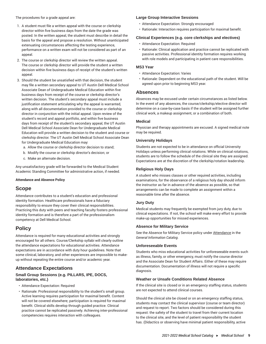The procedures for a grade appeal are:

- 1. A student must file a written appeal with the course or clerkship director within five business days from the date the grade was posted. In the written appeal, the student must describe in detail the basis for the appeal and propose a resolution. Without unanticipated extenuating circumstances affecting the testing experience, performance on a written exam will not be considered as part of an appeal.
- 2. The course or clerkship director will review the written appeal. The course or clerkship director will provide the student a written decision within five business days of receipt of the student's written appeal.
- 3. Should the student be unsatisfied with that decision, the student may file a written secondary appeal to UT Austin Dell Medical School Associate Dean of Undergraduate Medical Education within five business days from receipt of the course or clerkship director's written decision. The student's secondary appeal must include a justification statement articulating why the appeal is warranted, along with all documentation provided to the course or clerkship director in conjunction with the initial appeal. Upon review of the student's record and appeal portfolio, and within five business days from receipt of the student's secondary appeal, the UT Austin Dell Medical School Associate Dean for Undergraduate Medical Education will provide a written decision to the student and course or clerkship director. The UT Austin Dell Medical School Associate Dean for Undergraduate Medical Education may:
	- a. Allow the course or clerkship director decision to stand;
	- b. Modify the course or clerkship director's decision; or
	- c. Make an alternate decision.

Any unsatisfactory grade will be forwarded to the Medical Student Academic Standing Committee for administrative action, if needed.

#### **Attendance and Absence Policy**

# **Scope**

Attendance contributes to a student's education and professional identity formation. Healthcare professionals have a fiduciary responsibility to ensure they cover their clinical responsibilities. Practicing this duty with peers and teaching faculty fosters professional identity formation and is therefore a part of the professionalism competency at Dell Medical School.

# **Policy**

Attendance is required for many educational activities and strongly encouraged for all others. Course/Clerkship syllabi will clearly outline the attendance expectations for educational activities. Attendance expectations are in accordance with duty hour guidelines. Note that some clinical, laboratory, and other experiences are impossible to makeup without repeating the entire course and/or academic year.

# **Attendance Expectations**

# **Small Group Sessions (e.g. PILLARS, IPE, DOCS, laboratories, etc.)**

- Attendance Expectation: Required
- Rationale: Professional responsibility to the student's small group. Active learning requires participation for maximal benefit. Content will not be covered elsewhere; participation is required for maximal benefit. Clinical skills develop through guided practice. Clinical practice cannot be replicated passively. Achieving inter-professional competencies requires interaction with colleagues.

#### **Large Group Interactive Sessions**

- Attendance Expectation: Strongly encouraged
- Rationale: Interaction requires participation for maximal benefit.

# **Clinical Experiences (e.g. core clerkships and electives)**

- Attendance Expectation: Required
- Rationale: Clinical application and practice cannot be replicated with passive activities. Professional identity formation requires working with role models and participating in patient care responsibilities.

# **MS3 Year**

- Attendance Expectation: Varies
- Rationale: Dependent on the educational path of the student. Will be agreed upon prior to beginning MS3 year.

# **Absences**

Absences may be excused under certain circumstances as listed below. In the event of any absences, the course/clerkship/elective director will determine on a case-by-case basis if the student will be assigned further clinical work, a makeup assignment, or a combination of both.

# **Medical**

Physician and therapy appointments are excused. A signed medical note may be required.

#### **University Holidays**

Students are not expected to be in attendance on official University Holidays unless performing clinical rotations. While on clinical rotations, students are to follow the schedule of the clinical site they are assigned. Expectations are at the discretion of the clerkship/rotation leadership.

#### **Religious Holy Days**

A student who misses classes or other required activities, including examinations, for the observance of a religious holy day should inform the instructor as far in advance of the absence as possible, so that arrangements can be made to complete an assignment within a reasonable time after the absence.

#### **Jury Duty**

Medical students may frequently be exempted from jury duty, due to clinical expectations. If not, the school will make every effort to provide make-up opportunities for missed experiences.

#### **Absence for Military Service**

See the Absence for Military Service policy under [Attendance](http://catalog.utexas.edu/general-information/academic-policies-and-procedures/attendance/) in the *General Information Catalog*.

#### **Unforeseeable Events**

Students who miss educational activities for unforeseeable events such as illness, family, or other emergency, must notify the course director and the Associate Dean for Student Affairs. Either of these may require documentation. Documentation of illness will not require a specific diagnosis.

# **Weather or Unsafe Conditions Related Absence**

If the clinical site is closed or in an emergency staffing status, students are not expected to attend clinical courses.

Should the clinical site be closed or on an emergency staffing status, students may contact the clinical supervisor (course or team director) and request to report. Two factors should be considered during this request: the safety of the student to travel from their current location to the clinical site, and the level of patient responsibility the student has. (Didactics or observing have minimal patient responsibility, active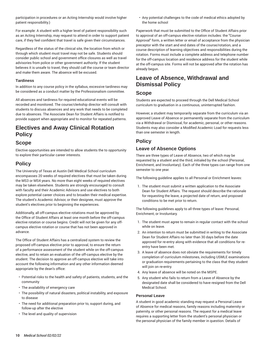participation in procedures or an Acting Internship would involve higher patient responsibility.)

For example: A student with a higher level of patient responsibility such as an Acting Internship, may request to attend in order to support patient care, if they feel confident that travel is safe given their circumstances.

Regardless of the status of the clinical site, the location from which or through which student must travel may not be safe. Students should consider public school and government office closures as well as travel advisories from police or other government authority. If the student believes it is unsafe to travel, they should call the course or team director and make them aware. The absence will be excused.

# **Tardiness**

In addition to any course policy in the syllabus, excessive tardiness may be considered as a conduct matter by the Professionalism committee.

All absences and tardiness for required educational events will be recorded and monitored. The course/clerkship director will consult with students to discuss absences and any work that needs to be completed due to absences. The Associate Dean for Student Affairs is notified to provide support when appropriate and to monitor for repeated patterns.

# **Electives and Away Clinical Rotation Policy**

# **Scope**

Elective opportunities are intended to allow students the to opportunity to explore their particular career interests.

# **Policy**

The University of Texas at Austin Dell Medical School curriculum encompasses 20 weeks of required electives that must be taken during the MS3 or MS4 years. No more than eight weeks of required electives may be taken elsewhere. Students are strongly encouraged to consult with faculty and their Academic Advisors and use electives to both explore potential career choices and to broaden their medical expertise. The student's Academic Advisor, or their designee, must approve the student's electives prior to beginning the experiences.

Additionally, all off-campus elective rotations must be approved by the Office of Student Affairs at least one month before the off-campus elective rotation or course begins. Credit will not be given for any offcampus elective rotation or course that has not been approved in advance.

The Office of Student Affairs has a centralized system to review the proposed off-campus elective prior to approval, to ensure the return of a performance assessment of the student while on the off-campus elective, and to retain an evaluation of the off-campus elective by the student. The decision to approve an off-campus elective will take into account the following information and any other information deemed appropriate by the dean's office:

- Potential risks to the health and safety of patients, students, and the community
- The availability of emergency care
- The possibility of natural disasters, political instability, and exposure to disease
- The need for additional preparation prior to, support during, and follow-up after the elective
- The level and quality of supervision

• Any potential challenges to the code of medical ethics adopted by the home school

Paperwork that must be submitted to the Office of Student Affairs prior to approval of an off-campus elective rotation includes: the "Course Approval" form, a written letter or email of acceptance from the physician preceptor with the start and end dates of the course/rotation, and a course description of learning objectives and responsibilities during the rotation. Forms must include a complete address and telephone number for the off-campus location and residence address for the student while at the off-campus site. Forms will not be approved after the rotation has already begun.

# **Leave of Absence, Withdrawal and Dismissal Policy**

# **Scope**

Students are expected to proceed through the Dell Medical School curriculum to graduation in a continuous, uninterrupted fashion.

However, a student may temporarily separate from the curriculum via an approved Leave of Absence or permanently separate from the curriculum via a Withdrawal or Dismissal, for academic, personal, or other reasons. Students may also consider a Modified Academic Load for requests less than one semester in length.

# **Policy**

# **Leave of Absence Options**

There are three types of Leave of Absence, two of which may be requested by a student and the third, initialed by the school (Personal, Enrichment, and Involuntary). Each of the three types can range from one semester to one year.

The following guideline applies to all Personal or Enrichment leaves:

1. The student must submit a written application to the Associate Dean for Student Affairs. The request should describe the rationale for requesting the leave, a projected date of return, and proposed conditions to be met prior to return.

The following guidelines apply to all three types of leave: Personal, Enrichment, or Involuntary.

- 1. The student must agree to remain in regular contact with the school while on leave.
- 2. An intention to return must be submitted in writing to the Associate Dean for Student Affairs no later than 30 days before the date approved for re-entry along with evidence that all conditions for reentry have been met.
- 3. A leave of absence does not obviate the requirements for timely completion of curriculum milestones, including USMLE examinations or graduation requirements pertaining to the class that they student will join on re-entry.
- 4. Any leave of absence will be noted on the MSPE.
- 5. Any student who fails to return from a Leave of Absence by the designated date shall be considered to have resigned from the Dell Medical School.

# **Personal Leave**

A student in good academic standing may request a Personal Leave of Absence for medical reasons, family reasons including maternity or paternity, or other personal reasons. The request for a medical leave requires a supporting letter from the student's personal physician or the personal physician of the family member in question. Details of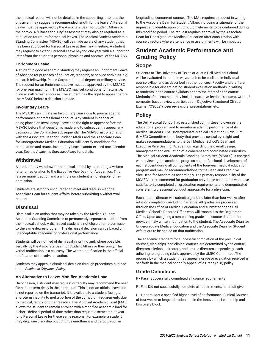the medical reason will not be detailed in the supporting letter but the physician may suggest a recommended length for the leave. A Personal Leave must be approved by the Associate Dean for Student Affairs or their proxy. A "Fitness for Duty" assessment may also be required as a stipulation for return for medical leaves. The Medical Student Academic Standing Committee (MSASC) will be made aware of any student that has been approved for Personal Leave at their next meeting. A student may request to extend Personal Leave beyond one year with a supporting letter from the student's personal physician and approval of the MSASC.

# **Enrichment Leave**

A student in good academic standing may request an Enrichment Leave of Absence for purposes of education, research, or service activities, e.g. research fellowship, Peace Corps, additional degree, or military service. The request for an Enrichment Leave must be approved by the MSASC for one year maximum. The MSASC may set conditions for return, i.e. clinical skill refresher course. The student has the right to appear before the MSASC before a decision is made.

# **Involuntary Leave**

The MSASC can initiate an Involuntary Leave due to poor academic performance or professional conduct. Any student in danger of being placed on Involuntary Leave has the right to appear before the MSASC before that decision is made and to subsequently appeal any decision of the Committee subsequently. The MSASC, in consultation with the Associate Dean for Student Affairs and the Associate Dean for Undergraduate Medical Education, will identify conditions for remediation and return. Involuntary Leave cannot exceed one calendar year. See the *Academic Grievance Policy* for details.

# **Withdrawal**

A student may withdraw from medical school by submitting a written letter of resignation to the Executive Vice Dean for Academics. This is a permanent action and a withdrawn student is not eligible for readmission.

Students are strongly encouraged to meet and discuss with the Associate Dean for Student Affairs, before submitting a withdrawal request.

# **Dismissal**

Dismissal is an action that may be taken by the Medical Student Academic Standing Committee to permanently separate a student from the medical school. A dismissed student is not eligible for re-admission to the same degree program. The dismissal decision can be based on unacceptable academic or professional performance.

Students will be notified of dismissal in writing and, where possible, verbally by the Associate Dean for Student Affairs or their proxy. The verbal notification is a courtesy. The written notification is the official notification of the adverse action.

Students may appeal a dismissal decision through procedures outlined in the *Academic Grievance Policy*.

# **An Alternative to Leave: Modified Academic Load**

On occasion, a student may request or faculty may recommend the need for a short-term delay in the curriculum. This is not an official leave and is not reported on the transcript. It is available to a student facing a short-term inability to met a portion of the curriculum requirements due to medical, family, or other reasons. The Modified Academic Load (MAL) allows the student to remain enrolled with a modified academic load for a short, defined, period of time rather than request a semester- or yearlong Personal Leave for these same reasons. For example, a student may drop one clerkship but continue enrollment and participation in

longitudinal concurrent courses. The MAL requires a request in writing to the Associate Dean for Student Affairs including a rationale for the request and identification of curriculum elements to be continued during this modified period. The request requires approval by the Associate Dean for Undergraduate Medical Education after consultation with course directors where attendance or assignments will be impacted.

# **Student Academic Performance and Grading Policy**

# **Scope**

Students at The University of Texas at Austin Dell Medical School will be evaluated in multiple ways, each to be outlined in individual course syllabi and as described in other policies. Faculty and staff are responsible for disseminating student evaluation methods in writing to students in the course syllabus prior to the start of each course. Methods of assessment may include: narrative feedback, exams, written/ computer-based reviews, participation, Objective Structured Clinical Exams ("OSCEs"), peer review, oral presentations, etc.

# **Policy**

The Dell Medical School has established committees to oversee the educational program and to monitor academic performance of its medical students. The Undergraduate Medical Education Curriculum (UMEC) Committee is the body that provides central oversight and makes recommendations to the Dell Medical School's Dean and Executive Vice Dean for Academics regarding the overall design, management and evaluation of a coherent and coordinated curriculum. The Medical Student Academic Standing Committee (MSASC) is charged with reviewing the academic progress and professional development of each student during all components of the four-year medical education program and making recommendations to the Dean and Executive Vice Dean for Academics accordingly. The primary responsibility of the MSASC is to recommend for graduation only those candidates who have satisfactorily completed all graduation requirements and demonstrated consistent professional conduct appropriate for a physician.

Each course director will submit a grade no later than four weeks after rotation completion, including narrative. All grades are processed through the Office of Medical Education and submitted to the Dell Medical School's Records Office who will transmit to the Registrar's Office. Upon assigning a non-passing grade, the course director must provide timely written notification to the student. The Associate Dean for Undergraduate Medical Education and the Associate Dean for Student Affairs are to be copied on that notification.

The academic standard for successful completion of the preclinical courses, clerkships, and clinical courses are determined by the course directors, clerkship directors, and course directors, respectively, each adhering to a grading rubric approved by the UMEC Committee. The process by which a student may appeal a grade or evaluation received is set forth in the medical school's [Appeal of a Grade \(p. 8](#page-8-0)) policy.

# **Grade Definitions**

P - Pass: Successfully completed all course requirements

F - Fail: Did not successfully complete all requirements, no credit given

H - Honors: Met a specified higher level of performance. Clinical Courses of four weeks or longer duration and in the Innovation, Leadership and Discovery Block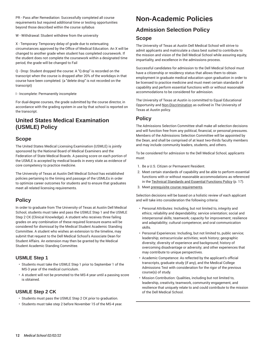PR - Pass after Remediation: Successfully completed all course requirements but required additional time or testing opportunities beyond those described within the course syllabus

W - Withdrawal: Student withdrew from the university

X - Temporary: Temporary delay of grade due to extenuating circumstances approved by the Office of Medical Education. An X will be changed to another grade when student has completed coursework. If the student does not complete the coursework within a designated time period, the grade will be changed to Fail

Q - Drop: Student dropped the course: A "Q drop" is recorded on the transcript when the course is dropped after 20% of the workdays in that course have been completed. (a "delete drop" is not recorded on the transcript)

I - Incomplete: Permanently incomplete

For dual-degree courses, the grade submitted by the course director, in accordance with the grading system in use by that school is reported on the transcript.

# **United States Medical Examination (USMLE) Policy**

# **Scope**

The United States Medical Licensing Examination (USMLE) is jointly sponsored by the National Board of Medical Examiners and the Federation of State Medical Boards. A passing score on each portion of the USMLE is accepted by medical boards in every state as evidence of core competency to practice medicine.

The University of Texas at Austin Dell Medical School has established policies pertaining to the timing and passage of the USMLEs in order to optimize career outcomes for students and to ensure that graduates meet all related licensing requirements.

# **Policy**

In order to graduate from The University of Texas at Austin Dell Medical School, students must take and pass the USMLE Step 1 and the USMLE Step 2 CK (Clinical Knowledge). A student who receives three failing grades on any combination of these required licensure exams will be considered for dismissal by the Medical Student Academic Standing Committee. A student who wishes an extension to the timeline, may submit that request to the Dell Medical School's Associate Dean for Student Affairs. An extension may then be granted by the Medical Student Academic Standing Committee.

# **USMLE Step 1**

- Students must take the USMLE Step 1 prior to September 1 of the MS-3 year of the medical curriculum.
- A student will not be promoted to the MS-4 year until a passing score is obtained.

# **USMLE Step 2 CK**

- Students must pass the USMLE Step 2 CK prior to graduation.
- Students must take step 2 before November 15 of the MS-4 year.

# **Non-Academic Policies**

# <span id="page-12-0"></span>**Admission Selection Policy**

# **Scope**

The University of Texas at Austin Dell Medical School will strive to admit applicants and matriculate a class best suited to contribute to the mission and vision of the Dell Medical School while assuring equity, impartiality, and excellence in the admissions process.

Successful candidates for admission to the Dell Medical School must have a citizenship or residency status that allows them to obtain employment in graduate medical education upon graduation in order to be licensed to practice medicine and must meet certain standards of capability and perform essential functions with or without reasonable accommodations to be considered for admission.

The University of Texas at Austin is committed to Equal Educational Opportunity and [Non-Discrimination](https://www.policies.utexas.edu/policies/nondiscrimination-policy/) as outlined in The University of Texas at Austin policy.

# **Policy**

The Admissions Selection Committee shall make all selection decisions and will function free from any political, financial, or personal pressures. Members of the Admissions Selection Committee will be appointed by the Dean, and shall be comprised of at least two-thirds faculty members and may include community leaders, students, and others.

To be considered for admission to the Dell Medical School, applicants must:

- 1. Be a U.S. Citizen or Permanent Resident.
- 2. Meet certain standards of capability and be able to perform essential functions with or without reasonable accommodations as referenced in the Technical [Standards](#page-17-0) and Essential Functions Policy ([p. 17](#page-17-0)).
- 3. Meet prerequisite course [requirements](https://dellmed.utexas.edu/education/how-to-apply/admissions-criteria/).

Selection decisions will be based on a holistic review of each applicant and will take into consideration the following criteria:

- Personal Attributes: Including, but not limited to, integrity and ethics; reliability and dependability; service orientation; social and interpersonal skills; teamwork; capacity for improvement; resilience and adaptability; cultural competence; and oral communication skills.
- Personal Experiences: Including, but not limited to, public service; leadership; extracurricular activities; work history; geographic diversity; diversity of experience and background; history of overcoming disadvantage or adversity; and other experiences that may contribute to unique perspectives.
- Academic Competence: As reflected by the applicant's official transcripts, graduate study (if any), and the Medical College Admissions Test with consideration for the rigor of the previous course(s) of study.
- Mission Contribution: Qualities, including but not limited to, leadership, creativity, teamwork, community engagement, and resilience that uniquely relate to and could contribute to the mission of the Dell Medical School.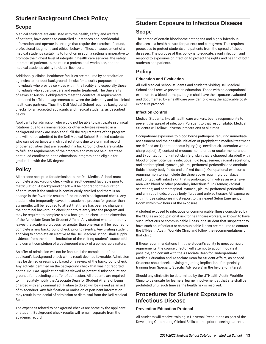# **Student Background Check Policy**

# **Scope**

Medical students are entrusted with the health, safety and welfare of patients, have access to controlled substances and confidential information, and operate in settings that require the exercise of sound, professional judgment, and ethical behavior. Thus, an assessment of a medical student's suitability to function in such a setting is imperative to promote the highest level of integrity in health care services, the safety interests of patients, to maintain a professional workplace, and the medical student's ability to obtain licensure.

Additionally, clinical healthcare facilities are required by accreditation agencies to conduct background checks for security purposes on individuals who provide services within the facility and especially those individuals who supervise care and render treatment. The University of Texas at Austin is obligated to meet the contractual requirements contained in affiliation agreements between the University and its clinical healthcare partners. Thus, the Dell Medical School requires background checks for all accepted applicants and medical students, as described below.

Applicants for admission who would not be able to participate in clinical rotations due to a criminal record or other activities revealed in a background check are unable to fulfill the requirements of the program and will not be admitted to the Dell Medical School. Enrolled students who cannot participate in clinical rotations due to a criminal record or other activities that are revealed in a background check are unable to fulfill the requirements of the program and may not be guaranteed continued enrollment in the educational program or be eligible for graduation with the MD degree.

# **Policy**

All persons accepted for admission to the Dell Medical School must complete a background check with a result deemed favorable prior to matriculation. A background check will be honored for the duration of enrollment if the student is continuously enrolled and there is no change in the favorable results of the student's background check. Any student who temporarily leaves the academic process for greater than six months will be required to attest that there has been no change in their criminal background check prior to re-entry into the program and may be required to complete a new background check at the discretion of the Associate Dean for Student Affairs. Any student who temporarily leaves the academic process for greater than one year will be required to complete a new background check, prior to re-entry. Any visiting student applying to complete an elective at the Dell Medical School shall supply evidence from their home institution of the visiting student's successful and current completion of a background check of a comparable nature.

An offer of admission will not be final until the completion of the applicant's background check with a result deemed favorable. Admission may be denied or rescinded based on a review of the background check. Any activity identified on the background check that was not reported on the TMDSAS application will be viewed as potential misconduct and grounds for rescinding an offer of admission. All students are required to immediately notify the Associate Dean for Student Affairs of being charged with any criminal act. Failure to do so will be viewed as an act of misconduct. Any falsification or omission of pertinent information may result in the denial of admission or dismissal from the Dell Medical School.

The expenses related to background checks are borne by the applicant or student. Background check results will remain separate from the academic record.

# **Student Exposure to Infectious Disease**

# **Scope**

The spread of certain bloodborne pathogens and highly infectious diseases is a health hazard for patients and care givers. This requires processes to protect students and patients from the spread of these diseases. The purpose of this policy is to educate, avoid infection, and respond to exposures or infection to protect the rights and health of both students and patients.

# **Policy**

# **Education and Evaluation**

All Dell Medical School students and students visiting Dell Medical School shall receive prevention education. Those with an occupational exposure to a blood borne pathogen shall have the exposure evaluated and documented by a healthcare provider following the applicable postexposure protocol.

# **Infection Control**

Medical Students, like all health care workers, bear a responsibility to prevent the spread of infection. Pursuant to that responsibility, Medical Students will follow universal precautions at all times.

Occupational exposures to blood borne pathogens requiring immediate assessment and the possible initiation of prophylactic medical treatment are defined as: 1) percutaneous injury (e.g. needlestick, laceration with a sharp object); 2) contact of mucous membranes or ocular membranes; and 3) contact of non-intact skin (e.g. skin that is chapped, abraded) with blood or other potentially infectious fluid (e.g., semen; vaginal secretions; and cerebrospinal, synovial, pleural, peritoneal, pericardial and amniotic fluids; bloody body fluids and unfixed tissue). Occupational exposures requiring monitoring include the three above requiring prophylaxis and contact with intact skin that is prolonged or involves an extensive area with blood or other potentially infectious fluid (semen; vaginal secretions; and cerebrospinal, synovial, pleural, peritoneal, pericardial and amniotic fluids; bloody body fluids and unfixed tissue). All exposures within those categories must report to the neared Seton Emergency Room within two hours of the exposure.

A student exposed to infectious or communicable illness considered by the CDC as an occupational risk for healthcare workers, or known to have such infectious or communicable illness, or a student that suspects they have such an infectious or communicable illness are required to contact the UTHealth Austin Worklife Clinic and follow the recommendations of that clinic.

If these recommendations limit the student's ability to meet curriculur requirements, the course director will attempt to accommodate if possible, and consult with the Associate Dean for Undergraduate Medical Education and Associate Dean for Student Affairs, as needed. Students should seek advising regarding implications for specialty training from Specialty Specific Advisors(s) in the field(s) of interest.

Should any clinic site be determined by the UTHealth Austin Worklife Clinic to be unsafe for learners, learner involvement at that site shall be prohibited until such time as the health risk is resolved.

# **Procedures for Student Exposure to Infectious Disease**

# **Prevention Education Protocol**

All students will receive training in Universal Precautions as part of the Developing Outstanding Clinical Skills course prior to seeing patients.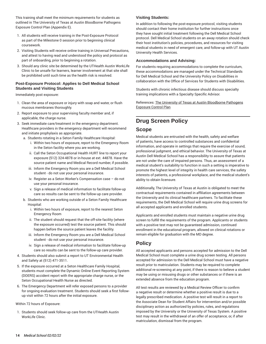This training shall meet the minimum requirements for students as outlined in The University of Texas at Austin Bloodborne Pathogens Exposure Control Plan (Appendix E).

- 1. All students will receive training in the Post-Exposure Protocol as part of the Milestone 0 session prior to beginning clinical coursework.
- 2. Visiting Students will receive online training in Universal Precautions, and attest to having read and understood the policy and protocol as part of onboarding, prior to beginning a rotation.
- 3. Should any clinic site be determined by the UTHealth Austin WorkLife Clinic to be unsafe for learners, learner involvement at that site shall be prohibited until such time as the health risk is resolved.

# **Post-Exposure Protocol: Applies to Dell Medical School Students and Visiting Students**

Immediately post exposure:

- 1. Clean the area of exposure or injury with soap and water, or flush mucous membranes thoroughly.
- 2. Report exposure to your supervising faculty member and, if applicable, the charge nurse.
- 3. Seek immediate care/treatment in the emergency department. Healthcare providers in the emergency department will recommend and initiate prophylaxis as appropriate.
	- a. Students rotating in a Seton Family Healthcare Hospital:
		- i. Within two hours of exposure, report to the Emergency Room in the Seton facility where you are working.
		- ii. Call the Seton Occupational Health HURT line to report your exposure (512) 324-4878 or in-house at ext. 44878. Have the source patient name and Medical Record number, if possible.
		- iii. Inform the Emergency Room you are a Dell Medical School student - do not use your personal insurance.
		- iv. Register as a Seton Worker's Compensation case do not use your personal insurance.
		- v. Sign a release of medical information to facilitate follow-up care so results can be sent to the follow-up care provider.
	- b. Students who are working outside of a Seton Family Healthcare Hospital:
		- i. Within two hours of exposure, report to the nearest Seton Emergency Room
		- ii. The student should request that the off-site facility (where the exposure occurred) test the source patient. This should happen before the source patient leaves the facility.
		- iii. Inform the Emergency Room you are a Dell Medical School student - do not use your personal insurance.
		- iv. Sign a release of medical information to facilitate follow-up care so results can be sent to the follow-up care provider.
- 4. Students should also submit a report to UT Environmental Health and Safety at (512) 471-3511.
- 5. If the exposure occurred at a Seton Healthcare Family Hospital, students must complete the Dynamic Online Event Reporting System (DOERS) accident report with the appropriate charge nurse, or the Seton Occupational Health Nurse as directed.
- 6. The Emergency Department will refer exposed persons to a provider for ongoing evaluation treatment. Students should seek a first followup visit within 72 hours after the initial exposure.

Within 72 hours of Exposure:

1. Students should seek follow-up care from the UTHealth Austin WorkLife Clinic.

# **Visiting Students:**

In addition to following the post-exposure protocol, visiting students should contact their home institution for further instructions once they have sought initial treatment following the Dell Medical School protocol. Dell Medical School students on an away rotation should check their host institution's policies, procedures, and resources for visiting medical students in need of emergent care, and follow-up with UT Austin University Health Services.

# **Accommodations and Advising:**

For students requiring accommodations to complete the curriculum, these accommodations are managed under the Technical Standards for Dell Medical School and the University Policy on Disabilities in collaboration with the Office of Services for Students with Disabilities.

Students with chronic infectious disease should discuss specialty training implications with a Specialty Specific Advisor.

References: The University of Texas at Austin [Bloodborne](https://ehs.utexas.edu/sites/ehs.utexas.edu/files/Exposure-Control-Plan.pdf) Pathogens [Exposure](https://ehs.utexas.edu/sites/ehs.utexas.edu/files/Exposure-Control-Plan.pdf) Control Plan

# **Drug Screen Policy**

# **Scope**

Medical students are entrusted with the health, safety and welfare of patients, have access to controlled substances and confidential information, and operate in settings that require the exercise of sound, professional judgment, and ethical behavior. The University of Texas at Austin Dell Medical School has a responsibility to assure that patients are not under the care of impaired persons. Thus, an assessment of a medical student's suitability to function in such a setting is imperative to promote the highest level of integrity in health care services, the safety interests of patients, a professional workplace, and the medical student's ability to obtain licensure.

Additionally, The University of Texas at Austin is obligated to meet the contractual requirements contained in affiliation agreements between the University and its clinical healthcare partners. To facilitate these requirements, the Dell Medical School will require urine drug screens for all accepted applicants and enrolled students.

Applicants and enrolled students must maintain a negative urine drug screen to fulfill the requirements of the program. Applicants or students with a positive test may not be guaranteed admission, continued enrollment in the educational program, allowed on clinical rotations or remain eligible for graduation with the MD degree.

# **Policy**

All accepted applicants and persons accepted for admission to the Dell Medical School must complete a urine drug screen testing. All persons accepted for admission to the Dell Medical School must have a negative result prior to matriculation. Students may be required to complete additional re-screening at any point, if there is reason to believe a student may be using or misusing drugs or other substances or if there is an extended absence from the education program.

All test results are reviewed by a Medical Review Officer to confirm a negative result or determine whether a positive result is due to a legally prescribed medication. A positive test will result in a report to the Associate Dean for Student Affairs for intervention and/or possible disciplinary action as authorized by policies, rules, and regulations imposed by the University or the University of Texas System. A positive test may result in the withdrawal of an offer of acceptance, or, if after matriculation, dismissal from the program.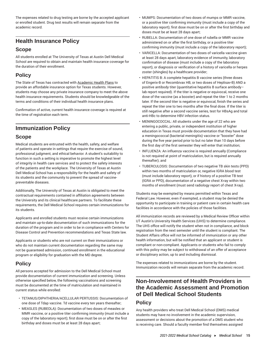The expenses related to drug testing are borne by the accepted applicant or enrolled student. Drug test results will remain separate from the academic record.

# **Health Insurance Policy**

# **Scope**

All students enrolled at The University of Texas at Austin Dell Medical School are required to obtain and maintain health insurance coverage for the duration of their enrollment.

# **Policy**

The State of Texas has contracted with [Academic Health Plans](http://utsouthwestern.myahpcare.com/) to provide an affordable insurance option for Texas students. However, students may choose any private insurance company to meet the above health insurance requirements. Students should be knowledgeable of the terms and conditions of their individual health insurance plans.

Confirmation of active, current health insurance coverage is required at the time of registration each term.

# **Immunization Policy**

# **Scope**

Medical students are entrusted with the health, safety, and welfare of patients and operate in settings that require the exercise of sound, professional judgment, and ethical behavior. A student's suitability to function in such a setting is imperative to promote the highest level of integrity in health care services and to protect the safety interests of the patients and the workplace. The University of Texas at Austin Dell Medical School has a responsibility for the health and safety of its students and the community to prevent the spread of vaccinepreventable diseases.

Additionally, The University of Texas at Austin is obligated to meet the contractual requirements contained in affiliation agreements between the University and its clinical healthcare partners. To facilitate these requirements, the Dell Medical School requires certain immunizations for its students.

Applicants and enrolled students must receive certain immunizations and maintain up-to-date documentation of such immunizations for the duration of the program and in order to be in compliance with Centers for Disease Control and Prevention recommendations and Texas State law.

Applicants or students who are not current on their immunizations or who do not maintain current documentation regarding the same may not be guaranteed admission, continued enrollment in the educational program or eligibility for graduation with the MD degree.

# **Policy**

All persons accepted for admission to the Dell Medical School must provide documentation of current immunization and screening. Unless otherwise specified below, the following vaccinations and screening must be documented at the time of matriculation and maintained in current status while enrolled:

- TETANUS/DIPHTHERIA/ACELLULAR PERTUSSIS: Documentation of one dose of Tdap vaccine. Td vaccine every ten years thereafter;
- MEASLES (RUBEOLA): Documentation of two doses of measles or MMR vaccine, or a positive titer confirming immunity (must include a copy of the laboratory report); first dose must be on or after the first birthday and doses must be at least 28 days apart;
- MUMPS: Documentation of two doses of mumps or MMR vaccine, or a positive titer confirming immunity (must include a copy of the laboratory report); first dose must be on or after the first birthday and doses must be at least 28 days apart;
- RUBELLA: Documentation of one dose of rubella or MMR vaccine administered on or after the first birthday, or a positive titer confirming immunity (must include a copy of the laboratory report);
- VARICELLA: Documentation of two doses of varicella vaccine given at least 28 days apart, laboratory evidence of immunity, laboratory confirmation of disease (must include a copy of the laboratory report), or diagnosis or verification of a history of varicella or herpes zoster (shingles) by a healthcare provider;
- HEPATITIS B: A complete hepatitis B vaccine series (three doses of Engerix-B or Recombivax HB, or two doses of Heplisav-B) AND a positive antibody titer (quantitative hepatitis B surface antibody– lab report required). If the titer is negative or equivocal, receive one dose of the vaccine (as a booster) and repeat the titer 1 to 2 months later. If the second titer is negative or equivocal, finish the series and repeat the titer one to two months after the final dose. If the titer is still negative after a second vaccine series, test for HBsAg and total anti-HBc to determine HBV infection status.
- MENINGOCOCCAL: All students under the age of 22 who are entering a public, private, or independent institution of higher education in Texas must provide documentation that they have had a meningococcal (bacterial meningitis) vaccine or "booster" dose during the five year period prior to but no later than 10 days before the first day of the first semester they will enter that institution;
- INFLUENZA: An influenza vaccine is required annually (Compliance is not required at point of matriculation, but is required annually thereafter); and
- TUBERCULOSIS: Documentation of two negative TB skin tests (PPD) within two months of matriculation or, negative IGRA blood test (must include laboratory report), or if history of a positive TB test (IGRA or PPD), documentation of a negative chest X-ray within two months of enrollment (must send radiology report of chest X-ray).

Students may be exempted by means permitted within Texas and Federal Law. However, even if exempted, a student may be denied the opportunity to participate in training or patient care in certain health care facilities in accordance with the policies of those facilities.

All immunization records are reviewed by a Medical Review Officer within UT Austin's University Health Services (UHS) to determine compliance. The UHS office will notify the student when not in compliance, and block registration from the next semester until the student is compliant. The Student Affairs office will not be informed of immunization or any other health information, but will be notified that an applicant or student is compliant or non-compliant. Applicants or students who fail to comply with this policy may be subject to withdrawal of an offer of acceptance or disciplinary action, up to and including dismissal.

The expenses related to immunizations are borne by the student. Immunization records will remain separate from the academic record.

# **Non-Involvement of Health Providers in the Academic Assessment and Promotion of Dell Medical School Students**

# **Policy**

Any health providers who treat Dell Medical School (DMS) medical students may have no involvement in the academic supervision, assessment or decisions about the promotion of a DMS student who is receiving care. Should a faculty member find themselves assigned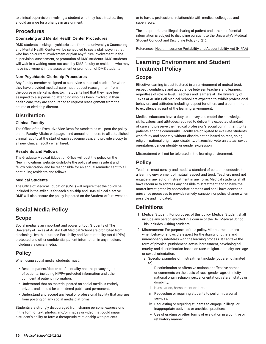to clinical supervision involving a student who they have treated, they should arrange for a change in assignment.

# **Procedures**

# **Counseling and Mental Health Center Procedures**

DMS students seeking psychiatric care from the university's Counseling and Mental Health Center will be scheduled to see a staff psychiatrist who has no current involvement or plan any future involvement in the supervision, assessment, or promotion of DMS students. DMS students will wait in a waiting room not used by DMS faculty or residents who may have involvement in the assessment or promotion of DMS students.

# **Non-Psychiatric Clerkship Procedures**

Any faculty member assigned to supervise a medical student for whom they have provided medical care must request reassignment from the course or clerkship director. If students find that they have been assigned to a supervising attending who has been involved in their health care, they are encouraged to request reassignment from the course or clerkship director.

# **Distribution**

# **Clinical Faculty**

The Office of the Executive Vice Dean for Academics will post the policy on the Faculty Affairs webpage, send annual reminders to all established clinical faculty at the start of each academic year, and provide a copy to all new clinical faculty when hired.

# **Residents and Fellows**

The Graduate Medical Education Office will post the policy on the New Innovations website, distribute the policy at new resident and fellow orientation, and be responsible for an annual reminder sent to all continuing residents and fellows.

# **Medical Students**

The Office of Medical Education (OME) will require that the policy be included in the syllabus for each clerkship and DMS clinical elective. OME will also ensure the policy is posted on the Student Affairs website.

# **Social Media Policy**

# **Scope**

Social media is an important and powerful tool. Students of The University of Texas at Austin Dell Medical School are prohibited from disclosing Health Insurance Portability and Accountability Act (HIPPA) protected and other confidential patient information in any medium, including via social media.

# **Policy**

When using social media, students must:

- Respect patient/doctor confidentiality and the privacy rights of patients, including HIPPA-protected information and other confidential patient information.
- Understand that no material posted on social media is entirely private, and should be considered public and permanent.
- Understand and accept any legal or professional liability that accrues from posting on any social media platforms.

Students are strongly discouraged from sharing personal expressions in the form of text, photos, and/or images or video that could impair a student's ability to form a therapeutic relationship with patients

or to have a professional relationship with medical colleagues and supervisors.

The inappropriate or illegal sharing of patient and other confidential information is subject to discipline pursuant to the University's [Medical](#page-21-0) Student Conduct and [Discipline](#page-21-0) Policy ([p. 21](#page-21-0)).

References: Health Insurance Portability and [Accountability](http://www.hhs.gov/ocr/privacy/hipaa/understanding/) Act (HIPAA)

# **Learning Environment and Student Treatment Policy**

# **Scope**

Effective learning is best fostered in an environment of mutual trust, respect, confidence and acceptance between teachers and learners, regardless of role or level. Teachers and learners at The University of Texas at Austin Dell Medical School are expected to exhibit professional behaviors and attitudes, including respect for others and a commitment to excellence as part of the learning environment.

Medical educators have a duty to convey and model the knowledge, skills, values, and attitudes, required to deliver the expected standard of care and preserve the medical profession's social commitment to its patients and the community. Faculty are obligated to evaluate students' work fairly and honestly, without discrimination based on race, color, religion, national origin, age, disability, citizenship, veteran status, sexual orientation, gender identity, or gender expression.

Mistreatment will not be tolerated in the learning environment.

# **Policy**

Teachers must convey and model a standard of conduct conducive to a learning environment of mutual respect and trust. Teachers must not engage in any act of mistreatment in any form. Medical students shall have recourse to address any possible mistreatment and to have the matter investigated by appropriate persons and shall have access to grievance processes to provide remedy, sanction, or policy change when possible and indicated.

# **Definitions**

- 1. Medical Student: For purposes of this policy, Medical Student shall include any person enrolled in a course of the Dell Medical School. This includes visiting students.
- 2. Mistreatment: For purposes of this policy, Mistreatment arises when behavior shows disrespect for the dignity of others and unreasonably interferes with the learning process. It can take the form of physical punishment, sexual harassment, psychological cruelty, and discrimination based on race, religion, ethnicity, sex, age or sexual orientation.
	- a. Specific examples of mistreatment include (but are not limited to):
		- i. Discrimination or offensive actions or offensive names or comments on the basis of race, gender, age, ethnicity, national origin, religion, sexual orientation, veteran status or disability;
		- ii. Humiliation, harassment or threat;
		- iii. Requesting or requiring students to perform personal services;
		- iv. Requesting or requiring students to engage in illegal or inappropriate activities or unethical practices;
		- v. Use of grading or other forms of evaluation in a punitive or retaliatory manner.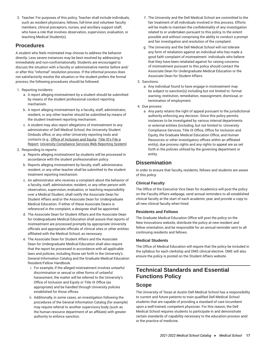3. Teacher: For purposes of this policy, Teacher shall include individuals, such as resident physicians, fellows, full-time and volunteer faculty members, clinical preceptors, nurses, and ancillary support staff, who have a role that involves observation, supervision, evaluation, or teaching Medical Student(s).

# **Procedures**

A student who feels mistreated may choose to address the behavior directly. Less severe instances may be best resolved by addressing it immediately and non-confrontationally. Students are encouraged to discuss the situation with a faculty or administrative mentor before and/ or after this "informal" resolution process. If the informal process does not satisfactorily resolve the situation or the student prefers the formal process, the following procedures should be followed:

# 1. Reporting Incidents:

- a. A report alleging mistreatment by a student should be submitted by means of the student professional conduct reporting mechanism.
- b. A report alleging mistreatment by a faculty, staff, administrator, resident, or any other teacher should be submitted by means of the student treatment reporting mechanism.
- c. A student may also report allegations of mistreatment to any administrator of Dell Medical School, the University Student Ombuds office, or any other University reporting tools and contacts (e.g., Office of [Inclusion](https://equity.utexas.edu/student-resources/) and Equity; [Title](http://titleix.utexas.edu/file-a-report/) IX's File a [Report](http://titleix.utexas.edu/file-a-report/); University [Compliance](https://www.reportlineweb.com/Welcome.aspx?Client=utaustin) Services Web Reporting System)

# 2. Responding to reports:

- a. Reports alleging mistreatment by students will be processed in accordance with the student professionalism policy.
- b. Reports alleging mistreatment by faculty, staff, administrator, resident, or any other teacher shall be submitted to the student treatment reporting mechanism.
- c. An administrator who receives a complaint about the behavior of a faculty, staff, administrator, resident, or any other person with observation, supervision, evaluation, or teaching responsibility over a Medical Student, shall notify the Associate Dean for Student Affairs and/or the Associate Dean for Undergraduate Medical Education. If either of these Associate Deans is referenced in the complaint, a designee shall be appointed.
- d. The Associate Dean for Student Affairs and the Associate Dean for Undergraduate Medical Education shall assure that reports of mistreatment are processed promptly by appropriate University officials and appropriate officials of clinical sites or other entities affiliated with the Medical School, as necessary.
- e. The Associate Dean for Student Affairs and the Associate Dean for Undergraduate Medical Education shall also require that the report be processed in accordance with all applicable laws and policies, including those set forth in the University's General Information Catalog and the Graduate Medical Education Resident/Fellow Handbook.
	- i. For example, if the alleged mistreatment involves unlawful discrimination or sexual or other forms of unlawful harassment, the matter will be referred to the University's Office of Inclusion and Equity or Title IX Office (as appropriate) and be handled through University policies established for those offices.
	- ii. Additionally, in some cases, an investigation following the procedures of the General Information Catalog (for example) may require referral to another supervisory body (such as the human resource department of an affiliate) with greater authority to enforce sanction.
- f. The University and the Dell Medical School are committed to the fair treatment of all individuals involved in this process. Efforts will be made to maintain the confidentiality of any investigation related to or undertaken pursuant to this policy, to the extent possible and without comprising the ability to conduct a prompt and fair investigation and resolution of the complaint.
- g. The University and the Dell Medical School will not tolerate any form of retaliation against an individual who has made a good faith complaint of mistreatment. Individuals who believe that they have been retaliated against for raising concerns of mistreatment pursuant to this policy should contact the Associate Dean for Undergraduate Medical Education or the Associate Dean for Student Affairs.

# 3. Sanctions:

a. Any individual found to have engage in mistreatment may be subject to sanction(s) including but not limited to: formal warning, restitution, remediation, reassignment, dismissal, or termination of employment.

# 4. Due process:

a. Any party retains the right of appeal pursuant to the jurisdictional authority enforcing any decision. Since this policy permits instances to be investigated by various internal departments or external entities (including, but not limited to: University Compliance Services, Title IX Office, Office for Inclusion and Equity, the Graduate Medical Education Office, and Human Resources or other investigatory offices within an affiliated entity), due process rights and any rights to appeal are as set forth in the policies utilized by the governing department or entity.

# **Dissemination**

In order to ensure that faculty, residents, fellows and students are aware of this policy:

# **Clinical Faculty**

The Office of the Executive Vice Dean for Academics will post the policy on the Faculty Affairs webpage, send annual reminders to all established clinical faculty at the start of each academic year, and provide a copy to all new clinical faculty when hired.

# **Residents and Fellows**

The Graduate Medical Education Office will post the policy on the New Innovations website, distribute the policy at new resident and fellow orientation, and be responsible for an annual reminder sent to all continuing residents and fellows.

# **Medical Students**

The Office of Medical Education will require that the policy be included in the syllabus for each clerkship and DMS clinical elective. OME will also ensure the policy is posted on the Student Affairs website.

# <span id="page-17-0"></span>**Technical Standards and Essential Functions Policy**

# **Scope**

The University of Texas at Austin Dell Medical School has a responsibility to current and future patients to train qualified Dell Medical School students that are capable of providing a standard of care incumbent upon a well-trained, competent physician. For this reason, the Dell Medical School requires students to participate in and demonstrate certain standards of capability necessary to the education process and/ or the practice of medicine.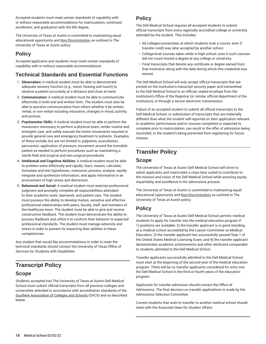Accepted students must meet certain standards of capability with or without reasonable accommodations for matriculation, continued enrollment, and graduation with the MD degree.

The University of Texas at Austin is committed to maintaining equal educational opportunity and [Non-Discrimination](https://www.policies.utexas.edu/policies/nondiscrimination-policy/) as outlined in The University of Texas at Austin policy.

# **Policy**

Accepted applicants and students must meet certain standards of capability with or without reasonable accommodations.

# **Technical Standards and Essential Functions**

- 1. **Observation:** A medical student must be able to demonstrate adequate sensory function (e.g., vision, hearing and touch) to observe a patient accurately at a distance and close at hand.
- 2. **Communication:** A medical student must be able to communicate effectively in both oral and written form. The student must also be able to perceive communication from others whether it be written, verbal, or non-verbal including intonation, changes in mood, activity, and posture.
- 3. **Psychomotor Skills:** A medical student must be able to perform the maneuvers necessary to perform a physical exam, render routine and emergent care, and safely execute the motor movements required to provide general care and emergency treatment to patients. Examples of these include, but are not limited to, palpation, auscultation, percussion, application of pressure, movement around the immobile patient as needed to perform procedures such as maintaining a sterile field and surgical and non-surgical procedures.
- 4. **Intellectual and Cognitive Abilities:** A medical student must be able to problem-solve effectively and rapidly; learn; reason; calculate; formulate and test hypotheses; memorize; process; analyze; rapidly integrate and synthesize information; and apply information in an environment of high stress and distraction.
- 5. **Behavioral and Social:** A medical student must exercise professional judgment and promptly complete all responsibilities attendant to their academic work, teamwork, and patient care. The student must possess the ability to develop mature, sensitive and effective professional relationships with peers, faculty, staff, and members of the healthcare team. The student must be able to give and receive constructive feedback. The student must demonstrate the ability to process feedback and utilize it to conform their behavior to expected professional standards. The student must manage adversity and stress in order to prevent its impacting their abilities in these competencies.

Any student that would like accommodations in order to meet the technical standards should contact the University of Texas Office of Services for Students with Disabilities.

# **Transcript Policy**

# **Scope**

Students accepted into The University of Texas at Austin Dell Medical School must submit official transcripts from all previous colleges and universities attended in accordance with accreditation standards of the [Southern Association of Colleges and Schools](http://www.sacscoc.org/) (SACS) and as described below.

# **Policy**

The Dell Medical School requires all accepted students to submit official transcripts from every regionally accredited college or university attended by the student. This includes:

- All colleges/universities at which students took a course, even if transfer credit was later accepted by another school.
- College-level courses taken while in high school, even if such courses did not count toward a degree at any college or university.
- Final transcripts that denote any certificate or degree earned from that institution along with the date during which this credential was earned.

The Dell Medical School will only accept official transcripts that are printed on the institution's transcript security paper and transmitted to the Dell Medical School in an official, sealed envelope from the institution's Office of the Registrar (or similar, official department of the institution), or through a secure electronic transmission.

Failure of an accepted student to submit all official transcripts to the Dell Medical School, or submission of transcripts that are materially different than what the student self-reported on their application relevant to academic performance and/or courses completed or expected to complete prior to matriculation, can result in the offer of admission being rescinded, or the student's being prevented from registering for future classes.

# **Transfer Policy**

# **Scope**

The University of Texas at Austin Dell Medical School will strive to admit applicants and matriculate a class best suited to contribute to the mission and vision of the Dell Medical School while assuring equity, impartiality, and excellence in the admissions process.

The University of Texas at Austin is committed to maintaining equal educational opportunity and [Non-Discrimination](https://www.policies.utexas.edu/policies/nondiscrimination-policy/) as outlined in The University of Texas at Austin policy.

# **Policy**

The University of Texas at Austin Dell Medical School permits medical students to apply for transfer into the medical education program if: 1) positions are available; 2) the transfer applicant is in good standing at a medical school accredited by the Liaison Committee on Medical Education; 3) the transfer applicant has successfully passed Step 1 of the United States Medical Licensing Exam; and 4) the transfer applicant demonstrates academic achievements and other attributes comparable to students admitted to the Dell Medical School.

Transfer applicants successfully admitted to the Dell Medical School must start at the beginning of the second year of the medical education program. There will be no transfer applicants considered for entry into the Dell Medical School in the third or fourth years of the education program.

Applicants for transfer admission should contact the Office of Admissions. The final decision on transfer applications is made by the Admissions Selection Committee.

Current students that wish to transfer to another medical school should meet with the Associate Dean for Student Affairs.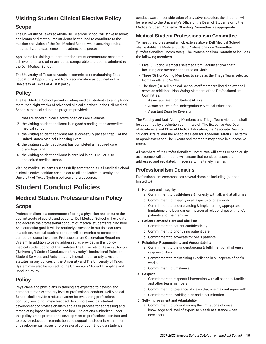# **Visiting Student Clinical Elective Policy**

# **Scope**

The University of Texas at Austin Dell Medical School will strive to admit applicants and matriculate students best suited to contribute to the mission and vision of the Dell Medical School while assuring equity, impartiality, and excellence in the admissions process.

Applicants for visiting student rotations must demonstrate academic achievements and other attributes comparable to students admitted to the Dell Medical School.

The University of Texas at Austin is committed to maintaining Equal Educational Opportunity and [Non-Discrimination](https://www.policies.utexas.edu/policies/nondiscrimination-policy/) as outlined in The University of Texas at Austin policy.

# **Policy**

The Dell Medical School permits visiting medical students to apply for no more than eight weeks of advanced clinical electives in the Dell Medical School's medical education program provided:

- 1. that advanced clinical elective positions are available;
- 2. the visiting student applicant is in good standing at an accredited medical school;
- 3. the visiting student applicant has successfully passed Step 1 of the United States Medical Licensing Exam;
- 4. the visiting student applicant has completed all required core clerkships; and
- 5. the visiting student applicant is enrolled in an LCME or AOAaccredited medical school.

Visiting medical students successfully admitted to a Dell Medical School clinical elective position are subject to all applicable university and University of Texas System policies and procedures.

# **Student Conduct Policies**

# <span id="page-19-0"></span>**Medical Student Professionalism Policy Scope**

Professionalism is a cornerstone of being a physician and ensures the best interests of society and patients. Dell Medical School will evaluate and address the professional conduct of medical students training here. As a curricular goal, it will be routinely assessed in multiple courses. In addition, medical student conduct will be monitored across the curriculum using the online Professionalism Observation Reporting System. In addition to being addressed as provided in this policy, medical student conduct that violates The University of Texas at Austin ("University") Code of Conduct, the University's Institutional Rules on Student Services and Activities, any federal, state, or city laws and statutes, or any policies of the University and The University of Texas System may also be subject to the University's Student Discipline and Conduct Policy.

# **Policy**

Physicians and physicians-in-training are expected to develop and demonstrate an exemplary level of professional conduct. Dell Medical School shall provide a robust system for evaluating professional conduct, providing timely feedback to support medical student development of professionalism and a fair process for addressing and remediating lapses in professionalism. The actions authorized under this policy are to promote the development of professional conduct and to provide education, remediation and support to students with minor or developmental lapses of professional conduct. Should a student's

conduct warrant consideration of any adverse action, the situation will be referred to the University's Office of the Dean of Students or to the Medical Student Academic Standing Committee, as appropriate.

# **Medical Student Professionalism Committee**

To meet the professionalism objectives above, Dell Medical School shall establish a Medical Student Professionalism Committee ("Professionalism Committee"). The Professionalism Committee includes the following members:

- Five (5) Voting Members selected from Faculty and/or Staff, including one member appointed as Chair
- Three (3) Non-Voting Members to serve as the Triage Team, selected from Faculty and/or Staff
- The three (3) Dell Medical School staff members listed below shall serve as additional Non-Voting Members of the Professionalism Committee:
	- Associate Dean for Student Affairs
	- Associate Dean for Undergraduate Medical Education
	- Assistant Dean for Diversity

The Faculty and Staff Voting Members and Triage Team Members shall be appointed by a selection committee of: The Executive Vice Dean of Academics and Chair of Medical Education, the Associate Dean for Student Affairs, and the Associate Dean for Academic Affairs. The term of appointment shall be 3 years and members may serve in successive terms.

All members of the Professionalism Committee will act as expeditiously as diligence will permit and will ensure that conduct issues are addressed and escalated, if necessary, in a timely manner.

# **Professionalism Domains**

Professionalism encompasses several domains including (but not limited to):

# 1. **Honesty and Integrity**

- a. Commitment to truthfulness & honesty with all, and at all times
- b. Commitment to integrity in all aspects of one's work
- c. Commitment to understanding & implementing appropriate limitations and boundaries in personal relationships with one's patients and their families

# 2. **Patient Centered Care and Altruism**

- a. Commitment to patient confidentiality
- b. Commitment to prioritizing patient care
- c. Commitment to advocate for one's patients

# 3. **Reliability, Responsibility and Accountability**

- a. Commitment to the understanding & fulfillment of all of one's responsibilities
- b. Commitment to maintaining excellence in all aspects of one's works
- c. Commitment to timeliness

# 4. **Respect**

- a. Commitment to respectful interaction with all patients, families and other team members
- b. Commitment to tolerance of views that one may not agree with
- c. Commitment to avoiding bias and discrimination

# 5. **Self-Improvement and Adaptability**

a. Commitment to understanding the limitations of one's knowledge and level of expertise & seek assistance when necessary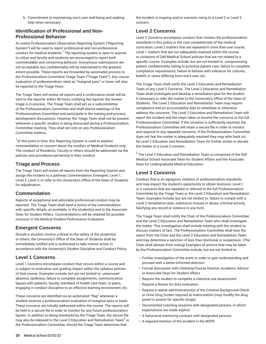b. Commitment to maintaining one's own well-being and seeking help when necessary

# **Identification of Professional and Non-Professional Behavior**

An online Professionalism Observation Reporting System ("Reporting System") will be used to report professional and non-professional conduct for medical students. $<sup>1</sup>$  The reporting system is open to anyone</sup> to utilize and faculty and students are encouraged to report both commendable and concerning behavior. Anonymous submissions are not acceptable, but confidentiality will be maintained to the greatest extent possible. These reports are forwarded by automated process to the Professionalism Committee Triage Team ("Triage Team"). Any course evaluation of professionalism rated as "marginal pass" or lower will also be reported to the Triage Team.

The Triage Team will review all reports and a confirmation email will be sent to the reporter within 48 hours notifying the reporter the review/ triage is in process. The Triage Team shall act as a subcommittee of the Professionalism Committee and shall attend meetings of the Professionalism Committee and participate in the training and process development discussions. However, the Triage Team shall not be present whenever a specific student is being discussed during a Professionalism Committee meeting. They shall not vote on any Professionalism Committee matters.

 $^{\text{1}}$ At this point in time, this Reporting System is used to express commendation or concern about the conduct of Medical Students only. The conduct of Residents, Faculty or others should be addressed via the policies and procedures pertaining to their conduct.

# **Triage and Process**

The Triage Team will review all reports from the Reporting System and assign the incident to a pathway: Commendation, Emergent, Level 1, Level 2, Level 3, or refer to the University's Office of the Dean of Students for adjudication.

# **Commendation**

Reports of exceptional and admirable professional conduct may be reported. The Triage Team shall send a notice of the commendation with specific details, as available, to the student(s) and to the Associate Dean for Student Affairs. Commendations will be retained for possible inclusion in the Medical Student Performance Evaluation.

# **Emergent Concerns**

Should a situation involve a threat to the safety of the student(s) or others, the University's Office of the Dean of Students shall be immediately notified and is authorized to take interim action in accordance with the University's Student Discipline and Conduct Policy.

# **Level 1 Concerns**

Level 1 Concerns encompass conduct that occurs within a course and is subject to evaluation and grading impact within the syllabus policies of that course. Examples include, but are not limited to: unexcused absence, tardiness, failure to complete assignments, communication lapses with patients, faculty, members of health care team, or peers, engaging in conduct disruptive to an effective learning environment, etc.

These concerns are identified via an automated "flag" whenever a student receives a professionalism evaluation of marginal pass or lower. These concerns are initially addressed within the course. The reports will be held in a secure file in order to monitor for any future professionalism lapses. In addition to being monitored by the Triage Team, the secure file may also be released to the Level 2 Education and Remediation Team $^{\mathsf{2}}$  or the Professionalism Committee, should the Triage Team determine that

the incident is ongoing and/or warrants rising to a Level 2 or Level 3 concern.

# **Level 2 Concerns**

Level 2 Concerns encompass conduct that violates the professionalism standards in this policy or the core competencies of the medical curriculum, Level 2 matters that are repeated in more than one course, Level 1 matters that are not adequately resolved within the course, or violations of Dell Medical School policies that are not related to a specific course. Examples include, but are not limited to: compromising patient confidentiality, failing to prioritize patient care, failure to complete compliance requirements, failure to behave with tolerance for cultures, beliefs or views differing form one's own, etc.

The Triage Team shall notify the Level 2 Education and Remediation Team of any Level 2 Concerns. The Level 2 Education and Remediation Team shall investigate and develop a remediation plan for the student if necessary or refer the matter to the University's Office of the Dean of Students. The Level 2 Education and Remediation Team may require compliance and an accountability plan to remediate or otherwise address the concerns. The Level 2 Education and Remediation Team will report the incident and the steps taken to resolve the concerns to the full Professionalism Committee. If the situation is sufficiently resolved, the Professionalism Committee will retain a secure file in order to monitor and respond to any repeated concerns. If the Professionalism Committee does not feel the matter is adequately resolved they may refer back tot he Level 2 Education and Remediation Team for further action or elevate the matter to a Level 3 concern.

 $2$  The Level 2 Education and Remediation Team is comprised of the Dell Medical School Associate Dean for Student Affairs and the Associate Dean for Undergraduate Medical Education.

# **Level 3 Concerns**

Conduct that is an egregious violation of professionalism standards and may impact the student's opportunity to obtain licensure, Level 1 or 2 concerns that are repeated or referred to the full Professionalism Committee by the Triage Team or the Level 2 Education and Remediation Team. Examples include, but are not limited to: failure to comply with a Level 2 remediation plan, substance misuse or abuse, criminal activity, falsifying any record or violence in any form.

The Triage Team shall notify the Chair of the Professionalism Committee and the Level 2 Education and Remediation Team who shall investigate the matter. This investigation shall include meeting with the student to discuss matters of fact. The Professionalism Committee shall hear the report from the Chair and the Level 2 Education and Remediation Team and may determine a sanction of less than dismissal or suspension. (The Chair shall abstain from voting) Examples of actions that may be taken by the Professionalism Committee include, but are not limited to:

- Further investigation of the event in order to gain understanding and proceed with a better-informed direction
- Formal discussion with Clerkship/Course Director, Academic Advisor or Associate Dean for Student Affairs
- Require the student to complete a chemical use assessment
- Require a fitness for duty evaluation
- Require a repeat administration(s) of the Criminal Background Check or Urine Drug Screen required at matriculation (may modify the drug panel to assess for specific drugs)
- Documented coaching sessions with designated persons, in which expectations are made explicit
- A behavioral mentoring contract with designated persons
- A required mention of the incident in the MSPE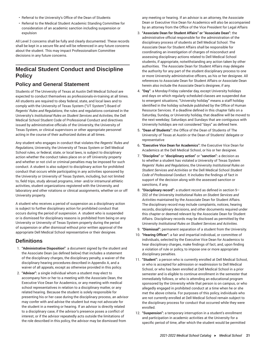- Referral to the University's Office of the Dean of Students
- Referral to the Medical Student Academic Standing Committee for consideration of an academic sanction including suspension or expulsion

All Level 3 concerns shall be fully and clearly documented. These records shall be kept in a secure file and will be referenced in any future concerns about the student. This may impact Professionalism Committee decisions in any future concerns.

# <span id="page-21-0"></span>**Medical Student Conduct and Discipline Policy**

# **Policy and General Statement**

Students of The University of Texas at Austin Dell Medical School are expected to conduct themselves as professionals-in-training at all times. All students are required to obey federal, state, and local laws and to comply with the University of Texas System ("UT System") Board of *Regents' Rules and Regulations*, the rules and regulations contained in the University's *Institutional Rules on Student Services and Activities,* the Dell Medical School Student Code of Professional Conduct and directives issued by administrative officials of the University, the University of Texas System, or clinical supervisors or other appropriate personnel acting in the course of their authorized duties at all times.

Any student who engages in conduct that violates the *Regents' Rules and Regulations*, University, the University of Texas System or Dell Medical School rules, or federal, state, or local laws, is subject to disciplinary action whether the conduct takes place on or off University property and whether or not civil or criminal penalties may be imposed for such conduct. A student is also subject to disciplinary action for prohibited conduct that occurs while participating in any activities sponsored by the University or University of Texas System, including, but not limited to, field trips, study abroad programs, inter- and/or intramural athletic activities, student organizations registered with the University, and laboratory and other rotations or clinical assignments, whether on or off University property.

A student who receives a period of suspension as a disciplinary action is subject to further disciplinary action for prohibited conduct that occurs during the period of suspension. A student who is suspended or is dismissed for disciplinary reasons is prohibited from being on any University or University of Texas System property during the period of suspension or after dismissal without prior written approval of the appropriate Dell Medical School representative or their designee.

# **Definitions**

- 1. **"Administrative Disposition"**: a document signed by the student and the Associate Dean (as defined below) that includes a statement of the disciplinary charges, the disciplinary penalty, a waiver of the disciplinary hearing procedures described in Appendix A, and a waiver of all appeals, except as otherwise provided in this policy.
- 2. **"Advisor":** a single individual whom a student may elect to accompany him or her to a meeting with the Associate Dean, the Executive Vice Dean for Academics, or any meeting with medical school representatives in relation to a disciplinary matter, or any related hearing. Because the student is solely responsible for presenting his or her case during the disciplinary process, an advisor may confer with and advise the student but may not advocate for the student in a meeting or hearing. If an advisor is directly related to a disciplinary case, if the advisor's presence poses a conflict of interest, or if the advisor repeatedly acts outside the limitations of the role described in this policy, the advisor may be dismissed from

any meeting or hearing. If an advisor is an attorney, the Associate Dean or Executive Vice Dean for Academics will also be accompanied by an attorney from the Office of the Vice President for Legal Affairs

- 3. **"Associate Dean for Student Affairs" or "Associate Dean":** the administrative official responsible for the administration of the disciplinary process of students at Dell Medical School. The Associate Dean for Student Affairs shall be responsible for coordinating an investigation of charges of misconduct and assessing disciplinary actions related to Dell Medical School students, if appropriate, notwithstanding any action taken by other authorities. The Associate Dean for Student Affairs may delegate the authority for any part of the student disciplinary process to one or more University administrative officers, as his or her designee. All references to Associate Dean for Student Affairs or Associate Dean herein also include the Associate Dean's designee, if any.
- 4. **"Day"**: a Monday-Friday calendar day, except University holidays and days on which regularly scheduled classes are suspended due to emergent situations; "University holiday" means a staff holiday identified in the holiday schedule published by the Office of Human Resource Services. If a deadline defined in this chapter falls on a Saturday, Sunday, or University holiday, that deadline will be moved to the next weekday; Saturdays and Sundays that are contiguous with University holidays are not considered "days" as defined here.
- 5. **"Dean of Students":** the Office of the Dean of Students of The University of Texas at Austin or the Dean of Students' delegate or representative
- 6. **"Executive Vice Dean for Academics":** the Executive Vice Dean for Academics at the Dell Medical School, or his or her designee.
- 7. **"Discipline"** or "**disciplinary action"** or "**sanction":** a decision as to whether a student has violated a University of Texas System *Regents' Rules and Regulations*, the University *Institutional Rules on Student Services and Activities* or the Dell Medical School *Student Code of Professional Conduct*. It includes the findings of fact in support of the decision along with the assessed sanction or sanctions, if any.
- 8. **"Disciplinary record":** a student record as defined in section 9– 202 of the University *Institutional Rules on Student Services and Activities* maintained by the Associate Dean for Student Affairs. The disciplinary record may include complaints, notices, hearing records, disciplinary decisions, and other documents required under this chapter or deemed relevant by the Associate Dean for Student Affairs. Disciplinary records may be disclosed as permitted by the University *Institutional Rules on Student Services and Activities*.
- 9. **"Dismissal":** permanent separation of a student from the University.
- 10. **"Hearing Officer":** a fair and impartial individual, or committee of individuals, selected by the Executive Vice Dean for Academics to hear disciplinary charges, make findings of fact, and, upon finding a violation of rule or policy, to impose one or more appropriate disciplinary penalties.
- 11. **"Student":** a person who is currently enrolled at Dell Medical School, or who is accepted for admission or readmission to Dell Medical School, or who has been enrolled at Dell Medical School in a prior semester and is eligible to continue enrollment in the semester that immediately follows, or who is attending an educational program sponsored by the University while that person is on campus, or who allegedly engaged in prohibited conduct at a time when he or she met the above criteria. For purposes of this policy, individuals who are not currently enrolled at Dell Medical School remain subject to the disciplinary process for conduct that occurred while they were enrolled.
- 12. **"Suspension":** a temporary interruption in a student's enrollment and participation in academic activities at the University for a specific period of time, after which the student would be permitted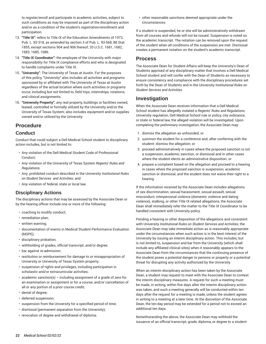to register/enroll and participate in academic activities, subject to such conditions as may be imposed as part of the disciplinary action and/or as a condition of the student's registration/enrollment and participation.

- 13. **"Title IX"**: refers to Title IX of the Education Amendments of 1972, Pub. L. 92-318, as amended by section 3 of Pub. L. 93-568, 88 Stat. 1855, except sections 904 and 906 thereof; 20 U.S.C. 1681, 1682, 1683, 1685, 1686.
- 14. **"Title IX Coordinator":** the employee of the University with major responsibility for Title IX compliance efforts and who is designated to handle complaints under Title IX.
- 15. **"University"**: The University of Texas at Austin. For the purposes of this policy, "University" also includes all activities and programs sponsored by or affiliated with The University of Texas at Austin regardless of the actual location where such activities or programs occur, including but not limited to, field trips, internships, rotations, and clinical assignments.
- 16. **"University Property":** any real property, buildings or facilities owned, leased, controlled or formally utilized by the University and/or the University of Texas System; also includes equipment and/or supplies owned and/or utilized by the University.

# **Procedure**

# **Conduct**

Conduct that could subject a Dell Medical School student to disciplinary action includes, but is not limited to:

- Any violation of the Dell Medical Student Code of Professional Conduct;
- Any violation of the University of Texas System *Regents' Rules and Regulations*;
- Any prohibited conduct described in the University *Institutional Rules on Student Services and Activities*; and
- Any violation of federal, state or local law.

# **Disciplinary Actions**

The disciplinary actions that may be assessed by the Associate Dean or by the hearing officer include one or more of the following:

- coaching to modify conduct;
- remediation plan;
- written warning;
- documentation of events in Medical Student Performance Evaluation (MSPE);
- disciplinary probation;
- withholding of grades, official transcript, and/or degree;
- bar against re-admission;
- restitution or reimbursement for damage to or misappropriation of University or University of Texas System property;
- suspension of rights and privileges, including participation in scholastic and/or extracurricular activities;
- academic sanction(s) including assignment of a grade of zero for an examination or assignment or for a course, and/or cancellation of all or any portion of a prior course credit;
- denial of degree;
- deferred suspension;
- suspension from the University for a specified period of time;
- dismissal (permanent separation from the University);
- revocation of degree and withdrawal of diploma;

• other reasonable sanctions deemed appropriate under the circumstances.

If a student is suspended, he or she will be administratively withdrawn from all courses and refunds will not be issued. Suspension is noted on the academic transcript. The notation can be removed upon the request of the student when all conditions of the suspension are met. Dismissal creates a permanent notation on the student's academic transcript.

# **Process**

The Associate Dean for Student Affairs will keep the University's Dean of Students apprised of any disciplinary matter that involves a Dell Medical School student and will confer with the Dean of Students as necessary to ensure consistency and compliance with the disciplinary procedures set forth by the Dean of Students and in the University *Institutional Rules on Student Services and Activities*.

# **Investigation**

When the Associate Dean receives information that a Dell Medical School student has allegedly violated a *Regents' Rules and Regulations*, University regulation, Dell Medical School rule or policy, city ordinance, or state or federal law, the alleged violation will be investigated. Upon completing the preliminary investigation, the Associate Dean may:

- 1. dismiss the allegation as unfounded; or
- 2. summon the student for a conference and, after conferring with the student: dismiss the allegation; or
- 3. proceed administratively in cases where the proposed sanction is not a suspension, academic sanction, or dismissal and in other cases where the student elects an administrative disposition; or
- 4. prepare a complaint based on the allegation and proceed to a hearing in cases where the proposed sanction is suspension, academic sanction or dismissal, and the student does not waive their right to a hearing.

If the information received by the Associate Dean includes allegations of sex discrimination, sexual harassment, sexual assault, sexual misconduct, interpersonal violence (domestic violence and dating violence), stalking, or other Title IX related allegations, the Associate Dean shall immediately refer the matter to the Title IX Coordinator to be handled consistent with University policy.

Pending a hearing or other disposition of the allegations and consistent with University *Institutional Rules on Student Services and Activities*, the Associate Dean may take immediate action as is reasonably appropriate under the circumstances when such action is in the best interest of the University by issuing an interim disciplinary action. This includes, but is not limited to, suspension and bar from the University (which shall include any affiliated clinical sites) when it reasonably appears to the Associate Dean from the circumstances that the continuing presence of the student poses a potential danger to persons or property or a potential threat for disrupting any activity authorized by the University.

When an interim disciplinary action has been taken by the Associate Dean, a student may request to meet with the Associate Dean to contest the interim disciplinary measures. A request for such a meeting must be made, in writing, within five days after the interim disciplinary action was taken, and such a meeting generally will be conducted within ten days after the request for a meeting is made, unless the student agrees in writing to a meeting at a later time. At the discretion of the Associate Dean, the ten-day period may be extended for a period not to exceed an additional ten days.

Notwithstanding the above, the Associate Dean may withhold the issuance of an official transcript, grade, diploma, or degree to a student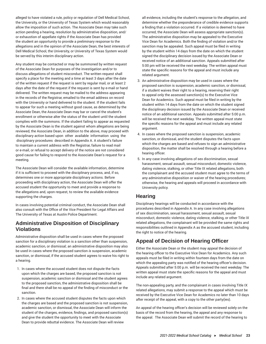alleged to have violated a rule, policy or regulation of Dell Medical School, the University, or the University of Texas System which would reasonably allow the imposition of such action. The Associate Dean may take such action pending a hearing, resolution by administrative disposition, and/ or exhaustion of appellate rights if the Associate Dean has provided the student an opportunity to provide a preliminary response to the allegations and in the opinion of the Associate Dean, the best interests of Dell Medical School, the University, or University of Texas System would be served by this interim disciplinary action.

Any student may be contacted or may be summoned by written request of the Associate Dean for purposes of the investigation and/or to discuss allegations of student misconduct. The written request shall specify a place for the meeting and a time at least 3 days after the date of the written request if the request is sent by regular mail, or at least 2 days after the date of the request if the request is sent by e-mail or hand delivered. The written request may be mailed to the address appearing in the records of the Registrar, emailed to the email address on record with the University or hand delivered to the student. If the student fails to appear for such a meeting without good cause, as determined by the Associate Dean, the Associate Dean may bar or cancel the student's enrollment or otherwise alter the status of the student until the student complies with the summons. If the student failing to appear as requested by the Associate Dean is the student against whom allegations are being reviewed, the Associate Dean, in addition to the above, may proceed with disciplinary action based upon other available information using the disciplinary procedures described in Appendix A. A student's failure to maintain a current address with the Registrar, failure to read mail or e-mail, or refusal to accept delivery of the notice are not considered good cause for failing to respond to the Associate Dean's request for a meeting.

The Associate Dean will consider the available information, determine if it is sufficient to proceed with the disciplinary process, and, if so, determines one or more appropriate disciplinary actions. Before proceeding with disciplinary action, the Associate Dean will offer the accused student the opportunity to meet and provide a response to the allegations and, upon request, to review the available evidence supporting the charges.

In cases involving potential criminal conduct, the Associate Dean shall also consult with the Office of the Vice President for Legal Affairs and The University of Texas at Austin Police Department.

# **Administrative Disposition of Disciplinary Violations**

Administrative disposition shall be used in cases where the proposed sanction for a disciplinary violation is a sanction other than suspension, academic sanction, or dismissal; an administrative disposition may also be used in cases where the proposed sanction *is* suspension, academic sanction, or dismissal, if the accused student agrees to waive his right to a hearing.

- 1. In cases where the accused student does not dispute the facts upon which the charges are based, the proposed sanction is not suspension, academic sanction or dismissal and the student agrees to the proposed sanction, the administrative disposition shall be final and there shall be no appeal of the finding of misconduct or the sanction.
- 2. In cases where the accused student disputes the facts upon which the charges are based and the proposed sanction is not suspension, academic sanction, or dismissal, the Associate Dean will inform the student of the charges, evidence, findings, and proposed sanction(s) and give the student the opportunity to meet with the Associate Dean to provide rebuttal evidence. The Associate Dean will review

all evidence, including the student's response to the allegation, and determine whether the preponderance of credible evidence supports a finding that a violation occurred. If a violation is deemed to have occurred, the Associate Dean will assess appropriate sanction(s). The administrative disposition may be appealed to the Executive Vice Dean for Academics. Both the finding of violation and/or the sanction may be appealed. Such appeal must be filed in writing by the student within 14 days from the date on which the student signed the disciplinary decision issued by the Associate Dean or received notice of an additional sanction. Appeals submitted after 5:00 pm will be received the next weekday. The written appeal must state the specific reasons for the appeal and must include any related argument.

- 3. An administrative disposition may be used in cases where the proposed sanction is suspension, academic sanction, or dismissal, if a student waives their right to a hearing, reserving their right to appeal only the assessed sanction(s) to the Executive Vice Dean for Academics. Such appeal must be filed in writing by the student within 14 days from the date on which the student signed the disciplinary decision issued by the Associate Dean or received notice of an additional sanction. Appeals submitted after 5:00 p.m. will be received the next weekday. The written appeal must state the specific reasons for the appeal and must include any related argument.
- 4. In cases where the proposed sanction is suspension, academic sanction, or dismissal, and the student disputes the facts upon which the charges are based and refuses to sign an administrative disposition, the matter shall be resolved through a hearing before a hearing officer.
- 5. In any case involving allegations of sex discrimination, sexual harassment, sexual assault, sexual misconduct, domestic violence, dating violence, stalking, or other Title IX related allegations, both the complainant and the accused student must agree to the terms of any administrative disposition or waiver of the hearing procedures; otherwise, the hearing and appeals will proceed in accordance with University policy.

# **Hearing**

Disciplinary hearings will be conducted in accordance with the procedures described in Appendix A. In any case involving allegations of sex discrimination, sexual harassment, sexual assault, sexual misconduct, domestic violence, dating violence, stalking, or other Title IX related allegations, the complainant will be provided the same rights and responsibilities outlined in Appendix A as the accused student, including the right to notice of the hearing.

# **Appeal of Decision of Hearing Officer**

Either the Associate Dean or the student may appeal the decision of the hearing officer to the Executive Vice Dean for Academics. Any such appeals must be filed in writing within fourteen days from the date on which the appealing party was notified of the hearing officer's decision. Appeals submitted after 5:00 p.m. will be received the next weekday. The written appeal must state the specific reasons for the appeal and must include any related argument.

The non-appealing party, and the complainant in cases involving Title IX related allegations, may submit a response to the appeal which must be received by the Executive Vice Dean for Academics no later than 10 days after receipt of the appeal, with a copy to the other party(ies).

An appeal of the hearing officer's decision will be reviewed solely on the basis of the record from the hearing, the appeal and any response to the appeal. The Associate Dean will submit the record of the hearing to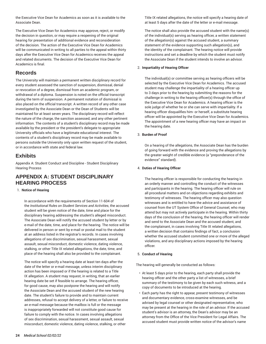the Executive Vice Dean for Academics as soon as it is available to the Associate Dean.

The Executive Vice Dean for Academics may approve, reject, or modify the decision in question, or may require a reopening of the original hearing for presentation of additional evidence and reconsideration of the decision. The action of the Executive Vice Dean for Academics will be communicated in writing to all parties to the appeal within thirty days after the Executive Vice Dean for Academics receives the appeal and related documents. The decision of the Executive Vice Dean for Academics is final.

# **Records**

The University will maintain a permanent written disciplinary record for every student assessed the sanction of suspension, dismissal, denial or revocation of a degree, dismissal from an academic program, or withdrawal of a diploma. Suspension is noted on the official transcript during the term of suspension. A permanent notation of dismissal is also placed on the official transcript. A written record of any other case investigated by the Associate Dean or the Dean of Students will be maintained for at least seven years. The disciplinary record will reflect the nature of the charge, the sanction assessed, and any other pertinent information. The contents of a student's disciplinary record may be made available by the president or the president's delegate to appropriate University officials who have a legitimate educational interest. The contents of a student's disciplinary record may be made available to persons outside the University only upon written request of the student, or in accordance with state and federal law.

# **Exhibits**

Appendix A: Student Conduct and Discipline - Student Disciplinary Hearing Process

# **APPENDIX A: STUDENT DISCIPLINARY HEARING PROCESS**

# 1. **Notice of Hearing**

In accordance with the requirements of Section 11-604 of the *Institutional Rules on Student Services and Activities*, the accused student will be given notice of the date, time and place for the disciplinary hearing addressing the student's alleged misconduct. The Associate Dean will notify the accused student by letter or by e-mail of the date, time, and place for the hearing. The notice will be delivered in person or sent by e-mail or postal mail to the student at an address listed in the registrar's records. In cases involving allegations of sex discrimination, sexual harassment, sexual assault, sexual misconduct, domestic violence, dating violence, stalking, or other Title IX related allegations, the date, time, and place of the hearing shall also be provided to the complainant.

The notice will specify a hearing date at least ten days after the date of the letter or e-mail message, unless interim disciplinary action has been imposed or if the hearing is related to a Title IX allegation. A student may request, in writing, that an earlier hearing date be set if feasible to arrange. The hearing officer, for good cause, may also postpone the hearing and will notify the Associate Dean and the accused student of the new hearing date. The student's failure to provide and to maintain current addresses, refusal to accept delivery of a letter, or failure to receive an e-mail message because the mailbox is full or the message is inappropriately forwarded will not constitute good cause for failure to comply with the notice. In cases involving allegations of sex discrimination, sexual harassment, sexual assault, sexual misconduct, domestic violence, dating violence, stalking, or other

Title IX related allegations, the notice will specify a hearing date of at least 5 days after the date of the letter or e-mail message.

The notice shall also provide the accused student with the name(s) of the individual(s) serving as hearing officer, a written statement of the allegation(s) against the accused student, a summary statement of the evidence supporting such allegation(s), and the identity of the complainant. The hearing notice will provide instructions and set a deadline by which the student must notify the Associate Dean if the student intends to involve an advisor.

# 2. **Impartiality of Hearing Officer**

The individual(s) or committee serving as hearing officers will be selected by the Executive Vice Dean for Academics. The accused student may challenge the impartiality of a hearing officer up to 3 days prior to the hearing by submitting the reasons for the challenge in writing to the hearing officer(s) through the office of the Executive Vice Dean for Academics. A hearing officer is the sole judge of whether he or she can serve with impartiality. If a hearing officer disqualifies him- or herself, a substitute hearing officer will be appointed by the Executive Vice Dean for Academics. The appointment of a new hearing officer may have an impact on the hearing date.

# 3. **Burden of Proof**

On a hearing of the allegations, the Associate Dean has the burden of going forward with the evidence and proving the allegations by the greater weight of credible evidence (a "preponderance of the evidence" standard).

# 4. **Duties of Hearing Officer**

The hearing officer is responsible for conducting the hearing in an orderly manner and controlling the conduct of the witnesses and participants in the hearing. The hearing officer will rule on all procedural matters and on objections regarding exhibits and testimony of witnesses. The hearing officer may also question witnesses and is entitled to have the advice and assistance of counsel from the UT System Office of General Counsel, who may attend but may not actively participate in the hearing. Within thirty days of the conclusion of the hearing, the hearing officer will render and send to the Associate Dean and the accused student, and the complainant, in cases involving Title IX related allegations, a written decision that contains findings of fact, a conclusion whether the accused student committed one or more of the alleged violations, and any disciplinary actions imposed by the hearing officer.

# 5. **Conduct of Hearing**

The hearing will generally be conducted as follows:

- At least 5 days prior to the hearing, each party shall provide the hearing officer and the other party a list of witnesses, a brief summary of the testimony to be given by each such witness, and a copy of documents to be introduced at the hearing.
- Each party has the right to appear, present testimony of witnesses and documentary evidence, cross-examine witnesses, and be advised by legal counsel or other designated representative, who may be present at the hearing in the role of an advisor. If the accused student's advisor is an attorney, the Dean's advisor may be an attorney from the Office of the Vice President for Legal Affairs. The accused student must provide written notice of the advisor's name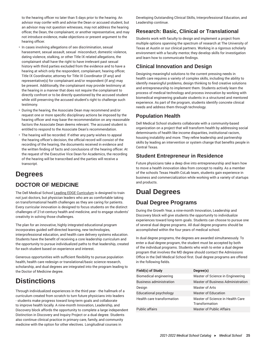to the hearing officer no later than 5 days prior to the hearing. An advisor may confer with and advise the Dean or accused student, but an advisor may not question witnesses, may not address the hearing officer, the Dean, the complainant, or another representative, and may not introduce evidence, make objections or present argument to the hearing officer.

- In cases involving allegations of sex discrimination, sexual harassment, sexual assault, sexual misconduct, domestic violence, dating violence, stalking, or other Title IX related allegations, the complainant shall have the right to have irrelevant past sexual history with third parties excluded from the evidence and to have a hearing at which only the respondent, complainant, hearing officer, Title IX Coordinator, attorney for Title IX Coordinator (if any) and representative(s) for complainant and/or respondent (if any) may be present. Additionally, the complainant may provide testimony at the hearing in a manner that does not require the complainant to directly confront or to be directly questioned by the accused student while still preserving the accused student's right to challenge such testimony.
- During the hearing, the Associate Dean may recommend and/or request one or more specific disciplinary actions be imposed by the hearing officer and may base the recommendation on any reasonable factors the Associate Dean deems relevant. The accused student is entitled to respond to the Associate Dean's recommendation.
- The hearing will be recorded. If either any party wishes to appeal the hearing officer's decision, the official record will consist of the recording of the hearing, the documents received in evidence and the written finding of facts and conclusions of the hearing officer. At the request of the Executive Vice Dean for Academics, the recording of the hearing will be transcribed and the parties will receive a transcript.

# **Degrees**

# <span id="page-25-0"></span>**DOCTOR OF MEDICINE**

The Dell Medical School [Leading EDGE Curriculum](https://dellmed.utexas.edu/education/academics/undergraduate-medical-education/leading-edge-curriculum/) is designed to train not just doctors, but physician leaders who are as comfortable taking on transformational health challenges as they are caring for patients. Every curricular innovation is designed to focus students on the distinct challenges of 21st-century health and medicine, and to engage students' creativity in solving those challenges.

The plan for an innovative, highly integrated educational program incorporates guided self-directed learning, new technologies, interprofessional education, and health care delivery systems education. Students have the benefit of receiving a core leadership curriculum and the opportunity to pursue individualized paths to that leadership, created for each student based on experience and interest.

Generous opportunities with sufficient flexibility to pursue population health, health care redesign or translational/basic science research, scholarship, and dual degrees are integrated into the program leading to the Doctor of Medicine degree.

# **Distinctions**

<span id="page-25-1"></span>Through individualized experiences in the third year - the hallmark of a curriculum created from scratch to turn future physicians into leaders - students make progress toward long-term goals and collaborate to improve health locally. A nine-month Innovation, Leadership, and Discovery block affords the opportunity to complete a large independent Distinction in Discovery and Inquiry Project or a dual degree. Students also continue clinical practice in primary care, family, and community medicine with the option for other electives. Longitudinal courses in

Developing Outstanding Clinical Skills, Interprofessional Education, and Leadership continue.

# **Research: Basic, Clinical or Translational**

Students work with faculty to design and implement a project from multiple options spanning the spectrum of research at The University of Texas at Austin or our clinical partners. Working in a rigorous scholarly environment with a faculty mentor, they develop skills for investigation and learn how to communicate findings.

# **Clinical Innovation and Design**

Designing meaningful solutions to the current pressing needs in health care requires a variety of complex skills, including the ability to identify meaningful problems, design thinking to find creative solutions and entrepreneurship to implement them. Students actively learn the process of medical technology and process innovation by working with biomedical engineering graduate students in a structured and mentored experience. As part of the program, students identify concrete clinical needs and address them through technology.

# **Population Health**

Dell Medical School students collaborate with a community-based organization on a project that will transform health by addressing social determinants of health like income disparities, institutional racism, housing instability and more. They refine leadership and partnership skills by leading an intervention or system change that benefits people in Central Texas.

# **Student Entrepreneur in Residence**

Future physicians take a deep dive into entrepreneurship and learn how to move a health innovation idea from concept to reality. As a member of the schools Texas Health CoLab team, students gain experience in business and commercialization while working with a variety of startups and products.

# **Dual Degrees**

# <span id="page-25-2"></span>**Dual Degree Programs**

During the Growth Year, a nine-month Innovation, Leadership and Discovery block will give students the opportunity to individualize experiences toward long-term goals. Students can choose to pursue one of several dual degree programs. All dual degree programs should be accomplished within the four years of medical school.

In dual degree programs, the degrees are awarded simultaneously. To enter a dual degree program, the student must be accepted by both of the individual programs. Students who wish to enter a dual degree program that involves the MD degree should contact the Admissions Office in the Dell Medical School first. Dual degree programs are offered in the following fields.

| Field(s) of Study              | Degree(s)                                          |
|--------------------------------|----------------------------------------------------|
| Biomedical engineering         | Master of Science in Engineering                   |
| <b>Business administration</b> | Master of Business Administration                  |
| Design                         | Master of Arts                                     |
| <b>Educational psychology</b>  | Master of Education                                |
| Health care transformation     | Master of Science in Health Care<br>Transformation |
| <b>Public affairs</b>          | <b>Master of Public Affairs</b>                    |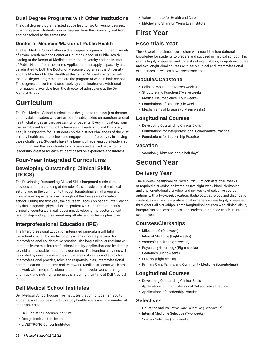# **Dual Degree Programs with Other Institutions**

The dual degree programs listed above lead to two University degrees; in other programs, students pursue degrees from the University and from another school at the same time.

# **Doctor of Medicine/Master of Public Health**

The Dell Medical School offers a dual degree program with the University of Texas Health Science Center at Houston School of Public Health leading to the Doctor of Medicine from the University and the Master of Public Health from the center. Applicants must apply separately and be admitted to both the Doctor of Medicine program at the University and the Master of Public Health at the center. Students accepted into the dual degree program complete the program of work in both schools. The degrees are conferred separately by each institution. Additional information is available from the director of admissions at the Dell Medical School.

# **Curriculum**

<span id="page-26-0"></span>The Dell Medical School curriculum is designed to train not just doctors, but physician leaders who are as comfortable taking on transformational health challenges as they are caring for patients. Every innovation, from the team-based learning to the Innovation, Leadership and Discovery Year, is designed to focus students on the distinct challenges of the 21stcentury health and medicine - and engage students' creativity in solving those challenges. Students have the benefit of receiving core leadership curriculum and the opportunity to pursue individualized paths to that leadership, created for each student based on experience and interest.

# **Four-Year Integrated Curriculums**

# **Developing Outstanding Clinical Skills (DOCS)**

The Developing Outstanding Clinical Skills integrated curriculum provides an understanding of the role of the physician in the clinical setting and in the community through longitudinal small group and clinical learning experiences throughout the four years of medical school. During the first year, the course will focus on patient interviewing, physical diagnosis, physical exam, patient write-ups from student's clinical encounters, clinical reasoning, developing the doctor-patient relationship and a professional, empathetic and inclusive physician.

# **Interprofessional Education (IPE)**

The Interprofessional Education integrated curriculum will fulfill the school's vision by producing physicians who are prepared for interprofessional collaborative practice. The longitudinal curriculum will immerse learners in interprofessional inquiry, application, and leadership to yield a measurable impact and outcomes. The learning activities will be guided by core competencies in the areas of values and ethics for interprofessional practice, roles and responsibilities, interprofessional communication, and teams and teamwork. Medical students will learn and work with interprofessional students from social work, nursing, pharmacy, and nutrition, among others during their time at Dell Medical School.

# **Dell Medical School Institutes**

Dell Medical School houses five institutes that bring together faculty, students, and outside experts to study healthcare issues in a number of important areas.

- Dell Pediatric Research Institute
- Design Institute for Health
- LIVESTRONG Cancer Institutes
- Value Institute for Health and Care
- Mitchel and Shannon Wong Eye Institute

# **First Year**

# <span id="page-26-1"></span>**Essentials Year**

The 48-week pre-clinical curriculum will impart the foundational knowledge for students to prepare and succeed in medical school. This year is highly integrated and consists of eight blocks, a capstone course and two longitudinal courses with early clinical and interprofessional experiences as well as a two-week vacation.

# **Modules/Capstone**

- Cells to Populations (Seven weeks)
- Structure and Function (Twelve weeks)
- Medical Neuroscience (Four weeks)
- Foundations of Disease (Six weeks)
- Mechanisms of Disease (Sixteen weeks)

# **Longitudinal Courses**

- Developing Outstanding Clinical Skills
- Foundations for Interprofessional Collaborative Practice
- Foundations for Leadership Practice

# **Vacation**

• Vacation (Thirty-one-and-a-half days)

# **Second Year**

# <span id="page-26-2"></span>**Delivery Year**

The 48 week healthcare delivery curriculum consists of 40 weeks of required clerkships delivered as five eight-week block clerkships and one longitudinal clerkship, and six weeks of selective course options with a two-week vacation. Radiology, pathology and diagnostic content, as well as interprofessional experiences, are highly integrated throughout all clerkships. Three longitudinal courses with clinical skills, interprofessional experiences, and leadership practice continue into the second year.

# **Courses/Clerkships**

- Milestone 0 (One week)
- Internal Medicine (Eight weeks)
- Women's Health (Eight weeks)
- Psychiatry/Neurology (Eight weeks)
- Pediatrics (Eight weeks)
- Surgery (Eight weeks)
- Primary Care, Family, and Community Medicine (Longitudinal)

# **Longitudinal Courses**

- Developing Outstanding Clinical Skills
- Applications of Interprofessional Collaborative Practice
- Applications of Leadership Practice

# **Selectives**

- Geriatrics and Palliative Care Selective (Two weeks)
- Internal Medicine Selective (Two weeks)
- Surgery Selective (Two weeks)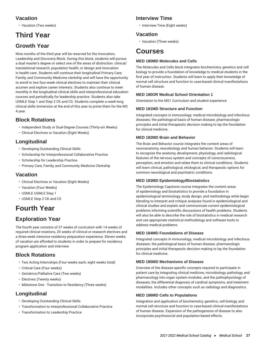# **Vacation**

• Vacation (Two weeks)

# **Third Year**

# <span id="page-27-0"></span>**Growth Year**

Nine months of the third year will be reserved for the Innovation, Leadership and Discovery Block. During this block, students will pursue a dual master's degree or select one of the areas of distinction: clinical/ translational research, population health, or design and innovation in health care. Students will continue their longitudinal Primary Care, Family, and Community Medicine clerkship and will have the opportunity to enroll in two four-week clinical electives to maintain their clinical acumen and explore career interests. Students also continue to meet monthly in the longitudinal clinical skills and interprofessional education courses and periodically for leadership practice. Students also take USMLE Step 1 and Step 2 CK and CS. Students complete a week-long clinical skills immersion at the end of this year to prime them for the MS 4 year.

# **Block Rotations**

- Independent Study or Dual-Degree Courses (Thirty-six Weeks)
- Clinical Electives or Vacation (Eight Weeks)

# **Longitudinal**

- Developing Outstanding Clinical Skills
- Scholarship for Interprofessional Collaborative Practice
- Scholarship for Leadership Practice
- Primary Care, Family, and Community Medicine Clerkship

# **Vacation**

- Clinical Electives or Vacation (Eight Weeks)
- Vacation (Four Weeks)
- USMLE USMLE Step 1
- USMLE Step 2 CK and CS

# **Fourth Year**

# <span id="page-27-1"></span>**Exploration Year**

The fourth year consists of 37 weeks of curriculum with 14 weeks of required clinical rotations, 20 weeks of clinical or research electives and a three-week intensive residency preparation experience. Eleven weeks of vacation are afforded to students in order to prepare for residency program application and interview.

# **Block Rotations**

- Two Acting Internships (Four weeks each, eight weeks total)
- Critical Care (Four weeks)
- Geriatrics/Palliative Care (Two weeks)
- Electives (Twenty weeks)
- Milestone One Transition to Residency (Three weeks)

# **Longitudinal**

- Developing Outstanding Clinical Skills
- Transformation to Interprofessional Collaborative Practice
- Transformation to Leadership Practice

# **Interview Time**

• Interview Time (Eight weeks)

# **Vacation**

• Vacation (Three weeks)

# **Courses**

# <span id="page-27-2"></span>**MED 180MD Molecules and Cells**

The Molecules and Cells block integrates biochemistry, genetics and cell biology to provide a foundation of knowledge to medical students in the first year of instruction. Students will learn to apply their knowledge of normal cell structure and function to case-based clinical manifestations of human disease.

# **MED 180OR Medical School Orientation 1**

Orientation to the MS1 Curriculum and student experience

# **MED 181MD Structure and Function**

Integrated concepts in immunology; medical microbiology and infectious diseases; the pathological basis of human disease; pharmacologic principles and initial therapeutic decision making to lay the foundation for clinical medicine.

# **MED 182MD Brain and Behavior**

The Brain and Behavior course integrates the content areas of neuroanatomy, neurobiology and human behavior. Students will learn to recognize the anatomy, development, physiology, and radiological features of the nervous system and concepts of consciousness, perception, and emotion and relate them to clinical conditions. Students will learn clinical, pathological, etiological, and therapeutic options for common neurological and psychiatric conditions.

# **MED 183MD Epidemiology/Biostatistics**

The Epidemiology Capstone course integrates the content areas of epidemiology and biostatistics to provide a foundation in epidemiological terminology, study design, and methodology while begin blending to interpret and critique analyses found in epidemiological and clinical studies and explain and communicate current epidemiological problems informing scientific discussions of health problems. Students will also be able to describe the role of biostatistics in medical research and use appropriate statistical methodology and software tools to address medical problems.

# **MED 184MD Foundations of Disease**

Integrated concepts in immunology; medical microbiology and infectious diseases; the pathological basis of human disease; pharmacologic principles and initial therapeutic decision making to lay the foundation for clinical medicine.

# **MED 185MD Mechanisms of Disease**

Overview of the disease-specific concepts required to participate in patient care by integrating clinical medicine, microbiology, pathology, and pharmacology into organ system modules, and the pathophysiology of diseases, the differential diagnosis of cardinal symptoms, and treatment modalities. Includes other concepts such as radiology and diagnostics.

# **MED 186MD Cells to Populations**

Integration and application of biochemistry, genetics, cell biology, and normal cell structure and function to case-based clinical manifestations of human disease. Expansion of the pathogenesis of disease to also incorporate psychosocial and population-based effects.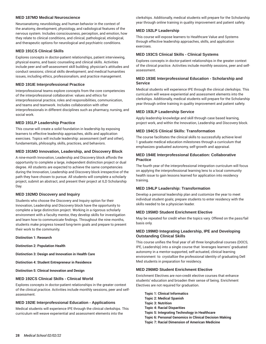#### **MED 187MD Medical Neuroscience**

Neuroanatomy, neurobiology, and human behavior in the context of the anatomy, development, physiology, and radiological features of the nervous system. Includes consciousness, perception, and emotion, how they relate to clinical conditions, and clinical, pathological, etiological, and therapeutic options for neurological and psychiatric conditions.

#### **MED 191CS Clinical Skills**

Explores concepts in doctor-patient relationships, patient interviewing, physical exams, and basic counseling and clinical skills. Activities include peer and self-assessment skill building; physician's attitudes and conduct sessions; clinical skills development; and medical humanities issues, including ethics, professionalism, and practice management.

#### **MED 191IE Interprofessional Practice**

Interprofessional teams explore concepts from the core competencies of the interprofessional collaborative: values and ethics for interprofessional practice, roles and responsibilities, communication, and teams and teamwork. Includes collaboration with other interprofessionals in different disciplines such as pharmacy, nursing, and social work.

# **MED 191LP Leadership Practice**

This course will create a solid foundation in leadership by exposing learners to effective leadership approaches, skills and application exercises. Topics will include leadership: assessment (self and other), fundamentals, philosophy, skills, practices, and behaviors.

#### **MED 191MD Innovation, Leadership, and Discovery Block**

A nine-month Innovation, Leadership and Discovery block affords the opportunity to complete a large, independent distinction project or dual degree. All students are expected to achieve the same competencies during the Innovation, Leadership and Discovery block irrespective of the path they have chosen to pursue. All students will complete a scholarly project, submit an abstract, and present their project at ILD Scholarship Day.

#### **MED 192MD Discovery and Inquiry**

Students who choose the Discovery and Inquiry option for their Innovation, Leadership and Discovery block have the opportunity to complete a large distinction project. Working in a rigorous scholarly environment with a faculty mentor, they develop skills for investigation and learn how to communicate findings. Throughout the nine months, students make progress toward long-term goals and prepare to present their work to the community.

**Distinction 1: Research**

**Distinction 2: Population Health**

**Distinction 3: Design and Innovation in Health Care**

**Distinction 4: Student Entrepreneur in Residence**

**Distinction 5: Clinical Innovation and Design**

#### **MED 192CS Clinical Skills - Clinical World**

Explores concepts in doctor-patient relationships in the greater context of the clinical practice. Activities include monthly sessions, peer and selfassessment.

#### **MED 192IE Interprofessional Education - Applications**

Medical students will experience IPE through the clinical clerkships. This curriculum will weave experiential and assessment elements into the

clerkships. Additionally, medical students will prepare for the Scholarship year through online training in quality improvement and patient safety.

#### **MED 192LP Leadership**

This course will expose learners to Healthcare Value and Systems through effective leadership approaches, skills, and application exercises.

# **MED 193CS Clinical Skills - Clinical Systems**

Explores concepts in doctor-patient relationships in the greater context of the clinical practice. Activities include monthly sessions, peer and selfassessment.

#### **MED 193IE Interprofessional Education - Scholarship and Service**

Medical students will experience IPE through the clinical clerkships. This curriculum will weave experiential and assessment elements into the clerkships. Additionally, medical students will prepare for the Scholarship year through online training in quality improvement and patient safety.

#### **MED 193LP Leadership Service**

Apply leadership knowledge and skill through case based learning, project work, and within the Innovation, Leadership and Discovery block.

#### **MED 194CS Clinical Skills: Transformation**

The course facilitates the clinical skills to successfully achieve level 1 graduate medical education milestones through a curriculum that emphasizes graduated autonomy, self-growth and appraisal.

#### **MED 194IE Interprofessional Education: Collaborative Practice**

The fourth year of the interprofessional integration curriculum will focus on applying the interprofessional learning lens to a local community health issue to gain lessons learned for application into residency training.

#### **MED 194LP Leadership: Transformation**

Develop a personal leadership plan and customize the year to meet individual student goals; prepare students to enter residency with the skills needed to be a physician leader.

#### **MED 195MD Student Enrichment Elective**

May be repeated for credit when the topics vary. Offered on the pass/fail basis only.

# **MED 199MD Integrating Leadership, IPE and Developing Outstanding Clinical Skills**

This course unifies the final year of all three longitudinal courses (DOCS, IPE, Leadership) into a single course that leverages learners' graduated autonomy in a mentor-supported, self-actuated, clinical learning environment to crystallize the professional identity of graduating Dell Med students in preparation for residency.

# **MED 296MD Student Enrichment Elective**

Enrichment Electives are non-credit elective courses that enhance students' education and broaden their sense of being. Enrichment Electives are not required for graduation.

**Topic 1: Clinical Informatics Topic 2: Medical Spanish Topic 3: Nutrition Topic 4: Racial Disparities Topic 5: Integrating Technology in Healthcare Topic 6: Personal Genomics in Clinical Decision Making Topic 7: Racial Dimension of American Medicine**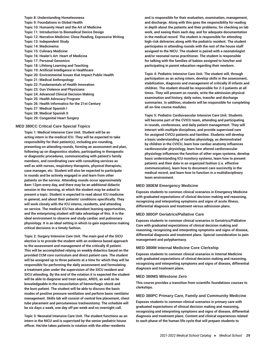**Topic 8: Understanding Homelessness Topic 9: Foundations in Global Health Topic 10: Humanity Heart and the Art of Medicine Topic 11: Introduction to Biomedical Device Design Topic 12: Narrative Medicine: Close Reading, Expressive Writing Topic 13: Independent Study Topic 14: Medicinema Topic 15: Culinary Medicine Topic 16: Healer's Art: Heart of Medicine Topic 17: Personal Genomics Topic 18: Lifelong Learning and Teaching Topic 19: Artificial Intelligence in Healthcare Topic 20: Environmental Issues that Impact Public Health Topic 21: Medical Anthropology Topic 22: Fundamentals of Health Innovation Topic 23: Gun Violence and Physicians Topic 24: Advanced Clinical Decision Making Topic 25: Health Advocacy Program Topic 26: Health Informatics for the 21st Century Topic 27: Medical Spanish I Topic 28: Medical Spanish II Topic 29: Congenital Heart Surgery**

#### **MED 380CC Critical Care Special Topics**

**Topic 1: Medical Intensive Care Unit. Student will be an acting intern in the medical ICU. They will be expected to take responsibility for their patient(s), including pre-rounding, presenting on attending rounds, forming an assessment and plan, following up on diagnostics studies, participating in therapeutic or diagnostic procedures, communicating with patient's family members, and coordinating care with consulting services as well as with nurses, respiratory therapists, physical therapists, case manager, etc. Student will also be expected to participate in rounds and be actively engaged in and learn from other patients on the service. Attending rounds occur approximately 8am-12pm every day, and there may be an additional didactic session in the morning, at which the student may be asked to present a topic. Student is expected to read about ICU medicine in general, and about their patients' conditions specifically. They will work closely with the ICU interns, residents, and attending on service. The medical ICU has abundant learning opportunities, and the enterprising student will take advantage of this. It is the ideal environment to observe and study cardiac and pulmonary physiology. It is an ideal setting in which to gain experience making critical decisions in a timely fashion.**

**Topic 2: Surgery Intensive Care Unit. The main goal of the SICU elective is to provide the student with an evidence based approach to the assessment and management of the critically ill patient. This will be accomplished relying on weekly didactics based on the provided CCM core curriculum and direct patient care. The student will be assigned up to three patients at a time for which they will be responsible for performing the daily assessment and formulating a treatment plan under the supervision of the SICU resident and SICU attending. By the end of the rotation it is expected the student will be able to diagnose and treat sepsis, ARDS, as well as be knowledgeable in the resuscitation of hemorrhagic shock and the burn patient. The student will be able to discuss the basic modes of positive pressure ventilation and perform basic ventilator management. Skills lab will consist of central line placement, chest tube placement and percutaneous tracheostomy. The schedule will be six days a week, one day off per week and no overnight call.**

**Topic 3: Neonatal Intensive Care Unit. The student functions as an intern in the NICU and is supervised by the senior pediatric house officer. He/she takes patients in rotation with the other residents**

**and is responsible for their evaluation, examination, management, and discharge. Along with this goes the responsibility for reading in depth about the patients and their problems, for checking on lab work, and seeing them each day, and for adequate documentation in the medical record. The student is responsible for attending high-risk deliveries along with the pediatric resident. The student participates in attending rounds with the rest of the house staff assigned to the NICU. The student is paired with a neonatologist and/or neonatal nurse practitioner. The student is responsible for talking with the families of babies assigned to him/her and participating in parent education regarding their newborn.**

**Topic 4: Pediatric Intensive Care Unit. The student will, through participation as an acting intern, develop skills in the assessment, stabilization, diagnosis and management of critically ill infants and children. The student should be responsible for 2-3 patients at all times. They will present on rounds, write the admission physical examination and history, daily notes, transfer and discharge summaries. In addition, students will be responsible for completing all on-line course modules.**

**Topic 5: Pediatric Cardiovascular Intensive Care Unit. Students will become part of the CVICU team, attending and participating in rounds, conferences, and daily patient management. They will interact with multiple disciplines, and provide supervised care for assigned CVICU patients and families. Students will develop a basic understanding of cardiac physiology, as demonstrated by children in the CVICU, learn how cardiac anatomy influences cardiovascular physiology, learn how altered cardiovascular physiology influences the function of other organ systems, develop basic understanding ICU monitory systems, learn how to present patients and their data in an organized fashion (i.e. effective communication), learn how to document care succinctly in the medical record, and learn how to function in a multidisciplinary team environment.** 

#### **MED 380EM Emergency Medicine**

**Exposes students to common clinical scenarios in Emergency Medicine with graduated expectations of clinical decision making and reasoning, recognizing and interpreting symptoms and signs of acute illness, differential diagnosis and treatment versus admission plans.**

#### **MED 380GP Geriatrics/Pallative Care**

**Exposes students to common clinical scenarios in Geriatrics/Palliative Care with graduated expectations of clinical decision making and reasoning, recognizing and interpreting symptoms and signs of disease, differential diagnosis and treatment plans. Special consideration to pain management and polypharmacy.**

#### **MED 380IM Internal Medicine Core Clerkship**

**Exposes students to common clinical scenarios in Internal Medicine with graduated expectations of clinical decision making and reasoning, recognizing and interpreting symptoms and signs of disease, differential diagnosis and treatment plans.**

#### **MED 380MS Milestone Zero**

**This course provides a transition from scientific foundations courses to clerkships.**

#### **MED 380PC Primary Care, Family and Community Medicine**

**Exposes students to common clinical scenarios in primary care with graduated expectations of clinical decision making and reasoning, recognizing and interpreting symptoms and signs of disease, differential diagnosis and treatment plans. Content and clinical experiences related to each phase of the human life cycle that will prepare students to**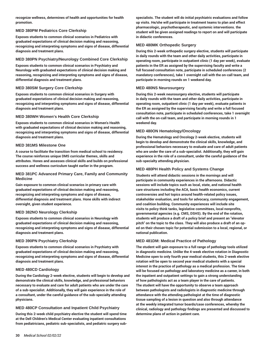**recognize wellness, determines of health and opportunities for health promotion.**

#### **MED 380PM Pediatrics Core Clerkship**

**Exposes students to common clinical scenarios in Pediatrics with graduated expectations of clinical decision making and reasoning, recognizing and interpreting symptoms and signs of disease, differential diagnosis and treatment plans.**

#### **MED 380PN Psychiatry/Neurology Combined Core Clerkship**

**Exposes students to common clinical scenarios in Psychiatry and Neurology with graduated expectations of clinical decision making and reasoning, recognizing and interpreting symptoms and signs of disease, differential diagnosis and treatment plans.**

#### **MED 380SM Surgery Core Clerkship**

**Exposes students to common clinical scenarios in Surgery with graduated expectations of clinical decision making and reasoning, recognizing and interpreting symptoms and signs of disease, differential diagnosis and treatment plans.**

#### **MED 380WH Women's Health Core Clerkship**

**Exposes students to common clinical scenarios in Women's Health with graduated expectations of clinical decision making and reasoning, recognizing and interpreting symptoms and signs of disease, differential diagnosis and treatment plans.**

#### **MED 381MS Milestone One**

**A course to facilitate the transition from medical school to residency. The course reinforces unique DMS curricular themes, skills and attributes. Hones and assesses clinical skills and builds on professional success and wellness curriculum taught earlier in the program.** 

#### **MED 381PC Advanced Primary Care, Family and Community Medicine**

**Gain exposure to common clinical scenarios in primary care with graduated expectations of clinical decision making and reasoning, recognizing and interpreting symptoms and signs of disease, differential diagnosis and treatment plans. Hone skills with indirect oversight, given student experience.**

#### **MED 382NO Neurology Clerkship**

**Exposes students to common clinical scenarios in Neurology with graduated expectations of clinical decision making and reasoning, recognizing and interpreting symptoms and signs of disease, differential diagnosis and treatment plans.**

#### **MED 390PN Psychiatry Clerkship**

**Exposes students to common clinical scenarios in Psychiatry with graduated expectations of clinical decision making and reasoning, recognizing and interpreting symptoms and signs of disease, differential diagnosis and treatment plans.**

# **MED 480CD Cardiology**

**During the Cardiology 2-week elective, students will begin to develop and demonstrate the clinical skills, knowledge, and professional behaviors necessary to evaluate and care for adult patients who are under the care of a sub-specialist. Additionally, they will gain experience in the role of a consultant, under the careful guidance of the sub-specialty attending physicians.** 

# **MED 480CP Consultation and Inpatient Child Psychiatry**

**During this 2-week child psychiatry elective the student will spend time at the Dell Children's Medical Center evaluating inpatient consultations from pediatricians, pediatric sub-specialists, and pediatric surgery sub-** **specialists. The student will do initial psychiatric evaluations and follow up visits. He/she will participate in treatment teams to plan and effect pharmacologic, psychotherapeutic, and systemic interventions. the student will be given assigned readings to report on and will participate in didactic conferences.** 

#### **MED 480MK Orthopedic Surgery**

**During this 2-week orthopedic surgery elective, students will participate in daily rounds with the team and other daily activities, participate in operating room, participate in outpatient clinic (1 day per week), evaluate patients in the ER as assigned by the supervising faculty and write a full focused consultation note, participate in scheduled conferences (2 mandatory conferences), take 1 overnight call with the on-call team, and participate in morning rounds on 1 weekend day.**

#### **MED 480NS Neurosurgery**

**During this 2-week neurosurgery elective, students will participate in daily rounds with the team and other daily activities, participate in operating room, outpatient clinic (1 day per week), evaluate patients in the ER as assigned by the supervising faculty and write a full focused consultation note, participate in scheduled conferences, take 1 overnight call with the on-call team, and participate in morning rounds in 1 weekend day.**

#### **MED 480ON Hematology/Oncology**

**During the Hematology and Oncology 2-week elective, students will begin to develop and demonstrate the clinical skills, knowledge, and professional behaviors necessary to evaluate and care of adult patients who are under the care of a sub-specialist. Additionally, they will gain experience in the role of a consultant, under the careful guidance of the sub-specialty attending physician.** 

#### **MED 480PH Health Policy and Systems Change**

**Students will attend didactic sessions in the mornings and will participate in community experiences in the afternoons. Didactic sessions will include topics such as local, state, and national health care structures including the ACA, basic health economics, current controversies and hot topics around health-related policy issues, stakeholder evaluation, and tools for advocacy, community engagement, and coalition building. Community experiences will include site visits to policy think tanks, legislative committees, local nonprofits, governmental agencies (e.g. CMS, DSHS). By the end of the rotation, students will produce a draft of a policy brief and present an "elevator pitch" on the topic to the class. They will also produce a draft of an oped on their chosen topic for potential submission to a local, regional, or national publication.** 

#### **MED 481DM: Medical Practice of Pathology**

**The student will gain exposure to a full range of pathology tools utilized in diagnostic medicine. Unlike the 4-week elective rotation in Diagnostic Medicine open to only fourth year medical students, this 2-week elective rotation will be open to second year medical students with a special interest in the practice of pathology as a medical profession. The time will be focused on pathology and laboratory medicine as a career, in both the inpatient and outpatient settings to gain a strong understanding of how pathologists act as a team player in the care of patients. The student will have the opportunity to observe a team approach between pathologists and radiologists in diagnostic medicine through attendance with the attending pathologist at the time of diagnostic tissue sampling of a lesion in question and also through attendance at the weekly integrated tumor boards/case conferences, whereby the clinical, radiology and pathology findings are presented and discussed to determine plans of action in patient care.**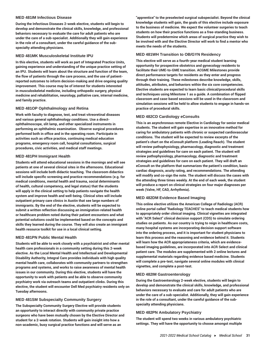#### **MED 481IM Infectious Disease**

**During the Infectious Diseases 2-week elective, students will begin to develop and demonstrate the clinical skills, knowledge, and professional behaviors necessary to evaluate the care for adult patients who are under the care of a sub-specialist. Additionally they will gain experience in the role of a consultant, under the careful guidance of the subspecialty attending physicians.**

#### **MED 481MK Musculoskeletal Institute IPU**

**In this elective, students will work as part of Integrated Practice Units, gaining experience and understanding of the unique practice setting of an IPU. Students will learn about the structure and function of the team, the flow of patients through the care process, and the use of patientreported outcomes to inform decision-making and drive ongoing quality improvement. This course may be of interest for students interested in musculoskeletal medicine, including orthopedic surgery, physical medicine and rehabilitation, neurology, palliative care, internal medicine, and family practice.** 

#### **MED 481OP Ophthalmology and Retina**

**Work with faculty to diagnose, test, and treat vitreoretinal diseases and various general ophthalmology conditions. Use a directophthalmoscope, slit lamp, and other specialized instruments in performing an ophthalmic examination. Observe surgical procedures performed both in office and in the operating room. Participate in activities such as office practice, continuing medical education programs, emergency room call, hospital consultations, surgical procedures, civic activities, and medical staff meetings.**

#### **MED 481PH Immigrant Health**

**Students will attend educational sessions in the mornings and will see patients at one of several clinical sites in the afternoons. Educational sessions will include both didactic teaching. The classroom didactics will include specific screening and practice recommendations (e.g. for medical conditions, mental health and trauma, social determinants of health, cultural competency, and legal status) that the students will apply in the clinical setting to help patients navigate the health system and improve health and well-being. Clinical sites will include outpatient primary care clinics in Austin that see large numbers of immigrants. By the end of the elective, students will be expected to submit a written reflection discussing an immigration-related health or healthcare problem noted during their patient encounters and what potential solutions could be implemented based on the concepts and skills they learned during the course. They will also create an immigrant health resource toolkit for use in a local clinical setting.** 

#### **MED 481PN Public Mental Health**

**Students will be able to work closely with a psychiatrist and other mental health care professionals in a community setting during this 2-week elective. As the Local Mental Health and Intellectual and Developmental Disability Authority, Integral Care provides individuals with high quality mental health care, collaborates with community partners to strengthen programs and systems, and works to raise awareness of mental health issues in our community. During this elective, students will have the opportunity to work with patients and be able to observe community psychiatry work via outreach teams and outpatient clinks. During this elective, the student will encounter Dell Med psychiatry residents only on Tuesday afternoons.**

#### **MED 481SM Subspecialty Community Surgery**

**The Subspecialty Community Surgery Elective will provide students an opportunity to interact directly with community private practice surgeons who have been mutually chosen by the Elective Director and student for a 2-week rotation. Students will gain insight into how a non-academic, busy surgical practice functions and will serve as an**

**"apprentice" to the preselected surgical subspecialist. Beyond the clinical knowledge students will gain, the goals of this elective include exposure to the business of medicine. We expect the volunteer surgeries to teach students on how their practice functions as a free-standing business. Students will predetermine which areas of surgical practice they wish to be involved with and the Elective Director will work to find a mentor who meets the needs of the students.**

#### **MED 481WH Transition to OB/GYN Residency**

**This elective will serve as a fourth-year medical student learning opportunity for prospective obstetrics and gynecology residents to facilitate their UME-to-GME transition. ACGME Milestones provide direct performance targets for residents as they enter and progress through their training. These milestones describe knowledge, skills, attitudes, attributes, and behaviors within the six core competencies. Elective students are expected to learn basic clinical/procedural skills and techniques using Milestone 1 as a guide. A combination of flipped classroom and case-based sessions will be used in the classroom and simulation sessions will be held to allow students to engage in hands-on practice of procedural skills.**

#### **MED 482CD Cardiology eConsults**

**This is an asynchronous remote Elective in Cardiology for senior medical students. The student will gain expertise in an innovative method for caring for ambulatory patients with chronic or suspected cardiovascular conditions. The student will be expected to review excerpts of the patient's chart on the eConsult platform (Leading Reach). The student will review pathophysiology, pharmacology, diagnostic and treatment strategies and guidelines for care on each patient. The student will review pathophysiology, pharmacology, diagnostic and treatment strategies and guidelines for care on each patient. They will draft an eConsult on the platform that summarizes the patient's condition, basic cardiac diagnosis, acuity rating, and recommendations. The attending will modify and co-sign the note. The student will discuss the cases with the attending three times weekly. At the end of each week, the student will produce a report on clinical strategies on four major diagnoses per week (Valve, HF, CAD, Arrhythmia).**

#### **MED 482DM Evidence Based Imaging**

**This online elective utilizes the American College of Radiology (ACR) online portal called "Radiology TEACHES" to teach medical students how to appropriately order clinical imaging. Clinical vignettes are integrated with "ACR Select" clinical decision support (CDS) to simulate ordering studies on patients. As our country is trying to reign in healthcare costs, many hospital systems are incorporating decision support software into the ordering process, and it is important for student physicians to learn this process and the reasoning and evidence behind it. Students will learn how the ACR appropriateness criteria, which are evidencebased imaging guidelines, are incorporated into ACR Select and clinical patient care. The modules are supplemented with 2 online lectures and supplemental materials regarding evidence based medicine. Students will complete a pre-test, navigate several online modules with clinical vignettes, and complete a post-test.**

#### **MED 482IM Gastroenterology**

**During the Gastroenterology 2-week elective, students will begin to develop and demonstrate the clinical skills, knowledge, and professional behaviors necessary to evaluate and care for adult patients who are under the care of a sub-specialist. Additionally, they will gain experience in the role of a consultant, under the careful guidance of the subspecialty attending physicians.** 

#### **MED 482PN Ambulatory Psychiatry**

**The student will spend two weeks in various ambulatory psychiatric settings. They will have the opportunity to choose amongst multiple**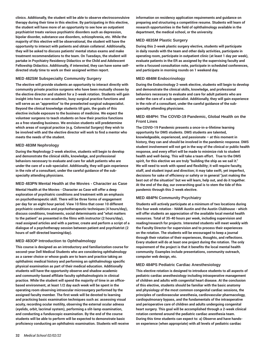**clinics. Additionally, the student will be able to observe electroconvulsive therapy during their time in this elective. By participating in this elective, the student will have more of an opportunity to see how an outpatient psychiatrist treats various psychiatric disorders such as depression, bipolar disorder, substance use disorders, schizophrenia, etc. While the majority of this elective will be observational, the student will have the opportunity to interact with patients and obtain collateral. Additionally, they will be asked to discuss patients' mental status exams and make treatment recommendations to the team. On Tuesdays, the student will partake in Psychiatry Residency Didactics or the Child and Adolescent Fellowship Didactics. Additionally, if interested, they can have some selfdirected study time to work on their assigned written report.**

#### **MED 482SM Subspecialty Community Surgery**

**The elective will provide students an opportunity to interact directly with community private practice surgeons who have been mutually chosen by the elective director and student for a 2-week rotation. Students will gain insight into how a non-academic, busy surgical practice functions and will serve as an "apprentice" to the preselected surgical subspecialist. Beyond the clinical knowledge students till gain, the goals of this elective include exposure to the business of medicine. We expect the volunteer surgeons to teach students on how their practice functions as a free-standing business. We envision students will predetermine which areas of surgical practice (e.g. Colorectal Surgery) they wish to be involved with and the elective director will work to find a mentor who meets the needs of the student.** 

#### **MED 483IM Nephrology**

**During the Nephrology 2-week elective, students will begin to develop and demonstrate the clinical skills, knowledge, and professional behaviors necessary to evaluate and care for adult patients who are under the care of a sub-specialist. Additionally, they will gain experience in the role of a consultant, under the careful guidance of the subspecialty attending physicians.** 

#### **MED 483PN Mental Health at the Movies - Character as Case**

**Mental Health at the Movies - Character as Case will offer a deep exploration of psychiatric conditions and treatment with an emphasis on psychotherapeutic skill. There will be three forms of engagement per day for an eight hour period. View 10 films that cover 10 different psychiatric conditions and psychotherapeutic techniques (4 hours/day), discuss conditions, treatments, social determinants and "what matters to the patient" as presented in the films with instructor (2 hours/day), read assigned articles and with a partner, create and perform a script of a dialogue of a psychotherapy session between patient and psychiatrist (2 hours of self-directed learning/day).**

# **MED 483OP Introduction to Ophthalmology**

**This course is designed as an introductory and familiarization course for second-year Dell Medical Students who are considering ophthalmology as a career choice or whose goals are to learn and practice taking an ophthalmic medical history and performing an ophthalmology specific physical examination as part of their medical education. Additionally students will have the opportunity observe and shadow academic and community-based affiliate faculty ophthalmologists in clinical practice. While the student will spend the majority of time in an officebased environment, at least 1/2 day each week will be spent in the operating room observing intraocular microsurgery performed by the assigned faculty member. The first week will be devoted to learning and practicing basic examination techniques such as: assessing visual acuity, recording ocular motility, observing the external ocular adnexa (eyelids, orbit, lacrimal system), performing a slit-lamp examination, and conducting a funduscopic examination. By the end of the course students will be able to perform will be expected to demonstrate basic proficiency conducting an ophthalmic examination. Students will receive** **information on residency application requirements and guidance on preparing and structuring a competitive resume. Students will learn of research opportunities in the field of ophthalmology available in the department, the medical school, or the university.**

#### **MED 483SM Plastic Surgery**

**During this 2-week plastic surgery elective, students will participate in daily rounds with the team and other daily activities, participate in operating room, participate in outpatient clinic (at least 1 day per week), evaluate patients in the ER as assigned by the supervising faculty and write a focused consultation note, participate in scheduled conferences, and participate in morning rounds on 1 weekend day.**

#### **MED 484IM Endocrinology**

**During the Endocrinology 2-week elective, students will begin to develop and demonstrate the clinical skills, knowledge, and professional behaviors necessary to evaluate and care for adult patients who are under the care of a sub-specialist. Additionally, they will gain experience in the role of a consultant, under the careful guidance of the subspecialty attending physicians.** 

# **MED 484PH: The COVID-19 Pandemic, Global Health on the Front Lines**

**The COVID-19 Pandemic presents a once-in-a-lifetime learning opportunity for DMS students. DMS students are talented, knowledgeable, experienced, and passionate – at this moment in history, they can and should be involved in the pandemic response. DMS student involvement will not get in the way of the clinical or public health response, and every effort will be made to minimize risk to student health and well-being. This will take a team effort. True to the DMS spirit, for this elective we are truly "building the ship as we sail it." We will need to work with speed and flexibility; it will require faculty, staff, and student input and direction; it may take swift, yet imperfect, decisions for sake of efficiency or safety or in general "just making the best out of the situation" but we will learn, help out, and do it together. At the end of the day, our overarching goal is to stem the tide of this pandemic through this 2-week elective.**

# **MED 484PN Community Psychiatry**

**Students will actively participate at a minimum of two locations during this four week rotation - NAMI Austin and the Austin Clubhouse - which will offer students an appreciation of the available local mental health resources. Total of 35-40 hours per week, including supervision and reading/research for projects. Interested students will meet weekly with the Faculty Director for supervision and to process their experiences on the rotation. The students will be encouraged to keep a journal through their rotation of their experiences, thoughts, and reflections. Every student will do at least one project during the rotation. The only requirement of the project is that it benefits the local mental health community. Examples include presentations, community outreach, computer web design, etc.** 

#### **MED 484PS Pediatric Cardiac Anesthesiology**

**This elective rotation is designed to introduce students to all aspects of pediatric cardiac anesthesiology including intraoperative management of children and adults with congenital heart disease. At the conclusion of this elective, students should be familiar with the basic anatomy and physiology of the most common congenital cardiac sessions, the principles of cardiovascular anesthesia, cardiovascular pharmacology, cardiopulmonary bypass, and the fundamentals of the intraoperative and perioperative care of children and adults undergoing congenital heart surgery. This goal will be accomplished through a 2-week clinical rotation centered around the pediatric cardiac anesthesia team. During this time students can expect to: a) Observe and have handson experience (when appropriate) with all levels of pediatric cardiac**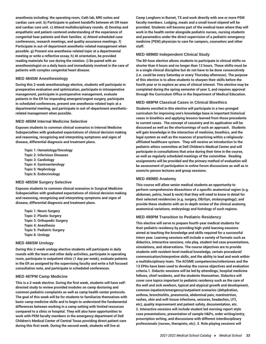**anesthesia including: the operating room, Cath lab, MRI suites and cardiac care unit. b) Participate in patient handoffs between eh OR team and cardiac care unit. c) Attend multidisciplinary rounds. d) Develop and empathetic and patient-centered understanding of the experience of congenital hear patients and their families. e) Attend scheduled case conferences, research meetings, and quality assurance meetings. f) Participate in out-of-department anesthetic-related management when possible. g) Present one anesthesia-related topic at a departmental meeting or write a reflective essay. h) At orientation, be provided reading materials for use during the rotation. i) Be paired with an anesthesiologist on a daily basis and immediately involved in the care of patients with complex congenital heart disease.**

#### **MED 484SM Anesthesiology**

**During this 2-week anesthesiology elective, students will participate in preoperative evaluation and optimization, participate in intraoperative management, participate in postoperative management, evaluate patients in the ER for impending emergent/urgent surgery, participate in scheduled conferences, present one anesthesia-related topic at a departmental meeting, and participate in out-of-department anestheticrelated management when possible.**

#### **MED 485IM Internal Medicine Selective**

**Exposes students to common clinical scenarios in Internal Medicine Subspecialties with graduated expectations of clinical decision making and reasoning, recognizing and interpreting symptoms and signs of disease, differential diagnosis and treatment plans.**

**Topic 1: Hematology/Oncology Topic 2: Infectious Diseases Topic 3: Cardiology Topic 4: Gastroenterology Topic 5: Nephrology Topic 6: Endocrinology**

#### **MED 485SM Surgery Selective**

**Exposes students to common clinical scenarios in Surgical Medicine Subspecialties with graduated expectations of clinical decision making and reasoning, recognizing and interpreting symptoms and signs of disease, differential diagnosis and treatment plans.**

**Topic 1: Neuro Surgery Topic 2: Plastic Surgery Topic 3: Orthopedic Surgery Topic 4: Anesthesia Topic 5: Pediatric Surgery Topic 6: Urology**

#### **MED 486SM Urology**

**During this 2-week urology elective students will participate in daily rounds with the team and other daily activities, participate in operating room, participate in outpatient clinic (1 day per week), evaluate patients in the ER as assigned by the supervising faculty and write a full focused consultation note, and participate in scheduled conferences.**

#### **MED 487PM Camp Medicine**

**This is a 2-week elective. During the first week, students will have selfdirected study to review provided modules on camp doctoring and common pediatric complaints as well as camp health center protocols. The goal of this week will be for students to familiarize themselves with basic camp medicine skills and to begin to understand the fundamental differences between working in a camp setting with limited resources compared to a clinic or hospital. They will also have opportunities to work with PEM faculty members in the emergency department of Dell Children's Medical Center of Central Texas providing direct patient care during this first week. During the second week, students will live at**

**Camp Longhorn in Burnet, TX and work directly with one or more PEM faculty members. Lodging, meals and a small travel stipend will be provided. Students will become part of the medical team where they will work in the health center alongside pediatric nurses, nursing students and paramedics under the direct supervision of a pediatric emergency medicine (PEM) physician to care for campers, counselors and other staff.**

#### **MED 489MD Independent Clinical Study**

**The 80-hour elective allows students to participate in clinical shifts no shorter than 4 hours and no longer than 12 hours. These shifts must be in a single clinical discipline but do not have to be done consecutively (i.e. could be every Saturday or every Thursday afternoon). The purpose of this elective is to allow students to sharpen their skills before the fourth year or to explore an area of clinical interest. This elective may be completed during the spring semester of year 3, and requires approval through the Curriculum Office in the Department of Medical Education.**

#### **MED 489PM Classical Cases in Clinical Bioethics**

**Students enrolled in this elective will participate in a two-pronged curriculum for improving one's knowledge base in important historical cases in bioethics and applying lessons learned from those precedents to current cases. The concept of casuistry and its application will be discussed as well as the shortcomings of such an approach. Students will gain knowledge in the interaction of medicine, bioethics, and the legal system as well as the nuances of practicing within a religiouslyaffiliated healthcare system. They will receive an introduction to the pediatric ethics committee at Dell Children's Medical Center and will participate in consultations that arise during their time in the course, as well as regularly scheduled meetings of the committee. Reading assignments will be provided and the primary method of evaluation will be assessment of participation in online forum discussions as well as in zoom/in-person lectures and group sessions.**

#### **MED 490MD Anatomy**

**This course will allow senior medical students an opportunity to perform comprehensive dissections of a specific anatomical region (e.g. abdomen, pelvis, head & neck) that they will need to know in detail for their selected residencies (e.g. surgery, OB/Gyn, otolaryngology); and provide these students with an in-depth review of the clinical anatomy, anatomical variations, embryology and histology of such regions.**

#### **MED 490PM Transition to Pediatric Residency**

**This elective will serve to prepare fourth-year medical students for their pediatric residency by providing high-yield learning sessions aimed at teaching the knowledge and skills required for a successful intern year. Learning sessions will include a variety of formats such as didactics, interactive sessions, role play, student-led case presentations, simulations, and observations. The course objectives are to provide students with resident-level medical knowledge, certain procedural/ communication/interpretive skills, and the ability to lead and work within a multidisciplinary team. The ACGME competencies/milestones and the 13 EPAs have been used to develop the course objectives and evaluation criteria.1. Didactic sessions will be led by attendings, hospital medicine fellows, chief residents, and the students themselves. Didactics will cover core topics important to pediatric residency such as the care of the well and sick newborn, typical and atypical growth and development, common inpatient/emergency/outpatient scenarios (dehydration, asthma, bronchiolitis, pneumonia, abdominal pain, manlnutrtion, rashes, skin and soft tissue infections, seizures, headaches, UTI, etc), quality improvement and patient safety, documentation, etc. 2. Interactive sessions will include student led morning-report style case presentations, presentation of sample H&Ps, order writing/entry, prescription writing, and discussions with different interdisciplinary professionals (nurses, therapists, etc). 3. Role playing sessions will**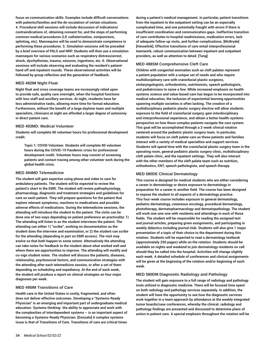**focus on communication skills. Examples include difficult conversations with patients/families and the de-escalation of certain situations. 4. Procedural skill sessions will include discussion of indications/ contraindications of, obtaining consent for, and the steps of performing common medical procedures (LP, catheterization, venipuncture, splinting, etc). Mannequins will be used to demonstrate competence in performing these procedures. 5. Simulation sessions will be preceded by a brief overview of PALS and NRP. Students will then use a simulation mannequin for various scenarios such as respiratory distress/arrest, shock, dysrhythmias, trauma, seizures, ingestions, etc. 6. Observational sessions will include observing and evaluating the resident's patienthand off and inpatient rounds. These observational activities will be followed by group reflection and the generation of feedback.**

#### **MED 492IM Night Float**

**Night float and cross coverage teams are increasingly relied upon to provide safe, quality care overnight, when the hospital functions with less staff and ancillary services. At night, residents have far less administrative tasks, allowing more time for formal education. Furthermore, without the benefit of a large daytime team and multiple specialists, clinicians at night are afforded a larger degree of autonomy in direct patient care.**

#### **MED 493MD: Medical Volunteer**

**Students will complete 80 volunteer hours for professional development credit.**

**Topic 1: COVID Volunteer. Students will complete 80 volunteer hours during the COVID-19 Pandemic crisis for professional development credit. Volunteer hours may consist of screening patients and contact tracing among other volunteer work during the global health crisis.** 

#### **MED 494MD Telemedicine**

**The student will gain expertise using phone and video to care for ambulatory patients. The student will be expected to review the patient's chart in the EMR. The student will review pathophysiology, pharmacology, diagnostic and treatment strategies and guidelines for care on each patient. They will prepare questions for the patient that explore relevant symptoms, reactions to medications and possible adverse effects of medications. During the telemedicine sessions, the attending will introduce the student to the patient. The visits can be done one of two ways depending on patient preference an practicality: 1) The attending will listen in as the student interviews the patient. The attending can either 1) "scribe", working on documentation as the student does the interview and examination, or 2) the student can scribe for the attending (depending in part on EMR access). The visit may evolve so that both happen to some extent. Alternatively the attending can take notes for feedback to the student about what worked well and where there are opportunities to improve. The attending will modify and co-sign student notes. The student will discuss the patients, diseases, relationship, psychosocial factors, and communication strategies with the attending after each telemedicine session, or after a set of them depending on scheduling and expediency. At the end of each week, the student will produce a report on clinical strategies on four major diagnoses per week.**

#### **MED 495IM Transitions of Care**

**Health care in the United States is costly, fragmented, and often does not deliver effective outcomes. Developing a "Systems-Ready Physician" is an emerging and important part of undergraduate medical education. Systems thinking- the ability to appreciate and work with the complexities of interdependent systems – is an important aspect of becoming a Systems-Ready Physician. [Gonzalo] A complex systems issue is that of Transitions of Care. Transitions of care are critical times**

**during a patient's medical management. In particular, patient transitions from the inpatient to the outpatient setting can be an especially complicated time, and one potentially fraught with errors if there is insufficient coordination and communication gaps. Ineffective transition of care contributes to hospital readmissions, medication errors, lack of adequate follow-up visits, and further complications. [McBryde] [Hesselink]. Effective transitions of care entail interprofessional teamwork, robust communication between inpatient and outpatient providers, as well as attention to detail. [Tang]**

#### **MED 498SM Comprehensive Cleft Care**

**Children with congenital anomalies such as cleft palates represent a patient population with a unique set of needs and who require multidisciplinary care with craniofacial plastic surgeons, otolaryngologists, orthodontists, nutritionists, speech pathologists, and pediatricians to name a few. While increased emphasis on health systems science and value-based care has begun to be incorporated into medical education, the inclusion of experiential learning opportunities spanning multiple societies is often lacking. The creation of a multidisciplinary pediatric plastic surgery elective will allow students exposure to the field of craniofacial surgery, gain interdisciplinary and interprofessional experience, and obtain a better health-systems perspective on how these complex patients navigate the care system. This goal will be accomplished through a 2-week clinical rotation centered around the pediatric plastic surgery team. In particular, students will focus on cleft palate care as these patients and families interact with a variety of medical specialties and support services. Students will spend time with the craniofacial plastic surgery team in the operating room, general pediatric plastic surgery clinic, multidisciplinary cleft palate clinic, and the inpatient settings. They will also interact with the other members of the cleft palate team such as nutrition, orthodontics, ENT, speech pathologists, and speech therapy.**

#### **MED 580DE Clinical Dermatology**

**This course is designed for medical students who are either considering a career in dermatology or desire exposure to dermatology in preparation for a career in another field. The course has been designed to expose the student to all aspects of a dermatology practice. This four-week course includes exposure to general dermatology, pediatric dermatology, cutaneous oncology, procedural dermatology, phototherapy, dermatopharmacology and dermatopathology. The student will work one-one-one with residents and attendings in each of these fields. The student will be responsible for reading the assigned text and journal articles, preparing given assignments, and participating in weekly didactics including journal club. Students will also give 1 major presentation of a topic of their choice to the department during this rotation. Students will be expected to read a dermatology textbook (approximately 250 pages) while on the rotation. Students should be available on nights and weekend to join dermatology residents on call should they be called into the hospital. Activities will change slightly each week. A detailed schedule of conferences and clinical assignments will be given at the beginning of the rotation and/or beginning of each week.** 

#### **MED 580DM Diagnostic Radiology and Pathology**

**The student will gain exposure to a full range of radiology and pathology tools utilized in diagnostic medicine. There will be focused time spent on both radiology and pathology services separately. In addition, the student will have the opportunity to see how the diagnostic services work together in a team approach by attendance at the weekly integrated tumor boards/case conferences, whereby the clinical, radiology and pathology findings are presented and discussed to determine plans of action in patient care. A special emphasis throughout the rotation will be**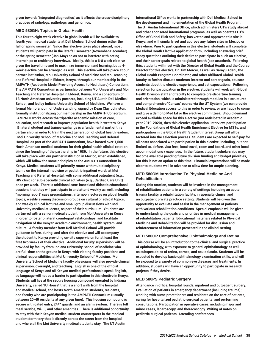**given towards 'integrated diagnostics', as it affects the cross-disciplinary practices of radiology, pathology, and genomics.**

#### **MED 580GH: Topics in Global Health**

**This four to eight week elective in global health will be available to fourth year medical students at Dell Medical School during either the fall or spring semester. Since this elective takes place abroad, most students will participate in the late fall semester (November-December) or the spring semester (Jan-May) so as not to interfere with acting internships or residency interviews. Ideally, this is a 6-8 week elective given the travel time and to maximize immersion and learning, but a 4 week elective can be arranged as well. This elective will take place at our partner institution, Moi University School of Medicine and Moi Teaching and Referral Hospital in Eldoret, Kenya, through our membership in the AMPATH (Academic Model Providing Access to Healthcare) Consortium. The AMPATH Consortium is partnership between Moi University and Moi Teaching and Referral Hospital in Eldoret, Kenya, and a consortium of 13 North American university partners, including UT Austin Dell Medical School, and led by Indiana University School of Medicine. We have a formal Memorandum of Understanding, signed by Dean Clay Johnston, formally institutionalizing our membership in the AMPATH Consortium.**

**AMPATH works across the tripartite academic mission of care, education, and research to improve population health in western Kenya. Bilateral student and trainee exchange is a fundamental part of this partnership, in order to train the next generation of global health leaders. Moi University School of Medicine and Moi Teaching and Referral Hospital, as part of the AMPATH Consortium, have hosted over 1,500 North American medical students for their global health clinical rotation since the founding of the partnership in 1989. In the future, this elective will take place with our partner institution in Mexico, when established, which will follow the same principles as the AMPATH Consortium in Kenya. Medical students will primarily rotate with multidisciplinary teams on the internal medicine or pediatric inpatient wards at Moi Teaching and Referral Hospital, with some additional outpatient (e.g., HIV clinic) or sub-specialty clinical activities (e.g., Cardiac Care Unit) once per week. There is additional case-based and didactic educational sessions that they will participate in and attend weekly as well, including "morning report" case presentations, afternoon lectures on global health topics, weekly evening discussion groups on cultural or ethical topics, and weekly clinical lectures and small group discussions with Moi University medical students, as part of their curriculum. Students are partnered with a senior medical student from Moi University in Kenya in order to foster bilateral counterpart relationships, and facilitate navigation of the Kenyan academic environment, health system, and culture. A faculty member from Dell Medical School will provide guidance before, during, and after the elective and will accompany the student to Kenya providing on-site supervision for at least the first two weeks of their elective. Additional faculty supervision will be provided by faculty from Indiana University School of Medicine who are full-time on the ground in Kenya with visiting faculty positions and clinical responsibilities at Moi University School of Medicine. Moi University School of Medicine faculty physicians will also provide clinical supervision, oversight, and teaching. English is one of the official language of Kenya and all Kenyan medical professionals speak English, so language will not be a barrier to participation in this elective in Kenya. Students will live at the secure housing compound operated by Indiana University, called "IU House" that is a short walk from the hospital and medical school, and hosts North American students, residents, and faculty who are participating in the AMPATH Consortium (usually between 20-40 residents at any given time). This housing compound is secure with gated entry, 24/7 guards, and an alarm system. There is full meal service, Wi-Fi, and other amenities. There is additional opportunity to stay with their Kenyan medical student counterparts in the medical student dormitory that is directly across the street from the hospital and where all the Moi University medical students stay. The UT Austin**

**International Office works in partnership with Dell Medical School in the development and implementation of the Global Health Program. The UT Austin International Office, which administers UT's study abroad and other sponsored international programs, as well as operates UT's Office of Global Risk and Safety, has vetted and approved this site in Kenya, and will similarly vet and approve any future sites in Mexico or elsewhere. Prior to participation in this elective, students will complete the Global Heath Elective application form, including answering brief essay questions outlining their desire to participate in such an elective, and their career goals related to global health (see attached). Following this, students will meet with the Director of Global Health and the Course Director for this elective, Dr. Tim Mercer, as well as Sarayu Adeni, the Global Health Program Coordinator, and other affiliated Global Health faculty to further discuss students' interest and career goals, educate students about the elective experience, and set expectations. Following selection for participation in the elective, students will work with Global Health Division staff and faculty to complete pre-departure training and orientation, which is administered through modules in a structured and comprehensive "Canvas" course via the UT System (we can provide Medical Education access to this in order to review, or are happy to come and give a demo to Med Ed or the elective committee). Should demand exceed available space for this elective (not anticipated in academic year 2019-2020), then this elective application, interview, participation in the Foundations of Global Health Enrichment Elective for MS1s, and participation in the Global Health Student Interest Group will all be factored into the selection process. Students are expected to self-pay for all costs associated with participation in this elective, including, but not limited to, airfare, visa fees, local travel, room and board, and other local accommodations / expenses. In the future, student scholarships may become available pending future division funding and budget priorities, but this is not an option at this time. Financial expectations will be made clear to students well in advance to allow time for ample planning.**

# **MED 580OM Introduction To Physical Medicine And Rehabilitation**

**During this rotation, students will be involved in the management of rehabilitation patients in a variety of settings including an acute trauma facility, a rehabilitation facility, in specialty clinics, and an outpatient private practice setting. Students will be given the opportunity to evaluate and assist in the management of patients with various rehabilitation conditions. Special emphasis will be given to understanding the goals and priorities in medical management of rehabilitation patients. Educational materials related to Physical Medicine and Rehabilitation will be provided for discussion and reinforcement of information presented in the clinical setting.** 

#### **MED 580OP Comprehensive Ophthalmology and Retina**

**This course will be an introduction to the clinical and surgical practice of ophthalmology, with exposure to general ophthalmology as well as subspecialties of retina, cornea, and oculoplastic. Students will be expected to develop basic ophthalmology examination skills, and will be exposed to a variety of common eye diseases and treatments. In addition, students will have an opportunity to participate in research projects if they desire.**

# **MED 580PS Pediatric Surgery**

**Attendance in office, hospital rounds, inpatient and outpatient surgery. Evaluation of patients in emergency department (including trauma); working with nurse practitioners and residents on the care of patients, caring for hospitalized pediatric surgical patients; and performing consultations. Participation in operative cases, including major and minor cases, laparoscopy, and thoracoscopy. Writing of notes on pediatric surgical patients. Attending conferences.**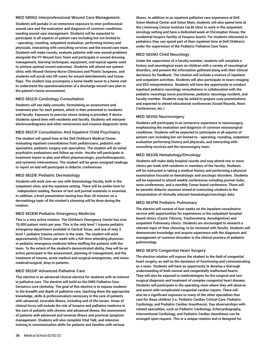#### **MED 580SG Interprofessional Wound Care Management.**

**Students will partake in an immersive exposure to inter-professional wound care and the evaluation and diagnosis of common conditions needing wound care management. Students will be expected to participate in all aspects of patient care including but not limited to - operating, rounding, outpatient evaluation, performing history and physicals, interacting with consulting services and the wound care team. Students will make rounds, evaluate patients with new wound problems alongside the PT-Wound Care Team and participate in wound dressing management, learning techniques, equipment, and topical agents used to achieve optimal wound outcomes. Students will attend out-patient clinic with Wound-Ostomy Nurse Clinicians and Plastic Surgeons, and students will scrub into OR cases for wound debridements and tissue flaps. The student may accompany a home health nurse to a home visit to understand the operationalization of a discharge wound care plan to the patient's home environment.**

# **MED 581CD Cardiology Consultation**

**Students will see daily consults, formulating an assessment and treatment plan for each patient, which is then presented to residents and faculty. Exposure to exercise stress testing is provided, if desire. Students spend time with residents and faculty. Students will interpret electrocardiograms and other noninvasive and invasive diagnostic tests.**

#### **MED 581CP Consultation And Inpatient Child Psychiatry**

**The student will spend time at the Dell Children's Medical Center evaluating inpatient consultations from pediatricians, pediatric subspecialists, pediatric surgery sub-specialists. The student will do initial psychiatric evaluations and follow up visits. He/she will participate in treatment teams to plan and effect pharmacologic, psychotherapeutic, and systemic interventions. The student will be given assigned readings to report on and will participate in didactic conferences.**

#### **MED 581DE Pediatric Dermatology**

**Students will work one-on-one with Dermatology faculty, both in the outpatient clinic and the inpatient setting. There will be amble time for independent reading. Review of text and journal materials is essential. In addition, a brief presentation lasting less than 20 minutes on a dermatology topic of the student's choosing will be done during the rotation.** 

#### **MED 581EM Pediatric Emergency Medicine**

**This is a very active rotation. The Children's Emergency Center has over 76,000 patient visits per year. This is the only level 1 trauma pediatric emergency department available in Central Texas, and one of only 3 level 1 pediatric trauma centers in the state. The student will work approximately 32 hours per week with a full-time attending physician or pediatric emergency medicine fellow staffing the patients with the team. To the extent of the student's demonstrated ability, they will be an active participant in the assessment, planning of management, and the treatment of trauma, acute medical and surgical emergencies, and minor medical/surgical, drop-in patients.** 

#### **MED 581GP Advanced Palliative Care**

**This elective is an advanced clinical elective for students with an interest in palliative care. The elective will build on the DMS Palliative Care Geriatrics core clerkship. The goal of this elective is to expose students to the breadth and depth of palliative care, teaching them the appropriate knowledge, skills & professionalism necessary in the care of patients with advanced, incurable illness, including end of life issues. Areas of clinical focus will include the role of hospice and palliative medicine in the care of patients with chronic and advanced illness, the assessment of patients with advanced and terminal illness and practical symptom management. Students will also complete Vital Talk, and intensive training in communication skills for patients and families with serious**

**illness. In addition to an inpatient palliative care experience at Dell Seton Medical Center and Seton Main, students will also spend time at the Livestrong Cancer Institute CaLM clinic to work in the outpatient oncology setting and have a dedicated week at Christopher House, the residential hospice facility of Hospice Austin. For students interested in pediatrics they can spend part of their inpatient time at Dell Children's under the supervision of the Pediatric Palliative Care Team.**

# **MED 581NO Child Neurology**

**Under the supervision of a faculty member, students will complete a history and neurological exam on children with a variety of neurological disorders, and present the information gathered along with their clinical decisions for feedback. The rotation will include a mixture of inpatient and outpatient activities. Students will also participate in neuro-imaging and EEG interpretations. Students will have the opportunity to conduct inpatient pediatric neurology consultations in collaboration with the pediatric neurology nurse practitioner, pediatric neurology resident, and faculty member. Students may be asked to prepare case presentations and expected to attend educational conferences (Grand Rounds, Noon Conferences, etc.)**

#### **MED 581NS Neurosurgery**

**Students will participate in an immersive experience in neurosurgery, emphasizing the evaluation and diagnosis of common neurosurgical conditions. Students will be expected to participate in all aspects of patient care including but not limited to - operating, rounding, outpatient evaluation performing history and physicals, and interacting with consulting services and the neurosurgery team.**

#### **MED 581ON Hematology/Oncology**

**Students will make daily hospital rounds and may attend one or more clinics per week with residents or members of the faculty. Students will be instructed in taking a medical history and performing a physical examination focused on hematologic and oncologic disorders. Students will be expected to attend weekly conferences including journal clubs, noon conferences, and a monthly Tumor board conference. There will be periodic didactic sessions aimed at instructing students in the interpretation of clinically relevant hematologic/oncologic data.**

#### **MED 581PM Pediatric Pulmonary**

**The elective will consist of four weeks on the inpatient consultative service with opportunities for experiences in the outpatient hospitalbased clinics (Cystic Fibrosis, Tracheostomy, Aerodigestive) and outpatient Pulmonary clinics. Students are encouraged to research a relevant topic of their choosing, to be reviewed with faculty. Students will demonstrate knowledge and acquire experience with the diagnosis and management of common disorders in the clinical practice of pediatric pulmonology.**

#### **MED 581PS Congenital Heart Surgery**

**The elective rotation will expose the student to the field of congenital heart surgery, as well as the dynamics of functioning and communicating as a team. Students will have an opportunity to develop a thorough understanding of both normal and congenitally malformed hearts. They will also be exposed to methodologies for the surgical and nonsurgical diagnosis and treatment of complex congenital heart disease. Students will participate in the operating room where they will observe and assist with complicated congenital cardiac repairs. There will also be a significant exposure to many of the other specialties that care for these children (i.e. Pediatric Cardiac Critical Care, Pediatric Cardiology, and Pediatric Cardiac Anesthesia). Day observerships with related specialties, such as Pediatric Cardiology, Echocardiography, Interventional Cardiology, and Pediatric Cardiac Anesthesia can be arranged upon request. This is a unique rotation and is designed for**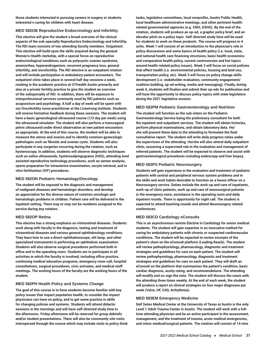**those students interested in pursuing careers in surgery or students interested n caring for children with heart disease.**

# **MED 582OB Reproductive Endocrinology and Infertility**

**This elective will give the student a broad overview of the clinical aspects of the sub-specialty Reproductive Endocrinology and Infertility. The REI team consists of two attending faculty members. Outpatient: This elective will build upon the skills acquired during the general Women's Health clerkship, with a special focus on reproductive endocrinological conditions such as polycystic ovarian syndrome, amenorrhea, hyperandrogenism, recurrent pregnancy loss, general infertility, and oncofertility. The REI elective is an outpatient rotation and will include participation in ambulatory patient encounters. The outpatient clinic takes place in several half day sessions a week, rotating in the academic practice at UTHealth Austin primarily and also at a private fertility practice to give the student an overview of the subspecialty of REI. In addition, there will be exposure to interprofessional services commonly used by REI patients such as acupuncture and psychology. A half a day of week will be spent with our Oncofertility nurse practitioner at the Livestrong Institute. Students will receive formative feedback during these sessions. The student will have a basic gynecological ultrasound course (1/2 day per week) using the ultrasound simulator. The student will also perform a transvaginal pelvic ultrasound under direct observation at new patient encounters as appropriate. At the end of this course, the student will be able to measure the uterus and ovaries and to identify common gynecologic pathologies such as fibroids and ovarian cysts. Students will also participate in any surgeries occurring during the rotation, such as hysteroscopy. In addition, students will observe diagnostic techniques such as saline ultrasounds, hysterosalpingograms (HSG), attending level assisted reproductive technology procedures, such as semen analysis, sperm preparation for intrauterine insemination, oocyte retrieval, and in vitro fertilization (IVF) procedures.**

#### **MED 582ON Pediatric Hematology/Oncology**

**The student will be exposed to the diagnosis and management of malignant diseases and hematologic disorders, and develop an appreciation for the diverse nature of common oncologic and hematologic problems in children. Patient care will be delivered in the inpatient setting. There may or may not be residents assigned to the service during any rotation.**

#### **MED 582OP Retina**

**This elective has a strong emphasis on vitreoretinal diseases. Students work along with faculty in the diagnosis, testing and treatment of vitreoretinal diseases and various general ophthalmology conditions. They learn how to use a direct-ophthalmoscope, slit lamp, and other specialized instruments in performing an ophthalmic examination. Students will also observe surgical procedures performed both in office and in the operating room. Students are to participate in all activities in which the faculty is involved, including office practice, continuing medical education programs, emergency room call, hospital consultations, surgical procedures, civic activates, and medical staff meetings. The working hours of the faculty are the working hours of the student.** 

#### **MED 582PH Health Policy and Systems Change**

**The goal of this course is to have students become familiar with key policy issues that impact population health, to consider the impact physicians can have on policy, and to get some practice in skills for changing policies and systems. Students will attend didactic sessions in the mornings and will have self-directed study time in the afternoons. Friday afternoons will be reserved for group debriefs and/or student presentations. There will also be community site visits interspersed through the course which may include visits to policy think** **tanks, legislative committees, local nonprofits, Austin Public Health, local healthcare administrative meetings, and other pertinent healthrelated governmental agencies (e.g. CMS, DSHS). By the end of the rotation, students will produce an op-ed, a graphic policy brief, and an elevator pitch on a policy topic. Self-directed study time will be used for students to work on these products. The course will progress in 4 units. Week 1 will consist of an introduction to the physician's role in policy discussions and some basics of health policy (i.e. local, state, and national health care financing structures, basic health economics and comparative health policy, current controversies and hot topics around health-related policy issues). Week 2 will focus on social policies that affect health (i.e. environmental policies, housing and land use, transportation policy, etc). Week 3 will focus on policy change skills development (i.e. stakeholder evaluation, community engagement/ coalition building, op-ed writing, media and messaging). Finally, during week 4, students will finalize and submit their op-eds for publication and will have the opportunity to discuss policy topics with state legislators during the 2021 legislative session.**

#### **MED 582PM Pediatric Gastroenterology and Nutrition**

**The student will function as the sub-intern on the Pediatric Gastroenterology Service being the preliminary consultant for both the inpatient and outpatient services. The student will obtain histories, perform physical examinations, and obtain laboratory data. He/ she will present these data to the attending to formulate the final consultative report. The student will write daily progress notes under the supervision of the attending. He/she will also attend daily outpatient clinic, assuming a supervised role in the evaluation and management of referred patients. The student will be expected to observe and assist with gastroenterological procedures including endoscopy and liver biopsy.**

#### **MED 582PS Pediatric Neurosurgery**

**Students will gain experience in the evaluation and treatment of pediatric patients with central and peripheral nervous system problems and in the skills and work habits desirable to function as a house officer on a Neurosurgery service. Duties include the work-up and care of inpatients, work-up of clinic patients, work up and care of neurosurgical patients in the emergency room, assistance in the operating room and daily inpatient rounds. There is opportunity for night call. The student is expected to attend teaching rounds and attend Neurosurgery related conferences.** 

# **MED 583CD Cardiology eConsults**

**This is an asynchronous remote Elective in Cardiology for senior medical students. The student will gain expertise in an innovative method for caring for ambulatory patients with chronic or suspected cardiovascular conditions. The student will be expected to review excerpts of the patient's chart on the eConsult platform (Leading Reach). The student will review pathophysiology, pharmacology, diagnostic and treatment strategies and guidelines for care on each patient. The student will review pathophysiology, pharmacology, diagnostic and treatment strategies and guidelines for care on each patient. They will draft an eConsult on the platform that summarizes the patient's condition, basic cardiac diagnosis, acuity rating, and recommendations. The attending will modify and co-sign the note. The student will discuss the cases with the attending three times weekly. At the end of each week, the student will produce a report on clinical strategies on four major diagnoses per week (Valve, HF, CAD, Arrhythmia).**

#### **MED 583EM Emergency Medicine**

**Dell Seton Medical Center at the University of Texas at Austin is the only Level 1 Adult Trauma Center in Austin. The student will work with a fulltime attending physician and be an active participant in the assessment, management, and the treatment of trauma, acute medical emergencies, and minor medical/surgical patients. The rotation will consist of 14 nine**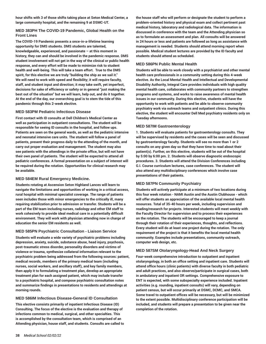**hour shifts with 3 of those shifts taking place at Seton Medical Center, a large community hospital, and the remaining 9 at DSMC-UT.**

# **MED 383PH The COVID-19 Pandemic, Global Health on the Front Lines**

**The COVID-19 Pandemic presents a once-in-a-lifetime learning opportunity for DMS students. DMS students are talented, knowledgeable, experienced, and passionate – at this moment in history, they can and should be involved in the pandemic response. DMS student involvement will not get in the way of the clinical or public health response, and every effort will be made to minimize risk to student health and well-being. This will take a team effort. True to the DMS spirit, for this elective we are truly "building the ship as we sail it." We will need to work with speed and flexibility; it will require faculty, staff, and student input and direction; it may take swift, yet imperfect, decisions for sake of efficiency or safety or in general "just making the best out of the situation" but we will learn, help out, and do it together. At the end of the day, our overarching goal is to stem the tide of this pandemic through this 2-week elective.**

# **MED 583PM Pediatric Infectious Disease**

**First contact with ID consults at Dell Children's Medical Center as well as participation in outpatient consultations. The student will be responsible for seeing ID consults in the hospital, and follow ups. Patients are seen on the general wards, as well as the pediatric intensive and neonatal intensive care units. The student will follow a panel of patients, present their progress daily to the attending of the month, and carry out proper evaluation and management. The student may also see patients with the attendings in the private office, but will not have their own panel of patients. The student will be expected to attend all pediatric conferences. A formal presentation on a subject of interest will be required during the rotation. Opportunities for clinical research may be available.**

# **MED 584EM Rural Emergency Medicine.**

**Students rotating at Ascension Seton Highland Lances will learn to navigate the limitations and opportunities of working in a critical access, rural hospital with minimal specialist coverage. The range of patients seen includes those with minor emergencies to the critically ill, many requiring stabilization prior to admission or transfer. Students will be a part of the EM team including nurses, radiology and other EM staff to work cohesively to provide ideal medical care in a potentially difficult environment. They will work with physician attending now in charge of education the senior EM residents as well.**

# **MED 585PN Psychiatric Consultation - Liaison Service**

**Students will evaluate a wide variety of psychiatric problems including depression, anxiety, suicide, substance abuse, head injury, psychosis, post-traumatic stress disorder, personality disorders and victims of violence or trauma, synthesize collateral information relevant to the psychiatric problem being addressed from the following sources: patient, medical records, members of the primary medical team (including nurses, social workers, and ancillary staff), and key family members, then apply it to formulating a treatment plan, develop an appropriate treatment plan for each assigned patient, which may include transfer to a psychiatric hospital, and compose psychiatric consultation notes and summarize findings in presentations to residents and attendings at morning rounds.**

# **MED 586IM Infectious Disease-General ID Consultation**

**This elective consists primarily of inpatient Infectious Disease (ID) Consulting. The focus of the elective is the evaluation and therapy of infections common to medical, surgical, and other specialties. This is accomplished by the consultation team, which is comprised of an Attending physician, house staff, and students. Consults are called to** **the house staff who will perform or designate the student to perform a problem-oriented history and physical exam and collect pertinent past medical history, laboratory and radiological data. The information is discussed in conference with the team and the Attending physician so as to formulate an assessment and plan. All consults will be answered in 24 hours or less and patients are followed as long as assistance with management is needed. Students should attend morning report when possible. Medical student lectures are provided by the ID faculty and students should attend as scheduled.**

#### **MED 586PN Public Mental Health**

**Students will be able to work closely with a psychiatrist and other mental health care professionals in a community setting during this 4-week elective. As the Local Mental Health and Intellectual and Developmental Disability Authority, Integral Care provides individuals with high quality mental health care, collaborates with community partners to strengthen programs and systems, and works to raise awareness of mental health issues in our community. During this elective, students will have the opportunity to work with patients and be able to observe community psychiatry work via outreach teams and outpatient clinics. During this elective, the student will encounter Dell Med psychiatry residents only on Tuesday afternoons.**

#### **MED 587IM Gastroenterology**

**1. Students will evaluate patients for gastroenterology consults. They will be supervised by residents and the cases will be seen and discussed by gastroenterology faculty. Students will see no more than 1 or 2 consults on any given day so that they have time to read about their patient(s). Further, on this elective, students will be out of the hospital by 5:00 by 6:00 pm. 2. Students will observe diagnostic endoscopic procedures. 3. Students will attend the Division Conferences including G.I. Course curriculum lectures, case conferences. The student will also attend any multidisciplinary conferences which involve case presentations of their patients.**

# **MED 587PN Community Psychiatry**

**Students will actively participate at a minimum of two locations during this four week rotation - NAMI Austin and the Austin Clubhouse - which will offer students an appreciation of the available local mental health resources. Total of 35-40 hours per week, including supervision and reading/research for projects. Interested students will meet weekly with the Faculty Director for supervision and to process their experiences on the rotation. The students will be encouraged to keep a journal through their rotation of their experiences, thoughts, and reflections. Every student will do at least one project during the rotation. The only requirement of the project is that it benefits the local mental health community. Examples include presentations, community outreach, computer web design, etc.** 

#### **MED 587SM Otolaryngology-Head And Neck Surgery**

**Four-week comprehensive introduction to outpatient and inpatient otolaryngology, in both an office setting and inpatient care. Students will attend office hours (clinic patients) with diverse faculty in both pediatric and adult practices, and also observe/participate in surgical cases, both in ambulatory and inpatient OR settings. Comprehensive exposure to ENT is expected, with some subspecialty experience included. Inpatient activities (e.g. rounding, inpatient consults) will vary, depending on patient census, but will occur primarily at DSMC, DCMC, and SMCA. Some travel to outpatient offices will be necessary, but will be minimized to the extent possible. Multidisciplinary conference participation will be included, and students will prepare a presentation to be given near the completion of the rotation.**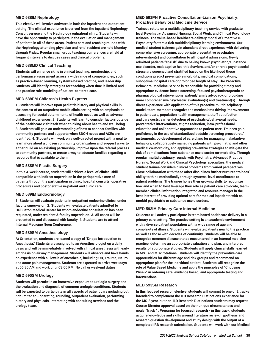#### **MED 588IM Nephrology**

**This elective will involve activates in both the inpatient and outpatient setting. The clinical experience is derived from the inpatient Nephrology Consult service and the Nephrology outpatient clinic. Students will have the opportunity to participate in the evaluation and management of patients in all of these areas. Patient care and teaching rounds with the Nephrology attending physician and renal resident are held Monday through Friday. Regular small group teaching conferences are held at frequent intervals to discuss cases and clinical problems.**

#### **MED 588MD Clinical Teaching**

**Students will enhance skills in clinical teaching, mentorship, and performance assessment across a wide range of competencies, such as practice-based learning, systems-based practice, and leadership. Students will identify strategies for teaching when time is limited and and practice role-modeling of patient-centered care.**

#### **MED 588PM Children's Health Express**

**1. Students will improve upon pediatric history and physical skills in the context of an outpatient mobile clinic setting with an emphasis on assessing for social determinants of health needs as well as adverse childhood experiences. 2. Students will learn to consider factors outside of the healthcare visit itself when thinking about health and well being. 3. Students will gain an understanding of how to connect families with community partners and supports when SDOH needs and ACEs are identified. 4. Students will work on a self-directed project with a goal to learn more about a chosen community organization and suggest ways to either build on an existing partnership, improve upon the referral process to community partners, or create a way to educate families regarding a resource that is available to them.**

#### **MED 588SM Plastic Surgery**

**In this 4-week course, students will achieve a level of clinical skill compatible with indirect supervision in the perioperative care of patients through the participation in clinic, hospital consults, operative procedures and postoperative in-patient and clinic care.**

#### **MED 589IM Endocrinology**

**1. Students will evaluate patients in outpatient endocrine clinics, under faculty supervision. 2. Students will evaluate patients admitted to Dell Seton Medical Center for whom endocrine consultation has been requested, under resident & faculty supervision. 3. All cases will be presented to and discussed with faculty. 4. Students are to attend Internal Medicine Noon Conference.**

#### **MED 589SM Anesthesiology**

**At Orientation, students are loaned a copy of "Dripps Introduction to Anesthesia." Students are assigned to an Anesthesiologist on a daily basis and will be immediately involved with clinical anesthesia with early emphasis on airway management. Students will observe and have hands on experience with all levels of anesthesia, including OB, Trauma, Neuro, and acute pain management. Students are expected to arrive weekdays at 06:30 AM and work until 03:00 PM. No call or weekend duties.**

#### **MED 590SM Urology**

**Students will partake in an immersive exposure to urologic surgery and the evaluation and diagnosis of common urologic conditions. Students will be expected to participate in all aspects of patient care including but not limited to - operating, rounding, outpatient evaluation, performing history and physicals, interacting with consulting services and the urology team.** 

#### **MED 591PN Proactive Consultation-Liaison Psychiatry: Proactive Behavioral Medicine Service**

**Trainees rotate on a multidisciplinary teaching service with graduate level Psychiatry, Advanced Nursing, Social Work, and Clinical Psychology trainees. The value-based healthcare delivery model of Proactive C-L Psychiatry fosters a rich multidisciplinary learning environment. Our medical student trainees gain abundant direct experience with delivering comprehensive screening, appropriate preventative psychiatric intervention(s) and consultation to all hospital admissions. Newly admitted patients "at-risk" due to having known psychiatric/substance use disorder, maladaptive health behaviors, and/or chronic psychosocial stress are screened and stratified based on the likelihood those conditions predict preventable morbidity, medical complications, suboptimal hospital care or prolonged length of stay. The Proactive Behavioral Medicine Service is responsible for providing timely and appropriate evidence-based screening, focused psychotherapeutic or pharmacological interventions, patient/family advocacy, or providing more comprehensive psychiatric evaluation(s) and treatment(s). Through direct experience with application of this proactive multidisciplinary model, team-members recognize the mechanisms driving improvements in patient care, population health management, staff satisfaction and care costs: earlier detection of psychiatric/behavioral needs, preventative interventions, stigma reduction, intra-professional education and collaborative approaches to patient care. Trainees gain proficiency in the use of standardized bedside screening procedures/ instruments, co-development of care plans for managing maladaptive behaviors, collaboratively managing patients with psychiatric and other medical co-morbidity, and applying preventive strategies to mitigate the risk of complications from substance use disorder co-morbidity. Through regular multidisciplinary rounds with Psychiatry, Advanced Practice Nursing, Social Work and Clinical Psychology specialties, the medical student trainee considers clinical problems from varied perspectives. Close collaboration with these other disciplines further nurtures trainees' ability to think methodically through systems-level contributors to patient problems. The trainee hones their growing skills to recognize how and when to best leverage their role as patient care advocate, teammember, clinical information integrator, and resource manager in the best interest of providing optimal care for medical inpatients with comorbid psychiatric or substance use disorders.**

#### **MED 593IM Primary Care Internal Medicine**

**Students will actively participate in team based healthcare delivery in a primary care setting. The practice setting is an academic environment with a diverse patient population with a wide range of age and complexity of illness. Students will evaluate patients new to the practice as well as those with decades of continuity. Students will be able to recognize common disease states encountered in an internal medicine practice, determine an appropriate evaluation and plan, and interpret results of appropriate studies. Students will apply clinical skills learned in MS1 and MS2 rotations. Students will identify the preventive care opportunities for different age and risk groups and recommend an appropriate plan for the individual patient. Students will recognize the role of Value Based Medicine and apply the principles of "Choosing WiselV' in ordering safe, evidence based, and appropriate testing and interventions.**

#### **MED 593SM Research**

**In this focused research elective, students will commit to one of 2 tracks intended to complement the ILD Research Distinctions experience for the MS-3 year, but non-ILD Research Distinctions students may request Course Director approval based on their unique circumstances and goals. Track 1: Preparing for focused research - in this track, students acquire knowledge and skills around literature review, hypothesis and research question development and study design with the output of a completed IRB research submission. Students will work with our Medical**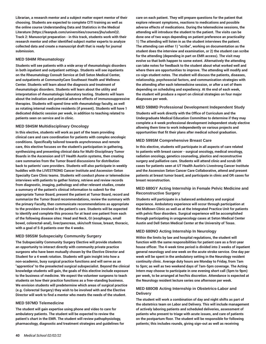**Librarian, a research mentor and a subject matter expert mentor of their choosing. Students are expected to complete CITI training as well as the online course Understanding Data and Statistics in the Medical Literature (https://leanpub.com/universities/courses/jhu/udsml)2. Track 2: Manuscript preparation - in this track, students work with their research mentor and other identified subject matter experts to analyze collected data and create a manuscript draft that is ready for journal submission.**

#### **MED 594IM Rheumatology**

**Students will see patients with a wide array of rheumatologic disorders in both inpatient and outpatient settings. Students will see inpatients on the Rheumatology Consult Service at Dell Seton Medical Center, and outpatients at CommunityCare Southeast Health and Wellness Center. Students will learn about the diagnosis and treatment of rheumatologic disorders. Students will learn about the utility and interpretation of rheumatologic laboratory testing. Students will learn about the indication and potential adverse effects of immunosuppressive therapies. Students will spend time with rheumatology faculty, as well as rotating internal medicine residents (if present). Students will have 1 dedicated didactic session per week, in addition to teaching related to patients seen on service and in clinic.**

#### **MED 594SM Multidisciplinary Oncology**

**In this elective, students will work as part of the team providing clinical care and care coordination for patients with complex oncologic conditions. Specifically tailored towards asynchronous and remote care, this elective focuses on the student's participation in gathering, synthesizing and presenting clinical data for Multi-Disciplinary Tumor Boards in the Ascension and UT Health Austin systems, then creating care summaries from the Tumor Board discussions for distribution back to patients' care providers. Students will also participate in weekly huddles with the LIVESTRONG Cancer Institute and Ascension-Seton Specialty Care Clinic teams. Students will conduct phone or telemedicine interviews with patients to gather history, retrieve and review records from diagnostic, imaging, pathology and other relevant studies, create a summary of the patient's clinical information to submit for the appropriate Tumor Board, present the patient at Tumor Board, record and summarize the Tumor Board recommendations, review the summary with the primary Faculty, then communicate recommendations as appropriate to the providers involved in the patient's care. Students will be expected to identify and complete this process for at least one patient from each of the following disease sites: Head and Neck, GI (esophagus, small bowel, colorectal-anal), liver/pancreas, skin/soft tissue, breast, thoracic, with a goal of 5-8 patients over the 4 weeks.**

#### **MED 595SM Subspecialty Community Surgery**

**The Subspeciality Community Surgery Elective will provide students an opportunity to interact directly with community private practice surgeons who have been mutually chosen by the Elective Director and Student for a 4 week rotation. Students will gain insight into how a non-academic, busy surgical practice functions and will serve as an "apprentice" to the preselected surgical subspecialist. Beyond the clinical knowledge students will gain, the goals of this elective include exposure to the business of medicine. We expect the volunteer surgeons to teach students on how their practice functions as a free-standing business. We envision students will predetermine which areas of surgical practice (e.g. Colorectal Surgery) they wish to be involved with and the Elective Director will work to find a mentor who meets the needs of the student.**

#### **MED 597MD Telemedicine**

**The student will gain expertise using phone and video to care for ambulatory patients. The student will be expected to review the patient's chart in the EMR. The student will review pathophysiology, pharmacology, diagnostic and treatment strategies and guidelines for** **care on each patient. They will prepare questions for the patient that explore relevant symptoms, reactions to medications and possible adverse effects of medications. During the telemedicine sessions, the attending will introduce the student to the patient. The visits can be done one of two ways depending on patient preference an practicality: 1) The attending will listen in as the student interviews the patient. The attending can either 1) "scribe", working on documentation as the student does the interview and examination, or 2) the student can scribe for the attending (depending in part on EMR access). The visit may evolve so that both happen to some extent. Alternatively the attending can take notes for feedback to the student about what worked well and where there are opportunities to improve. The attending will modify and co-sign student notes. The student will discuss the patients, diseases, relationship, psychosocial factors, and communication strategies with the attending after each telemedicine session, or after a set of them depending on scheduling and expediency. At the end of each week, the student will produce a report on clinical strategies on four major diagnoses per week.**

#### **MED 598MD Professional Development Independent Study**

**Students will work directly with the Office of Curriculum and the Undergraduate Medical Education Committee to determine if they may complete a 4-week professional development independent study elective allowing them time to work independently on various projects and opportunities that fit their plans after medical school graduation.**

#### **MED 599SM Comprehensive Breast Care**

**In this elective, students will participate in all aspects of care related to patients with breast cancer - surgical oncology, medical oncology, radiation oncology, genetics counseling, plastics and reconstructive surgery and palliative care. Students will attend clinic and scrub OR cases for patients seen at UT Health Austin's Livestrong Cancer Institute and the Ascension Seton Cancer Care Collaborative, attend and present patients at breast tumor board, and participate in clinic and OR cases for breast reconstruction.**

# **MED 680GY Acting Internship in Female Pelvic Medicine and Reconstructive Surgery**

**Students will participate in a balanced ambulatory and surgical experience. Ambulatory experience will occur through participation at the Midtown Clinic as well as at the Integrated Practice Unit for patients with pelvic floor disorders. Surgical experience will be accomplished through participating in urogynecology cases at Seton Medical Center Austin and Dell Seton Medical Center at the University of Texas.**

# **MED 680NO Acting Internship In Neurology**

**Within the limits by law and hospital regulations, the student will function with the same responsibilities for patient care as a first-year house officer. The 4-week time period is divided into 2 weeks of inpatient general neurology and one week on the acute stroke service. One day per week will be spent in the ambulatory setting in the Neurology resident continuity clinic. Average duty hours are Monday to Friday, from 7am to 5pm; as well as two weekend days of 7am-5pm coverage. The Acting Intern may choose to participate in one evening short call (5pm to 9pm) per week, to be arranged at her/his discretion. Attendance is expected at the Neurology resident lecture series one afternoon per week.** 

# **MED 680OB Acting Internship in Obstetrics-Labor and Delivery**

**The student will work a combination of day and night shifts as part of the obstetrics team on Labor and Delivery. This will include management of actively laboring patients and scheduled deliveries, assessment of patients who present to triage with acute issues, and care of patients on the postpartum floor. The student will be responsible for following patients; this includes rounds, giving sign-out as well as receiving**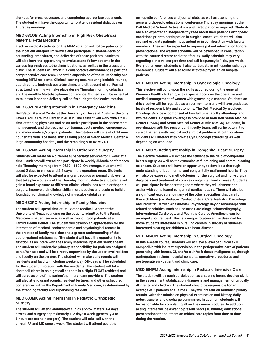**sign-out for cross-coverage, and completing appropriate paperwork. The student will have the opportunity to attend resident didactics on Thursday mornings.**

# **MED 681OB Acting Internship in High Risk Obstetrics/ Maternal Fetal Medicine**

**Elective medical students on the MFM rotation will follow patients on the inpatient antepartum service and participate in shared-decision counseling, procedures, and deliveries of these patients. Students will also have the opportunity to evaluate and follow patients in the various high-risk obstetric clinic locations, as well as in the ultrasound clinic. The students will work in a collaborative environment as part of a comprehensive care team under the supervision of the MFM faculty and rotating MFM residents. Clinical learning occurs during bedside rounds, board rounds, high-risk obstetric clinic, and ultrasound clinic. Formal structured learning will take place during Thursday morning didactics and the monthly Multidisciplinary conference. Students will be expected to take two labor and delivery call shifts during their elective rotation.**

#### **MED 682EM Acting Internship in Emergency Medicine**

**Dell Seton Medical Center at the University of Texas at Austin is the only Level 1 Adult Trauma Center in Austin. The student will work with a fulltime attending physician and be an active participant in the assessment, management, and the treatment of trauma, acute medical emergencies, and minor medical/surgical patients. The rotation will consist of 14 nine hour shifts with 3 of those shifts taking place at Seton Medical Center, a large community hospital, and the remaining 9 at DSMC-UT.**

#### **MED 682MK Acting Internship in Orthopedic Surgery**

**Students will rotate on 4 different subspecialty services for 1 week at a time. Students will attend and participate in weekly didactic conferences held Thursday mornings from 0630 - 1100. On average, students will spend 2 days in clinics and 2.5 days in the operating room. Students will also be expected to attend any grand rounds or journal club events that take place outside of the Thursday morning didactics. Students will gain a broad exposure to different clinical disciplines within orthopedic surgery, improve their clinical skills in orthopedics and begin to build a foundation of clinical knowledge of musculoskeletal care.**

#### **MED 682PC Acting Internship in Family Medicine**

**The student will spend time at Dell Seton Medical Center at the University of Texas rounding on the patients admitted to the Family Medicine inpatient service, as well as rounding on patients at a Family Health Center. The student will develop an appreciation for the interaction of medical, socioeconomic and psychological factors in the practice of family medicine and a greater understanding of the doctor-patient relationship. The student will have the opportunity to function as an intern with the Family Medicine inpatient service team. The student will undertake primary responsibility for patients assigned to his/her care and will be directly supervised by the upper level resident and faculty on the service. The student will make daily rounds with residents and faculty (including weekends). Off-days will be scheduled for the student in rotation with the residents. The student will take short call (there is no night call as there is a Night FLOAT resident) and will serve as one of the patient's primary team providers. The student will also attend grand rounds, resident lectures, and other scheduled conferences within the Department of Family Medicine, as determined by the attending faculty and supervising resident.**

#### **MED 683MK Acting Internship In Pediatric Orthopedic Surgery**

**The student will attend ambulatory clinics approximately 3-4 days a week and surgery approximately 1-2 days a week (generally 4 to 6 hours are spent in surgery). The student will take call with the on-call PA and MD once a week. The student will attend pediatric**

**orthopedic conferences and journal clubs as well as attending the general orthopedic educational conference Thursday mornings at the Dell Medical School. Active study and participation is required. Students are also expected to independently read about their patient's orthopedic conditions prior to participation in surgical cases. Students will also see and evaluate patients independent or in collaboration with faculty members. They will be expected to organize patient information for oral presentations. The weekly schedule will be developed in consultation with the course director and other faculty. Daily schedule may vary regarding clinic vs. surgery time and call frequency is 1 day per week. Every other week, students will also participate in orthopedic radiology conference. Student will also round with the physician on hospital patients.** 

#### **MED 683ON Acting Internship in Gynecologic Oncology**

**This elective will build upon the skills acquired during the general Women's Health clerkship, with a special focus on the operative and medical management of women with gynecologic cancers. Students on this elective will be regarded as an acting-intern and will have graduated levels of responsibility and autonomy. The Dell Medical Gynecologic Oncology Service is comprised of two full time faculty attendings and two residents. Hospital coverage is provided at both Dell Seton Medical Center (DSMC) and Seton Medical Center Austin (SMCA). Students, in coordination with the resident and faculty team, will participate in the care of patients with medical and surgical problems at both locations. Students will interact with private Gyn Oncology attendings as well depending on workload.**

#### **MED 683PS Acting Internship in Congenital Heart Surgery**

**The elective rotation will expose the student to the field of congenital heart surgery, as well as the dynamics of functioning and communicating as a team. Students will have an opportunity to develop a thorough understanding of both normal and congenitally malformed hearts. They will also be exposed to methodologies for the surgical and non-surgical diagnosis and treatment of complex congenital heart disease. Students will participate in the operating room where they will observe and assist with complicated congenital cardiac repairs. There will also be a significant exposure to many of the other specialties that care for these children (i.e. Pediatric Cardiac Critical Care, Pediatric Cardiology, and Pediatric Cardiac Anesthesia). Psychology Day observerships with related specialties, such as Pediatric Cardiology, Echocardiography, Interventional Cardiology, and Pediatric Cardiac Anesthesia can be arranged upon request. This is a unique rotation and is designed for those students interested in pursuing careers in surgery or students interested n caring for children with heart disease.**

#### **MED 684ON Acting Internship in Surgical Oncology**

**In this 4-week course, students will achieve a level of clinical skill compatible with indirect supervision in the perioperative care of patients presenting with breast, GI, and/or skin/soft tissue malignancies, through participation in clinic, hospital consults, operative procedures and postoperative in-patient and clinic care.**

#### **MED 684PM Acting Internship in Pediatric Intensive Care**

**The student will, through participation as an acting intern, develop skills in the assessment, stabilization, diagnosis and management of critically ill infants and children. The student should be responsible for an average of 3 patients at all times. They will present on multidisciplinary rounds, write the admission physical examination and history, daily notes, transfer and discharge summaries. In addition, students will be responsible for completing all on line course modules. In addition, acting interns will be asked to present short (10 minute) educational presentations to their team on critical care topics from time to time during the rotation.**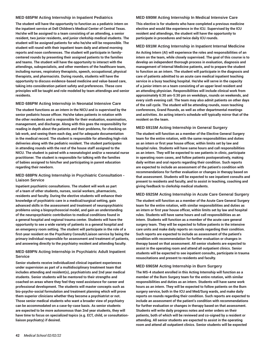#### **MED 685PM Acting Internship in Inpatient Pediatrics**

**The student will have the opportunity to function as a pediatric intern on the inpatient service at Dell Children's Medical Center of Central Texas. He/she will be assigned to a team consisting of an attending, a senior resident, two junior residents, and junior clerkship medical students. The student will be assigned patients for who he/she will be responsible. The student will round with their inpatient team daily and attend morning reports and noon conferences. The student will participate in familycentered rounds by presenting their assigned patients to the families and teams. The student will have the opportunity to interact with the attendings, subspecialists, and other members of the healthcare team, including nurses, respiratory therapists, speech, occupational, physical therapists, and pharmacists. During rounds, students will have the opportunity to discuss evidence-based medicine and value-based care, taking into consideration patient safety and preferences. These core principles will be taught and role-modeled by team attendings and senior residents.** 

#### **MED 686PM Acting Internship in Neonatal Intensive Care**

**The student functions as an intern in the NICU and is supervised by the senior pediatric house officer. He/she takes patients in rotation with the other residents and is responsible for their evaluation, examination, management, and discharge. Along with this goes the responsibility for reading in depth about the patients and their problems, for checking on lab work, and seeing them each day, and for adequate documentation in the medical record. The student is responsible for attending high-risk deliveries along with the pediatric resident. The student participates in attending rounds with the rest of the house staff assigned to the NICU. The student is paired with a neonatologist and/or a neonatal nurse practitioner. The student is responsible for talking with the families of babies assigned to him/her and participating in parent education regarding their newborn.** 

#### **MED 688PN Acting Internship in Psychiatric Consultation - Liaison Service**

**Inpatient psychiatric consultations. The student will work as part of a team of other students, nurses, social workers, pharmacists, residents and faculty. During the elective students will enhance their knowledge of psychiatric care in a medical/surgical setting, gain advanced skills in the assessment and treatment of neuropsychiatric problems using a biopsychosocial model, and gain an understanding of the neuropsychiatric contribution to medical conditions found in a general hospital and regional trauma center. Students will have the opportunity to see a wide variety of patients in a general hospital and an emergency room setting. The student will participate in the role of a first-year resident on the Psychiatry Consult/Liaison service by being the primary individual responsible for assessment and treatment of patients, and answering directly to the psychiatry resident and attending faculty.**

#### **MED 689PN Acting Internship in Psychiatric Adult Inpatient Service**

**Senior students receive individualized clinical inpatient experiences under supervision as part of a multidisciplinary treatment team that includes attending and resident(s), psychiatrists and 2nd year medical students. Senior students will be mentored to their strengths and coached on areas where they feel they need assistance for career and professional development. The students will master concepts such as bio-psycho-social formulation and treatment planning which will prove them superior clinicians whether they become a psychiatrist or not. Those senior medical students who want a broader view of psychiatry can be accommodated on a case-by-case basis. As senior students are expected to be more autonomous than 2nd year students, they will have time to focus on specialized topics (e.g. ECT, child, or consultationliaison psychiatry) if desired.**

#### **MED 690IM Acting Internship In Medical Intensive Care**

**This elective is for students who have completed a previous medicine elective and would like experience in the ICU. Supervised by the ICU resident and attendings, the student will have the opportunity to participate in procedures and twice daily ICU rounds.**

#### **MED 691IM Acting Internship in Inpatient Internal Medicine**

**An Acting Intern (AI) will experience the roles and responsibilities of an intern on the team, while closely supervised. The goal of this course is to develop an independent thorough process in evaluation, diagnosis and management of Internal Medicine patients, and to prepare the student to function as an intern. The student will participate in the diagnosis and care of patients admitted to an acute care medical inpatient teaching service in a busy teaching hospital. He/she will serve in the capacity of a junior intern on a team consisting of an upper level resident and an attending physician. Responsibilities will include clinical work from approximately 6:30 am-5:30 pm on weekdays, rounds on weekends, and every sixth evening call. The team may also admit patients on other days of the call cycle. The student will be attending rounds, noon teaching conferences, Grand Rounds, as well as other departmental meetings and activities. An acting intern's schedule will typically mirror that of the resident on the team.** 

#### **MED 691SM Acting Internship in General Surgery**

**The student will function as a member of the Elective General Surgery team for the entire rotation, with the same responsibilities and duties as an intern or first year house officer, within limits set by law and hospital rules. Students will have same hours and call responsibilities as an intern. They will be expected to see patients in clinic, participate in operating room cases, and follow patients postoperatively, making daily written and oral reports regarding their condition. Such reports are expected to include an assessment of the patient's condition with recommendations for further evaluation or changes in therapy based on that assessment. Students will be expected to see inpatient consults and present to residents and faculty, and to assist in teaching, coaching and giving feedback to clerkship medical students.**

#### **MED 692SM Acting Internship in Acute Care General Surgery**

**The student will function as a member of the Acute Care General Surgery team for the entire rotation, with similar responsibilities and duties as an intern or first year house officer, within limits set by law and hospital rules. Students will have same hours and call responsibilities as an intern. Students will function as a member of the acute care general surgery team. They will be expected to follow patients in the intensive care units and make daily reports on rounds regarding their condition. Such reports are expected to include as assessment of the patient's condition with recommendation for further evaluation or changes in therapy based on that assessment. All senior students are expected to assist in the operating room and attend all outpatient clinics. Senior students will be expected to see inpatient consults, participate in trauma resuscitations and present to residents and faculty.**

#### **MED 696SM Acting Internship in Burn Surgery**

**The MS-4 student enrolled in this Acting Internship will function as a member of the Burn Surgery team for the entire rotation, with similar responsibilities and duties as an intern. Students will have same work hours as an intern. They will be expected to follow patients on the Burn surgery service, both in the ICU and Med/Surg wards, and make daily reports on rounds regarding their condition. Such reports are expected to include an assessment of the patient's condition with recommendations for further evaluation or changes in therapy based on that assessment. Students will write daily progress notes and enter orders on their patients, both of which will be reviewed and co-signed by a resident or attending. All senior students are expected to assist in the operating room and attend all outpatient clinics. Senior students will be expected**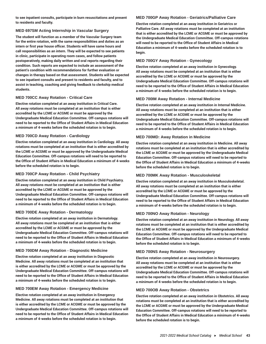**to see inpatient consults, participate in burn resuscitations and present to residents and faculty.**

# **MED 697SM Acting Internship in Vascular Surgery**

**The student will function as a member of the Vascular Surgery team for the entire rotation, with the same responsibilities and duties as an intern or first year house officer. Students will have same hours and call responsibilities as an intern. They will be expected to see patients in clinic, participate in operating room cases, and follow patients postoperatively, making daily written and oral reports regarding their condition. Such reports are expected to include an assessment of the patient's condition with recommendations for further evaluation or changes in therapy based on that assessment. Students will be expected to see inpatient consults and present to residents and faculty, and to assist in teaching, coaching and giving feedback to clerkship medical students.**

# **MED 700CC Away Rotation - Critical Care**

**Elective rotation completed at an away institution in Critical Care. All away rotations must be completed at an institution that is either accredited by the LCME or ACGME or must be approved by the Undergraduate Medical Education Committee. Off-campus rotations will need to be reported to the Office of Student Affairs in Medical Education a minimum of 4-weeks before the scheduled rotation is to begin.** 

# **MED 700CD Away Rotation - Cardiology**

**Elective rotation completed at an away institution in Cardiology. All away rotations must be completed at an institution that is either accredited by the LCME or ACGME or must be approved by the Undergraduate Medical Education Committee. Off-campus rotations will need to be reported to the Office of Student Affairs in Medical Education a minimum of 4-weeks before the scheduled rotation is to begin.** 

# **MED 700CP Away Rotation - Child Psychiatry**

**Elective rotation completed at an away institution in Child Psychiatry. All away rotations must be completed at an institution that is either accredited by the LCME or ACGME or must be approved by the Undergraduate Medical Education Committee. Off-campus rotations will need to be reported to the Office of Student Affairs in Medical Education a minimum of 4-weeks before the scheduled rotation is to begin.** 

# **MED 700DE Away Rotation - Dermatology**

**Elective rotation completed at an away institution in Dermatology. All away rotations must be completed at an institution that is either accredited by the LCME or ACGME or must be approved by the Undergraduate Medical Education Committee. Off-campus rotations will need to be reported to the Office of Student Affairs in Medical Education a minimum of 4-weeks before the scheduled rotation is to begin.** 

# **MED 700DM Away Rotation - Diagnostic Medicine**

**Elective rotation completed at an away institution in Diagnostic Medicine. All away rotations must be completed at an institution that is either accredited by the LCME or ACGME or must be approved by the Undergraduate Medical Education Committee. Off-campus rotations will need to be reported to the Office of Student Affairs in Medical Education a minimum of 4-weeks before the scheduled rotation is to begin.** 

# **MED 700EM Away Rotation - Emergency Medicine**

**Elective rotation completed at an away institution in Emergency Medicine. All away rotations must be completed at an institution that is either accredited by the LCME or ACGME or must be approved by the Undergraduate Medical Education Committee. Off-campus rotations will need to be reported to the Office of Student Affairs in Medical Education a minimum of 4-weeks before the scheduled rotation is to begin.** 

# **MED 700GP Away Rotation - Geriatrics/Palliative Care**

**Elective rotation completed at an away institution in Geriatrics or Palliative Care. All away rotations must be completed at an institution that is either accredited by the LCME or ACGME or must be approved by the Undergraduate Medical Education Committee. Off-campus rotations will need to be reported to the Office of Student Affairs in Medical Education a minimum of 4-weeks before the scheduled rotation is to begin.** 

# **MED 700GY Away Rotation - Gynecology**

**Elective rotation completed at an away institution in Gynecology. All away rotations must be completed at an institution that is either accredited by the LCME or ACGME or must be approved by the Undergraduate Medical Education Committee. Off-campus rotations will need to be reported to the Office of Student Affairs in Medical Education a minimum of 4-weeks before the scheduled rotation is to begin.** 

# **MED 700IM Away Rotation - Internal Medicine**

**Elective rotation completed at an away institution in Internal Medicine. All away rotations must be completed at an institution that is either accredited by the LCME or ACGME or must be approved by the Undergraduate Medical Education Committee. Off-campus rotations will need to be reported to the Office of Student Affairs in Medical Education a minimum of 4-weeks before the scheduled rotation is to begin.** 

# **MED 700MD: Away Rotation in Medicine**

**Elective rotation completed at an away institution in Medicine. All away rotations must be completed at an institution that is either accredited by the LCME or ACGME or must be approved by the Undergraduate Medical Education Committee. Off-campus rotations will need to be reported to the Office of Student Affairs in Medical Education a minimum of 4-weeks before the scheduled rotation is to begin.** 

# **MED 700MK Away Rotation - Musculoskeletal**

**Elective rotation completed at an away institution in Musculoskeletal. All away rotations must be completed at an institution that is either accredited by the LCME or ACGME or must be approved by the Undergraduate Medical Education Committee. Off-campus rotations will need to be reported to the Office of Student Affairs in Medical Education a minimum of 4-weeks before the scheduled rotation is to begin.** 

# **MED 700NO Away Rotation - Neurology**

**Elective rotation completed at an away institution in Neurology. All away rotations must be completed at an institution that is either accredited by the LCME or ACGME or must be approved by the Undergraduate Medical Education Committee. Off-campus rotations will need to be reported to the Office of Student Affairs in Medical Education a minimum of 4-weeks before the scheduled rotation is to begin.** 

# **MED 700NS Away Rotation - Neurosurgery**

**Elective rotation completed at an away institution in Neurosurgery. All away rotations must be completed at an institution that is either accredited by the LCME or ACGME or must be approved by the Undergraduate Medical Education Committee. Off-campus rotations will need to be reported to the Office of Student Affairs in Medical Education a minimum of 4-weeks before the scheduled rotation is to begin.** 

# **MED 700OB Away Rotation - Obstetrics**

**Elective rotation completed at an away institution in Obstetrics. All away rotations must be completed at an institution that is either accredited by the LCME or ACGME or must be approved by the Undergraduate Medical Education Committee. Off-campus rotations will need to be reported to the Office of Student Affairs in Medical Education a minimum of 4-weeks before the scheduled rotation is to begin.**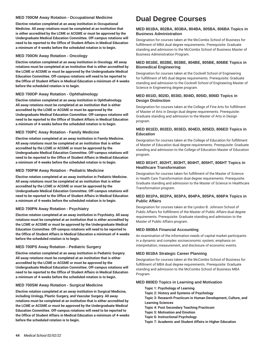#### **MED 700OM Away Rotation - Occupational Medicine**

**Elective rotation completed at an away institution in Occupational Medicine. All away rotations must be completed at an institution that is either accredited by the LCME or ACGME or must be approved by the Undergraduate Medical Education Committee. Off-campus rotations will need to be reported to the Office of Student Affairs in Medical Education a minimum of 4-weeks before the scheduled rotation is to begin.** 

#### **MED 700ON Away Rotation - Oncology**

**Elective rotation completed at an away institution in Oncology. All away rotations must be completed at an institution that is either accredited by the LCME or ACGME or must be approved by the Undergraduate Medical Education Committee. Off-campus rotations will need to be reported to the Office of Student Affairs in Medical Education a minimum of 4-weeks before the scheduled rotation is to begin.** 

# **MED 700OP Away Rotation - Ophthalmology**

**Elective rotation completed at an away institution in Ophthalmology. All away rotations must be completed at an institution that is either accredited by the LCME or ACGME or must be approved by the Undergraduate Medical Education Committee. Off-campus rotations will need to be reported to the Office of Student Affairs in Medical Education a minimum of 4-weeks before the scheduled rotation is to begin.** 

#### **MED 700PC Away Rotation - Family Medicine**

**Elective rotation completed at an away institution in Family Medicine. All away rotations must be completed at an institution that is either accredited by the LCME or ACGME or must be approved by the Undergraduate Medical Education Committee. Off-campus rotations will need to be reported to the Office of Student Affairs in Medical Education a minimum of 4-weeks before the scheduled rotation is to begin.** 

#### **MED 700PM Away Rotation - Pediatric Medicine**

**Elective rotation completed at an away institution in Pediatric Medicine. All away rotations must be completed at an institution that is either accredited by the LCME or ACGME or must be approved by the Undergraduate Medical Education Committee. Off-campus rotations will need to be reported to the Office of Student Affairs in Medical Education a minimum of 4-weeks before the scheduled rotation is to begin.** 

#### **MED 700PN Away Rotation - Psychiatry**

**Elective rotation completed at an away institution in Psychiatry. All away rotations must be completed at an institution that is either accredited by the LCME or ACGME or must be approved by the Undergraduate Medical Education Committee. Off-campus rotations will need to be reported to the Office of Student Affairs in Medical Education a minimum of 4-weeks before the scheduled rotation is to begin.** 

#### **MED 700PS Away Rotation - Pediatric Surgery**

**Elective rotation completed at an away institution in Pediatric Surgery. All away rotations must be completed at an institution that is either accredited by the LCME or ACGME or must be approved by the Undergraduate Medical Education Committee. Off-campus rotations will need to be reported to the Office of Student Affairs in Medical Education a minimum of 4-weeks before the scheduled rotation is to begin.** 

#### **MED 700SM Away Rotation - Surgical Medicine**

**Elective rotation completed at an away institution in Surgical Medicine, including Urology, Plastic Surgery, and Vascular Surgery. All away rotations must be completed at an institution that is either accredited by the LCME or ACGME or must be approved by the Undergraduate Medical Education Committee. Off-campus rotations will need to be reported to the Office of Student Affairs in Medical Education a minimum of 4-weeks before the scheduled rotation is to begin.**

# **Dual Degree Courses**

#### <span id="page-44-0"></span>**MED 801BA, 802BA, 803BA, 804BA, 805BA, 806BA Topics in Business Administration**

Designation for courses taken at the McCombs School of Business for fulfillment of MBA dual degree requirements. Prerequisite: Graduate standing and admission to the McCombs School of Business Master of Business Administration Program.

#### **MED 801BE, 802BE, 803BE, 804BE, 805BE, 806BE Topics in Biomedical Engineering**

Designation for courses taken at the Cockrell School of Engineering for fulfillment of MS dual degree requirements. Prerequisite: Graduate standing and admission to the Cockrell School of Engineering Master of Science in Engineering degree program.

# **MED 801ID, 802ID, 803ID, 804ID, 805ID, 806ID Topics in Design Distinction**

Designation for courses taken at the College of Fine Arts for fulfillment of Master of Arts in Design dual degree requirements. Prerequisite: Graduate standing and admission to the Master of Arts in Design program.

# **MED 801ED, 802ED, 803ED, 804ED, 805ED, 806ED Topics in Education**

Designation for courses taken at the College of Education for fulfillment of Master of Education dual degree requirements. Prerequisite: Graduate standing and admission to the College of Education Master of Education program.

#### **MED 801HT, 802HT, 803HT, 804HT, 805HT, 806HT Topics in Healthcare Transformation**

Designation for courses taken for fulfillment of the Master of Science in Health Care Transformation dual degree requirements. Prerequisite: Graduate standing and admission to the Master of Science in Healthcare Transformation program.

# **MED 801PA, 802PA, 803PA, 804PA, 805PA, 806PA Topics in Public Affairs**

Designation for courses taken at the Lyndon B. Johnson School of Public Affairs for fulfillment of the Master of Public Affairs dual degree requirements. Prerequisite: Graduate standing and admission to the Master of Public Affairs program.

#### **MED 880BA Financial Accounting**

An examination of the information needs of capital market participants in a dynamic and complex socioeconomic system; emphasis on interpretation, measurement, and disclosure of economic events.

# **MED 801BA Strategic Career Planning**

Designation for courses taken at the McCombs School of Business for fulfillment of MBA dual degree requirements. Prerequisite: Graduate standing and admission to the McCombs School of Business MBA Program.

#### **MED 880ED Topics in Learning and Motivation**

- **Topic 1: Psychology of Learning Topic 2: History and Systems of Psychology Topic 3: Research Practicum in Human Development, Culture, and Learning Sciences Topic 4: Post Secondary Teaching Practicum Topic 5: Motivation and Emotion**
	- **Topic 6: Instructional Psychology**
	- **Topic 7: Academic and Student Affairs in Higher Education**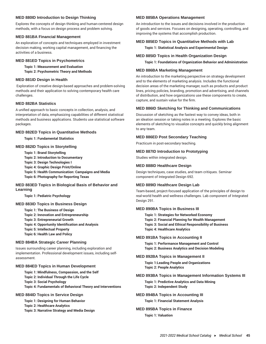# **MED 880ID Introduction to Design Thinking**

Explores the concepts of design thinking and human-centered design methods, with a focus on design process and problem solving.

#### **MED 881BA Financial Management**

An exploration of concepts and techniques employed in investment decision making, working capital management, and financing the activities of a business.

#### **MED 881ED Topics in Psychometrics**

# **Topic 1: Measurement and Evaluation**

**Topic 2: Psychometric Theory and Methods**

#### **MED 881ID Design in Health**

Exploration of creative design-based approaches and problem-solving methods and their application to solving contemporary health care challenges.

# **MED 882BA Statistics**

A unified approach to basic concepts in collection, analysis, and interpretation of data, emphasizing capabilities of different statistical methods and business applications. Students use statistical software packages.

#### **MED 882ED Topics in Quantitative Methods**

**Topic 1: Fundamental Statistics**

#### **MED 882ID Topics in Storytelling**

**Topic 1: Brand Storytelling**

- **Topic 2: Introduction to Documentary**
- **Topic 3: Design Technologies I**
- **Topic 4: Graphic Design Print/Online**

**Topic 5: Health Communication: Campaigns and Media**

**Topic 6: Photography for Reporting Texas**

#### **MED 883ED Topics in Biological Basis of Behavior and Learning**

**Topic 1: Pediatric Psychology**

#### **MED 883ID Topics in Business Design**

- **Topic 1: The Business of Design**
- **Topic 2: Innovation and Entrepreneurship**
- **Topic 3: Entrepreneurial Growth**
- **Topic 4: Opportunity Identification and Analysis**
- **Topic 5: Intellectual Property**
- **Topic 6: Health Law and Policy**

#### **MED 884BA Strategic Career Planning**

Issues surrounding career planning, including exploration and implementation. Professional development issues, including selfassessment.

#### **MED 884ED Topics in Human Development**

- **Topic 1: Mindfulness, Compassion, and the Self**
- **Topic 2: Individual Through the Life Cycle**

**Topic 3: Social Psychology**

**Topic 4: Fundamentals of Behavioral Theory and Interventions**

#### **MED 884ID Topics in Service Design**

**Topic 1: Designing for Human Behavior**

**Topic 2: Healthcare Analytics**

**Topic 3: Narrative Strategy and Media Design**

#### **MED 885BA Operations Management**

An introduction to the issues and decisions involved in the production of goods and services. Focuses on designing, operating, controlling, and improving the systems that accomplish production.

#### **MED 885ED Topics in Quantitative Methods with Lab**

**Topic 1: Statistical Analysis and Experimental Design**

#### **MED 885ID Topics in Health Organization Design**

**Topic 1: Foundations of Organization Behavior and Administration**

#### **MED 886BA Marketing Management**

An introduction to the marketing perspective on strategy development and to the elements of marketing analysis. Includes the functional decision areas of the marketing manager, such as products and product lines, pricing policies, branding, promotion and advertising, and channels of distribution, and how organizations use these components to create, capture, and sustain value for the firm.

#### **MED 886ID Sketching for Thinking and Communications**

Discussion of sketching as the fastest way to convey ideas, both in an ideation session or taking notes in a meeting. Explores the basic elements of sketching to visualize concepts and quickly bring alignment to any team.

#### **MED 886ED Post Secondary Teaching**

Practicum in post-secondary teaching.

# **MED 887ID Introduction to Prototyping**

Studies within integrated design.

#### **MED 888ID Healthcare Design**

Design techniques, case studies, and team critiques. Seminar component of Integrated Design 692.

# **MED 889ID Healthcare Design Lab**

Team-based, project-focused application of the principles of design to real-world health and wellness challenges. Lab component of Integrated Design 291.

#### **MED 890BA Topics in Business III**

**Topic 1: Strategies for Networked Economy Topic 2: Financial Planning for Wealth Management Topic 3: Social and Ethical Responsibility of Business Topic 4: Healthcare Analytics**

#### **MED 891BA Topics in Accounting II**

**Topic 1: Performance Management and Control Topic 2: Business Analytics and Decision Modeling**

#### **MED 892BA Topics in Management II**

**Topic 1:Leading People and Organizations Topic 2: People Analytics**

#### **MED 893BA Topics in Management Information Systems III**

**Topic 1: Predictive Analytics and Data Mining Topic 2: Independent Study**

# **MED 894BA Topics in Accounting III**

**Topic 1: Financial Statement Analysis**

#### **MED 895BA Topics in Finance**

**Topic 1: Valuation**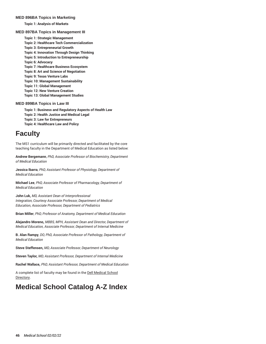#### **MED 896BA Topics in Marketing**

**Topic 1: Analysis of Markets**

#### **MED 897BA Topics in Management III**

**Topic 1: Strategic Management Topic 2: Healthcare Tech Commercialization Topic 3: Entrepreneurial Growth Topic 4: Innovation Through Design Thinking Topic 5: Introduction to Entrepreneurship Topic 6: Advocacy Topic 7: Healthcare Business Ecosystem Topic 8: Art and Science of Negotiation Topic 9: Texas Venture Labs Topic 10: Management Sustainability Topic 11: Global Management Topic 12: New Venture Creation Topic 13: Global Management Studies**

# **MED 899BA Topics in Law III**

**Topic 1: Business and Regulatory Aspects of Health Law Topic 2: Health Justice and Medical Legal Topic 3: Law for Entrepreneurs Topic 4: Healthcare Law and Policy**

# **Faculty**

<span id="page-46-0"></span>The MS1 curriculum will be primarily directed and facilitated by the core teaching faculty in the Department of Medical Education as listed below:

**Andrew Bergemann**, *PhD, Associate Professor of Biochemistry, Department of Medical Education*

**Jessica Ibarra**, *PhD, Assistant Professor of Physiology, Department of Medical Education*

**Michael Lee**, *PhD, Associate Professor of Pharmacology, Department of Medical Education*

**John Luk,** *MD, Assistant Dean of Interprofessional Integration, Courtesy Associate Professor, Department of Medical Education, Associate Professor, Department of Pediatrics*

**Brian Miller**, *PhD, Professor of Anatomy, Department of Medical Education*

**Alejandro Moreno,** *MBBS, MPH, Assistant Dean and Director, Department of Medical Education, Associate Professor, Department of Internal Medicine*

**B. Alan Rampy**, *DO, PhD, Associate Professor of Pathology, Department of Medical Education*

**Steve Steffensen,** *MD, Associate Professor, Department of Neurology*

**Steven Taylor,** *MD, Assistant Professor, Department of Internal Medicine*

**Rachel Wallace,** *PhD, Assistant Professor, Department of Medical Education*

A complete list of faculty may be found in the [Dell Medical School](https://dellmed.utexas.edu/directory/) [Directory.](https://dellmed.utexas.edu/directory/)

# <span id="page-46-1"></span>**Medical School Catalog A-Z Index**